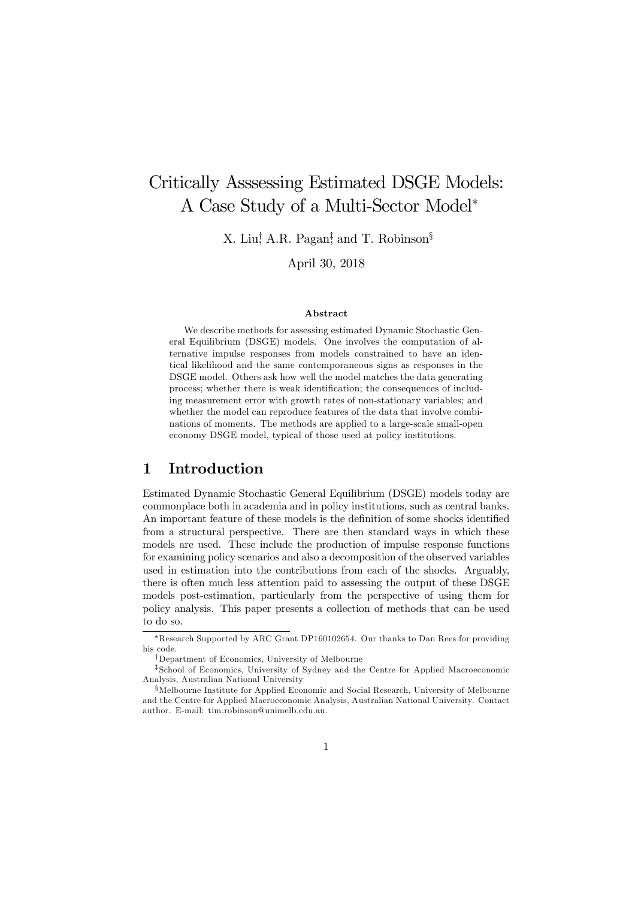# Critically Asssessing Estimated DSGE Models: A Case Study of a Multi-Sector Model<sup>∗</sup>

X. Liu<sup>†</sup>, A.R. Pagan<sup>‡</sup>, and T. Robinson<sup>§</sup>

April 30, 2018

#### Abstract

We describe methods for assessing estimated Dynamic Stochastic General Equilibrium (DSGE) models. One involves the computation of alternative impulse responses from models constrained to have an identical likelihood and the same contemporaneous signs as responses in the DSGE model. Others ask how well the model matches the data generating process; whether there is weak identification; the consequences of including measurement error with growth rates of non-stationary variables; and whether the model can reproduce features of the data that involve combinations of moments. The methods are applied to a large-scale small-open economy DSGE model, typical of those used at policy institutions.

### 1 Introduction

Estimated Dynamic Stochastic General Equilibrium (DSGE) models today are commonplace both in academia and in policy institutions, such as central banks. An important feature of these models is the definition of some shocks identified from a structural perspective. There are then standard ways in which these models are used. These include the production of impulse response functions for examining policy scenarios and also a decomposition of the observed variables used in estimation into the contributions from each of the shocks. Arguably, there is often much less attention paid to assessing the output of these DSGE models post-estimation, particularly from the perspective of using them for policy analysis. This paper presents a collection of methods that can be used to do so.

<sup>∗</sup>Research Supported by ARC Grant DP160102654. Our thanks to Dan Rees for providing his code.

<sup>†</sup>Department of Economics, University of Melbourne

<sup>‡</sup>School of Economics, University of Sydney and the Centre for Applied Macroeconomic Analysis, Australian National University

<sup>§</sup>Melbourne Institute for Applied Economic and Social Research, University of Melbourne and the Centre for Applied Macroeconomic Analysis, Australian National University. Contact author. E-mail: tim.robinson@unimelb.edu.au.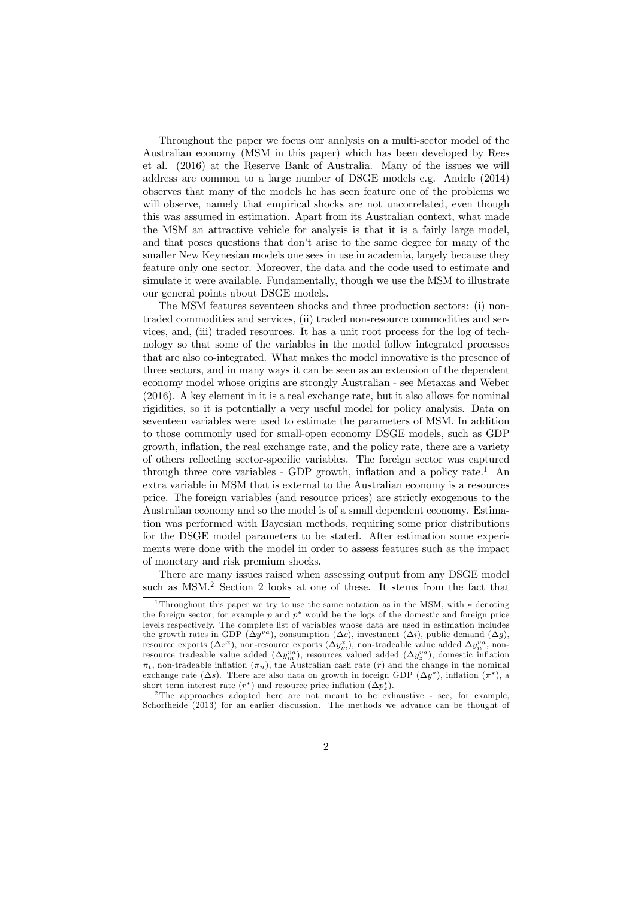Throughout the paper we focus our analysis on a multi-sector model of the Australian economy (MSM in this paper) which has been developed by Rees et al. (2016) at the Reserve Bank of Australia. Many of the issues we will address are common to a large number of DSGE models e.g. Andrle (2014) observes that many of the models he has seen feature one of the problems we will observe, namely that empirical shocks are not uncorrelated, even though this was assumed in estimation. Apart from its Australian context, what made the MSM an attractive vehicle for analysis is that it is a fairly large model, and that poses questions that don't arise to the same degree for many of the smaller New Keynesian models one sees in use in academia, largely because they feature only one sector. Moreover, the data and the code used to estimate and simulate it were available. Fundamentally, though we use the MSM to illustrate our general points about DSGE models.

The MSM features seventeen shocks and three production sectors: (i) nontraded commodities and services, (ii) traded non-resource commodities and services, and, (iii) traded resources. It has a unit root process for the log of technology so that some of the variables in the model follow integrated processes that are also co-integrated. What makes the model innovative is the presence of three sectors, and in many ways it can be seen as an extension of the dependent economy model whose origins are strongly Australian - see Metaxas and Weber (2016). A key element in it is a real exchange rate, but it also allows for nominal rigidities, so it is potentially a very useful model for policy analysis. Data on seventeen variables were used to estimate the parameters of MSM. In addition to those commonly used for small-open economy DSGE models, such as GDP growth, inflation, the real exchange rate, and the policy rate, there are a variety of others reflecting sector-specific variables. The foreign sector was captured through three core variables - GDP growth, inflation and a policy rate.<sup>1</sup> An extra variable in MSM that is external to the Australian economy is a resources price. The foreign variables (and resource prices) are strictly exogenous to the Australian economy and so the model is of a small dependent economy. Estimation was performed with Bayesian methods, requiring some prior distributions for the DSGE model parameters to be stated. After estimation some experiments were done with the model in order to assess features such as the impact of monetary and risk premium shocks.

There are many issues raised when assessing output from any DSGE model such as MSM.<sup>2</sup> Section 2 looks at one of these. It stems from the fact that

<sup>1</sup> Throughout this paper we try to use the same notation as in the MSM, with <sup>∗</sup> denoting the foreign sector; for example  $p$  and  $p^*$  would be the logs of the domestic and foreign price levels respectively. The complete list of variables whose data are used in estimation includes the growth rates in GDP ( $\Delta y^{va}$ ), consumption ( $\Delta c$ ), investment ( $\Delta i$ ), public demand ( $\Delta g$ ), resource exports  $(\Delta z^x)$ , non-resource exports  $(\Delta y_m^x)$ , non-tradeable value added  $\Delta y_n^{va}$ , nonresource tradeable value added  $(\Delta y_m^{va})$ , resources valued added  $(\Delta y_z^{va})$ , domestic inflation  $\pi_t$ , non-tradeable inflation  $(\pi_n)$ , the Australian cash rate  $(r)$  and the change in the nominal exchange rate ( $\Delta s$ ). There are also data on growth in foreign GDP ( $\Delta y^*$ ), inflation ( $\pi^*$ ), a short term interest rate  $(r^*)$  and resource price inflation  $(\Delta p_z^*)$ .

<sup>&</sup>lt;sup>2</sup>The approaches adopted here are not meant to be exhaustive - see, for example, Schorfheide (2013) for an earlier discussion. The methods we advance can be thought of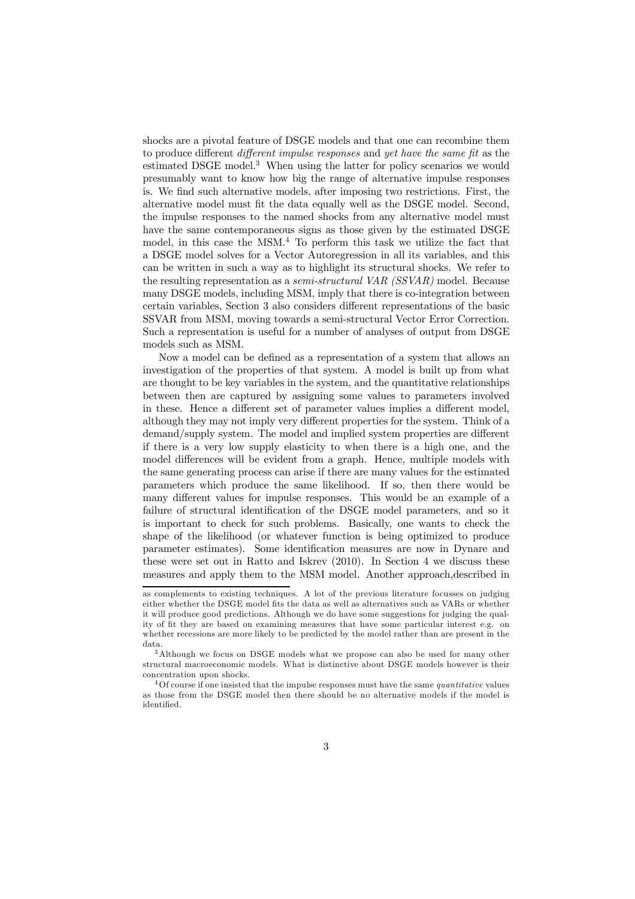shocks are a pivotal feature of DSGE models and that one can recombine them to produce different different impulse responses and yet have the same fit as the estimated DSGE model.<sup>3</sup> When using the latter for policy scenarios we would presumably want to know how big the range of alternative impulse responses is. We find such alternative models, after imposing two restrictions. First, the alternative model must fit the data equally well as the DSGE model. Second, the impulse responses to the named shocks from any alternative model must have the same contemporaneous signs as those given by the estimated DSGE model, in this case the MSM.<sup>4</sup> To perform this task we utilize the fact that a DSGE model solves for a Vector Autoregression in all its variables, and this can be written in such a way as to highlight its structural shocks. We refer to the resulting representation as a semi-structural VAR (SSVAR) model. Because many DSGE models, including MSM, imply that there is co-integration between certain variables, Section 3 also considers different representations of the basic SSVAR from MSM, moving towards a semi-structural Vector Error Correction. Such a representation is useful for a number of analyses of output from DSGE models such as MSM.

Now a model can be defined as a representation of a system that allows an investigation of the properties of that system. A model is built up from what are thought to be key variables in the system, and the quantitative relationships between then are captured by assigning some values to parameters involved in these. Hence a different set of parameter values implies a different model, although they may not imply very different properties for the system. Think of a demand/supply system. The model and implied system properties are different if there is a very low supply elasticity to when there is a high one, and the model differences will be evident from a graph. Hence, multiple models with the same generating process can arise if there are many values for the estimated parameters which produce the same likelihood. If so, then there would be many different values for impulse responses. This would be an example of a failure of structural identification of the DSGE model parameters, and so it is important to check for such problems. Basically, one wants to check the shape of the likelihood (or whatever function is being optimized to produce parameter estimates). Some identification measures are now in Dynare and these were set out in Ratto and Iskrev (2010). In Section 4 we discuss these measures and apply them to the MSM model. Another approach,described in

as complements to existing techniques. A lot of the previous literature focusses on judging either whether the DSGE model fits the data as well as alternatives such as VARs or whether it will produce good predictions. Although we do have some suggestions for judging the quality of fit they are based on examining measures that have some particular interest e.g. on whether recessions are more likely to be predicted by the model rather than are present in the data.

<sup>3</sup>Although we focus on DSGE models what we propose can also be used for many other structural macroeconomic models. What is distinctive about DSGE models however is their concentration upon shocks.

 $40f$  course if one insisted that the impulse responses must have the same quantitative values as those from the DSGE model then there should be no alternative models if the model is identified.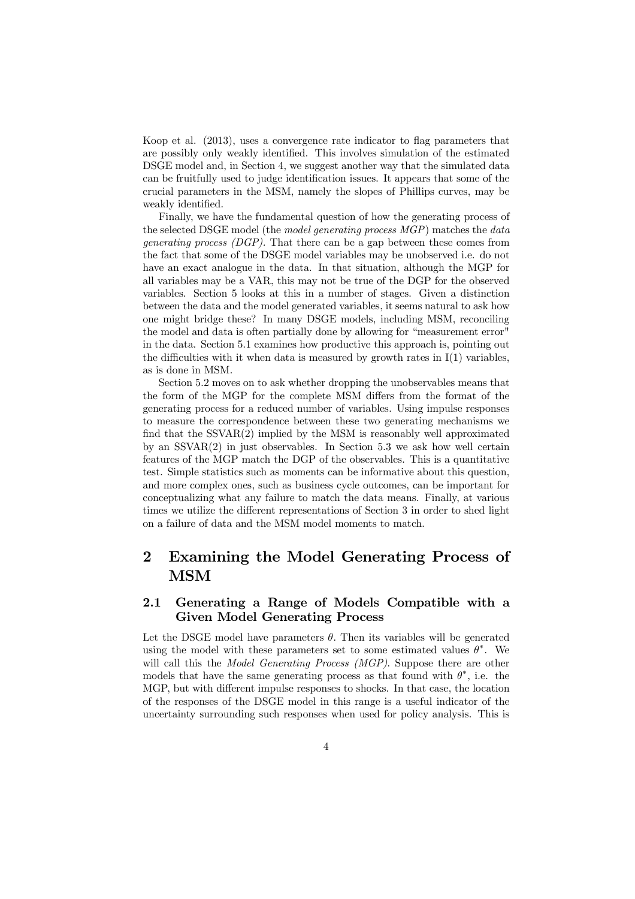Koop et al. (2013), uses a convergence rate indicator to flag parameters that are possibly only weakly identified. This involves simulation of the estimated DSGE model and, in Section 4, we suggest another way that the simulated data can be fruitfully used to judge identification issues. It appears that some of the crucial parameters in the MSM, namely the slopes of Phillips curves, may be weakly identified.

Finally, we have the fundamental question of how the generating process of the selected DSGE model (the *model generating process MGP*) matches the *data* generating process (DGP). That there can be a gap between these comes from the fact that some of the DSGE model variables may be unobserved i.e. do not have an exact analogue in the data. In that situation, although the MGP for all variables may be a VAR, this may not be true of the DGP for the observed variables. Section 5 looks at this in a number of stages. Given a distinction between the data and the model generated variables, it seems natural to ask how one might bridge these? In many DSGE models, including MSM, reconciling the model and data is often partially done by allowing for "measurement error" in the data. Section 5.1 examines how productive this approach is, pointing out the difficulties with it when data is measured by growth rates in  $I(1)$  variables, as is done in MSM.

Section 5.2 moves on to ask whether dropping the unobservables means that the form of the MGP for the complete MSM differs from the format of the generating process for a reduced number of variables. Using impulse responses to measure the correspondence between these two generating mechanisms we find that the SSVAR(2) implied by the MSM is reasonably well approximated by an  $SSVAR(2)$  in just observables. In Section 5.3 we ask how well certain features of the MGP match the DGP of the observables. This is a quantitative test. Simple statistics such as moments can be informative about this question, and more complex ones, such as business cycle outcomes, can be important for conceptualizing what any failure to match the data means. Finally, at various times we utilize the different representations of Section 3 in order to shed light on a failure of data and the MSM model moments to match.

# 2 Examining the Model Generating Process of MSM

### 2.1 Generating a Range of Models Compatible with a Given Model Generating Process

Let the DSGE model have parameters  $\theta$ . Then its variables will be generated using the model with these parameters set to some estimated values  $\theta^*$ . We will call this the *Model Generating Process (MGP)*. Suppose there are other models that have the same generating process as that found with  $\theta^*$ , i.e. the MGP, but with different impulse responses to shocks. In that case, the location of the responses of the DSGE model in this range is a useful indicator of the uncertainty surrounding such responses when used for policy analysis. This is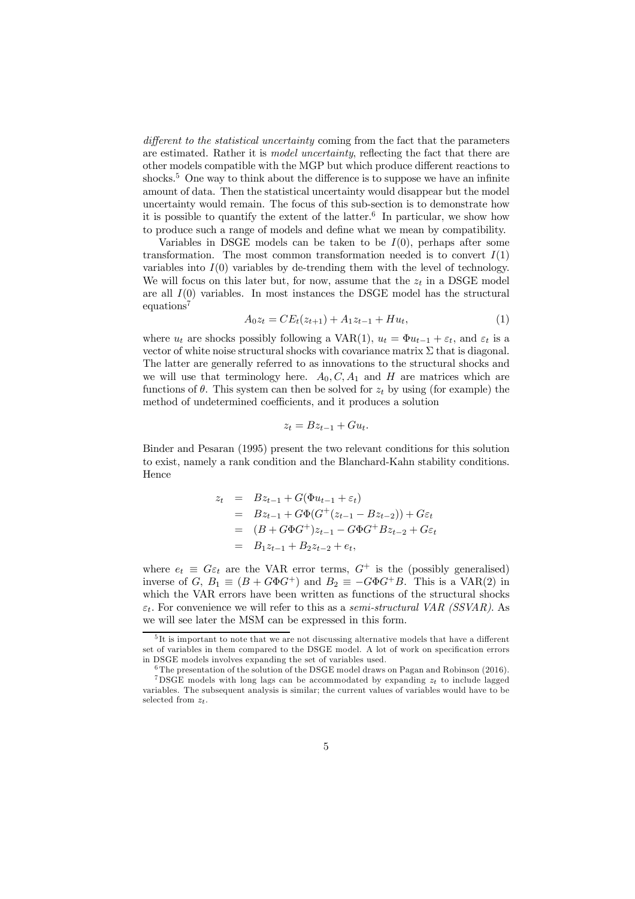different to the statistical uncertainty coming from the fact that the parameters are estimated. Rather it is model uncertainty, reflecting the fact that there are other models compatible with the MGP but which produce different reactions to shocks.<sup>5</sup> One way to think about the difference is to suppose we have an infinite amount of data. Then the statistical uncertainty would disappear but the model uncertainty would remain. The focus of this sub-section is to demonstrate how it is possible to quantify the extent of the latter.<sup>6</sup> In particular, we show how to produce such a range of models and define what we mean by compatibility.

Variables in DSGE models can be taken to be  $I(0)$ , perhaps after some transformation. The most common transformation needed is to convert  $I(1)$ variables into  $I(0)$  variables by de-trending them with the level of technology. We will focus on this later but, for now, assume that the  $z_t$  in a DSGE model are all  $I(0)$  variables. In most instances the DSGE model has the structural equations<sup>7</sup>

$$
A_0 z_t = C E_t(z_{t+1}) + A_1 z_{t-1} + H u_t, \tag{1}
$$

where  $u_t$  are shocks possibly following a VAR(1),  $u_t = \Phi u_{t-1} + \varepsilon_t$ , and  $\varepsilon_t$  is a vector of white noise structural shocks with covariance matrix  $\Sigma$  that is diagonal. The latter are generally referred to as innovations to the structural shocks and we will use that terminology here.  $A_0, C, A_1$  and H are matrices which are functions of  $\theta$ . This system can then be solved for  $z_t$  by using (for example) the method of undetermined coefficients, and it produces a solution

$$
z_t = Bz_{t-1} + Gu_t.
$$

Binder and Pesaran (1995) present the two relevant conditions for this solution to exist, namely a rank condition and the Blanchard-Kahn stability conditions. Hence

$$
z_t = Bz_{t-1} + G(\Phi u_{t-1} + \varepsilon_t)
$$
  
=  $Bz_{t-1} + G\Phi(G^+(z_{t-1} - Bz_{t-2})) + G\varepsilon_t$   
=  $(B + G\Phi G^+)z_{t-1} - G\Phi G^+ Bz_{t-2} + G\varepsilon_t$   
=  $B_1z_{t-1} + B_2z_{t-2} + e_t$ ,

where  $e_t \equiv G\varepsilon_t$  are the VAR error terms,  $G^+$  is the (possibly generalised) inverse of G,  $B_1 \equiv (B + G\Phi G^+)$  and  $B_2 \equiv -G\Phi G^+ B$ . This is a VAR(2) in which the VAR errors have been written as functions of the structural shocks  $\varepsilon_t$ . For convenience we will refer to this as a semi-structural VAR (SSVAR). As we will see later the MSM can be expressed in this form.

<sup>&</sup>lt;sup>5</sup>It is important to note that we are not discussing alternative models that have a different set of variables in them compared to the DSGE model. A lot of work on specification errors in DSGE models involves expanding the set of variables used.

<sup>6</sup> The presentation of the solution of the DSGE model draws on Pagan and Robinson (2016).

<sup>&</sup>lt;sup>7</sup>DSGE models with long lags can be accommodated by expanding  $z_t$  to include lagged variables. The subsequent analysis is similar; the current values of variables would have to be selected from  $z_t$ .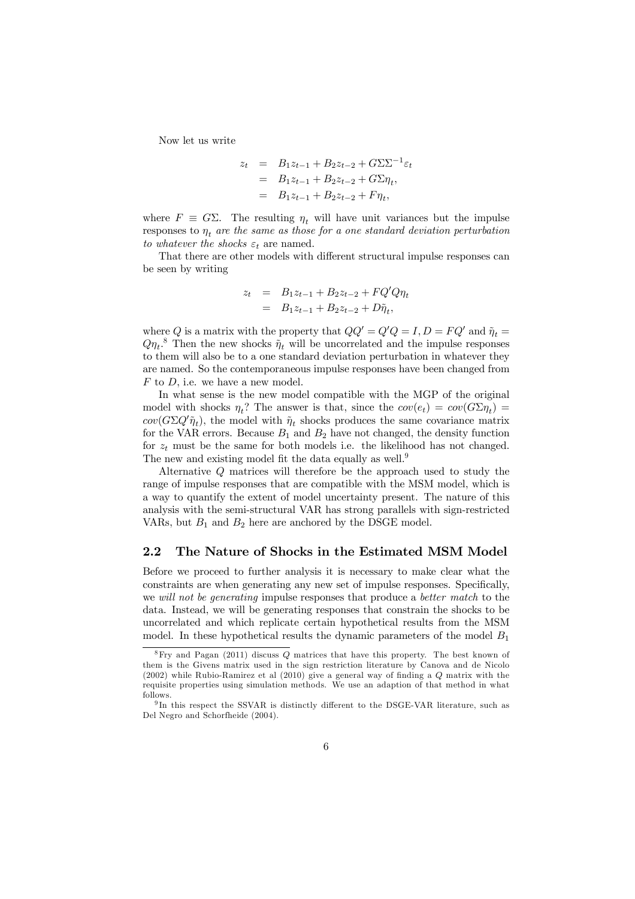Now let us write

$$
z_t = B_1 z_{t-1} + B_2 z_{t-2} + G \Sigma \Sigma^{-1} \varepsilon_t
$$
  
=  $B_1 z_{t-1} + B_2 z_{t-2} + G \Sigma \eta_t$ ,  
=  $B_1 z_{t-1} + B_2 z_{t-2} + F \eta_t$ ,

where  $F \equiv G\Sigma$ . The resulting  $\eta_t$  will have unit variances but the impulse responses to  $\eta_t$  are the same as those for a one standard deviation perturbation to whatever the shocks  $\varepsilon_t$  are named.

That there are other models with different structural impulse responses can be seen by writing

$$
z_t = B_1 z_{t-1} + B_2 z_{t-2} + FQ'Q\eta_t
$$
  
=  $B_1 z_{t-1} + B_2 z_{t-2} + D\tilde{\eta}_t$ ,

where Q is a matrix with the property that  $QQ' = Q'Q = I, D = FQ'$  and  $\tilde{\eta}_t =$  $Q\eta_t$ .<sup>8</sup> Then the new shocks  $\tilde{\eta}_t$  will be uncorrelated and the impulse responses to them will also be to a one standard deviation perturbation in whatever they are named. So the contemporaneous impulse responses have been changed from  $F$  to  $D$ , i.e. we have a new model.

In what sense is the new model compatible with the MGP of the original model with shocks  $\eta_t$ ? The answer is that, since the  $cov(e_t) = cov(G \Sigma \eta_t)$  $cov(G\Sigma Q'\tilde{\eta}_t)$ , the model with  $\tilde{\eta}_t$  shocks produces the same covariance matrix for the VAR errors. Because  $B_1$  and  $B_2$  have not changed, the density function for  $z_t$  must be the same for both models i.e. the likelihood has not changed. The new and existing model fit the data equally as well.<sup>9</sup>

Alternative Q matrices will therefore be the approach used to study the range of impulse responses that are compatible with the MSM model, which is a way to quantify the extent of model uncertainty present. The nature of this analysis with the semi-structural VAR has strong parallels with sign-restricted VARs, but  $B_1$  and  $B_2$  here are anchored by the DSGE model.

#### 2.2 The Nature of Shocks in the Estimated MSM Model

Before we proceed to further analysis it is necessary to make clear what the constraints are when generating any new set of impulse responses. Specifically, we will not be generating impulse responses that produce a better match to the data. Instead, we will be generating responses that constrain the shocks to be uncorrelated and which replicate certain hypothetical results from the MSM model. In these hypothetical results the dynamic parameters of the model  $B_1$ 

<sup>8</sup>Fry and Pagan (2011) discuss Q matrices that have this property. The best known of them is the Givens matrix used in the sign restriction literature by Canova and de Nicolo (2002) while Rubio-Ramirez et al (2010) give a general way of finding a Q matrix with the requisite properties using simulation methods. We use an adaption of that method in what follows.

<sup>9</sup> In this respect the SSVAR is distinctly different to the DSGE-VAR literature, such as Del Negro and Schorfheide (2004).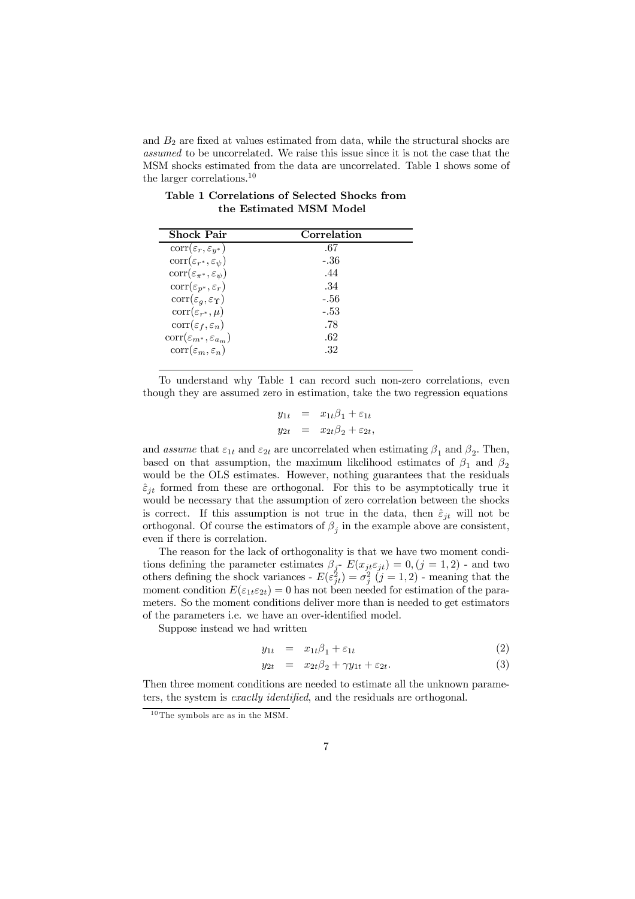and  $B_2$  are fixed at values estimated from data, while the structural shocks are assumed to be uncorrelated. We raise this issue since it is not the case that the MSM shocks estimated from the data are uncorrelated. Table 1 shows some of the larger correlations.<sup>10</sup>

| Shock Pair                                      | Correlation |
|-------------------------------------------------|-------------|
| $corr(\varepsilon_r, \varepsilon_{y^*})$        | .67         |
| $corr(\varepsilon_{r^*}, \varepsilon_{\psi})$   | -.36        |
| $corr(\varepsilon_{\pi^*}, \varepsilon_{\psi})$ | .44         |
| $\text{corr}(\varepsilon_{p^*}, \varepsilon_r)$ | .34         |
| $corr(\varepsilon_q, \varepsilon_{\Upsilon})$   | -.56        |
| $corr(\varepsilon_{r^*}, \mu)$                  | -.53        |
| $corr(\varepsilon_f, \varepsilon_n)$            | .78         |
| $corr(\varepsilon_{m^*}, \varepsilon_{a_m})$    | .62         |
| $corr(\varepsilon_m, \varepsilon_n)$            | .32         |

Table 1 Correlations of Selected Shocks from the Estimated MSM Model

To understand why Table 1 can record such non-zero correlations, even though they are assumed zero in estimation, take the two regression equations

$$
y_{1t} = x_{1t}\beta_1 + \varepsilon_{1t}
$$
  

$$
y_{2t} = x_{2t}\beta_2 + \varepsilon_{2t},
$$

and *assume* that  $\varepsilon_{1t}$  and  $\varepsilon_{2t}$  are uncorrelated when estimating  $\beta_1$  and  $\beta_2$ . Then, based on that assumption, the maximum likelihood estimates of  $\beta_1$  and  $\beta_2$ would be the OLS estimates. However, nothing guarantees that the residuals  $\hat{\varepsilon}_{it}$  formed from these are orthogonal. For this to be asymptotically true it would be necessary that the assumption of zero correlation between the shocks is correct. If this assumption is not true in the data, then  $\hat{\varepsilon}_{jt}$  will not be orthogonal. Of course the estimators of  $\beta_j$  in the example above are consistent, even if there is correlation.

The reason for the lack of orthogonality is that we have two moment conditions defining the parameter estimates  $\beta_j$ -  $E(x_{jt} \varepsilon_{jt}) = 0, (j = 1, 2)$  - and two others defining the shock variances -  $E(\varepsilon_{jt}^2) = \sigma_j^2$   $(j = 1, 2)$  - meaning that the moment condition  $E(\varepsilon_{1t}\varepsilon_{2t})=0$  has not been needed for estimation of the parameters. So the moment conditions deliver more than is needed to get estimators of the parameters i.e. we have an over-identified model.

Suppose instead we had written

$$
y_{1t} = x_{1t}\beta_1 + \varepsilon_{1t} \tag{2}
$$

$$
y_{2t} = x_{2t}\beta_2 + \gamma y_{1t} + \varepsilon_{2t}.
$$
 (3)

Then three moment conditions are needed to estimate all the unknown parameters, the system is exactly identified, and the residuals are orthogonal.

 $10$  The symbols are as in the MSM.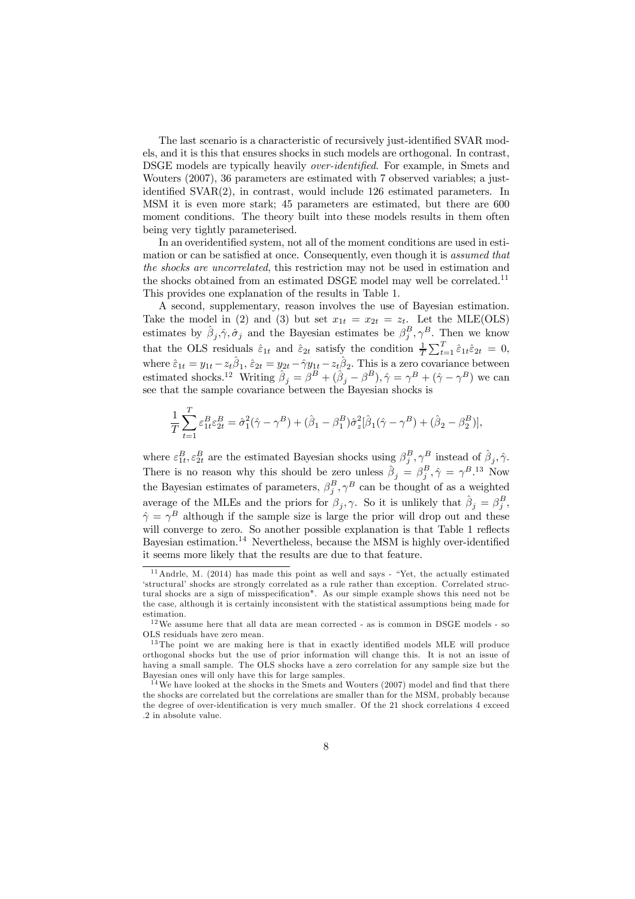The last scenario is a characteristic of recursively just-identified SVAR models, and it is this that ensures shocks in such models are orthogonal. In contrast, DSGE models are typically heavily over-identified. For example, in Smets and Wouters (2007), 36 parameters are estimated with 7 observed variables; a justidentified SVAR(2), in contrast, would include 126 estimated parameters. In MSM it is even more stark; 45 parameters are estimated, but there are 600 moment conditions. The theory built into these models results in them often being very tightly parameterised.

In an overidentified system, not all of the moment conditions are used in estimation or can be satisfied at once. Consequently, even though it is assumed that the shocks are uncorrelated, this restriction may not be used in estimation and the shocks obtained from an estimated DSGE model may well be correlated.<sup>11</sup> This provides one explanation of the results in Table 1.

A second, supplementary, reason involves the use of Bayesian estimation. Take the model in (2) and (3) but set  $x_{1t} = x_{2t} = z_t$ . Let the MLE(OLS) estimates by  $\hat{\beta}_j, \hat{\gamma}, \hat{\sigma}_j$  and the Bayesian estimates be  $\beta_j^B, \gamma^B$ . Then we know that the OLS residuals  $\hat{\varepsilon}_{1t}$  and  $\hat{\varepsilon}_{2t}$  satisfy the condition  $\frac{1}{T} \sum_{t=1}^{T} \hat{\varepsilon}_{1t} \hat{\varepsilon}_{2t} = 0$ , where  $\hat{\varepsilon}_{1t} = y_{1t} - z_t \hat{\beta}_1$ ,  $\hat{\varepsilon}_{2t} = y_{2t} - \hat{\gamma} y_{1t} - z_t \hat{\beta}_2$ . This is a zero covariance between estimated shocks.<sup>12</sup> Writing  $\hat{\beta}_j = \beta^B + (\hat{\beta}_j - \beta^B), \hat{\gamma} = \gamma^B + (\hat{\gamma} - \gamma^B)$  we can see that the sample covariance between the Bayesian shocks is

$$
\frac{1}{T} \sum_{t=1}^{T} \varepsilon_{1t}^{B} \varepsilon_{2t}^{B} = \hat{\sigma}_{1}^{2}(\hat{\gamma} - \gamma^{B}) + (\hat{\beta}_{1} - \beta_{1}^{B})\hat{\sigma}_{z}^{2}[\hat{\beta}_{1}(\hat{\gamma} - \gamma^{B}) + (\hat{\beta}_{2} - \beta_{2}^{B})],
$$

where  $\varepsilon_{1t}^B, \varepsilon_{2t}^B$  are the estimated Bayesian shocks using  $\beta_j^B, \gamma^B$  instead of  $\hat{\beta}_j, \hat{\gamma}$ . There is no reason why this should be zero unless  $\hat{\beta}_j = \beta_j^B$ ,  $\hat{\gamma} = \gamma^B$ .<sup>13</sup> Now the Bayesian estimates of parameters,  $\beta_j^B$ ,  $\gamma^B$  can be thought of as a weighted average of the MLEs and the priors for  $\beta_j$ ,  $\gamma$ . So it is unlikely that  $\hat{\beta}_j = \beta_j^B$ ,  $\hat{\gamma} = \gamma^B$  although if the sample size is large the prior will drop out and these will converge to zero. So another possible explanation is that Table 1 reflects Bayesian estimation.<sup>14</sup> Nevertheless, because the MSM is highly over-identified it seems more likely that the results are due to that feature.

<sup>&</sup>lt;sup>11</sup> Andrle, M. (2014) has made this point as well and says - "Yet, the actually estimated 'structural' shocks are strongly correlated as a rule rather than exception. Correlated structural shocks are a sign of misspecification". As our simple example shows this need not be the case, although it is certainly inconsistent with the statistical assumptions being made for estimation.

 $^{12}\mathrm{We}$  assume here that all data are mean corrected - as is common in DSGE models - so OLS residuals have zero mean.

 $13$  The point we are making here is that in exactly identified models MLE will produce orthogonal shocks but the use of prior information will change this. It is not an issue of having a small sample. The OLS shocks have a zero correlation for any sample size but the Bayesian ones will only have this for large samples.

 $14$  We have looked at the shocks in the Smets and Wouters (2007) model and find that there the shocks are correlated but the correlations are smaller than for the MSM, probably because the degree of over-identification is very much smaller. Of the 21 shock correlations 4 exceed .2 in absolute value.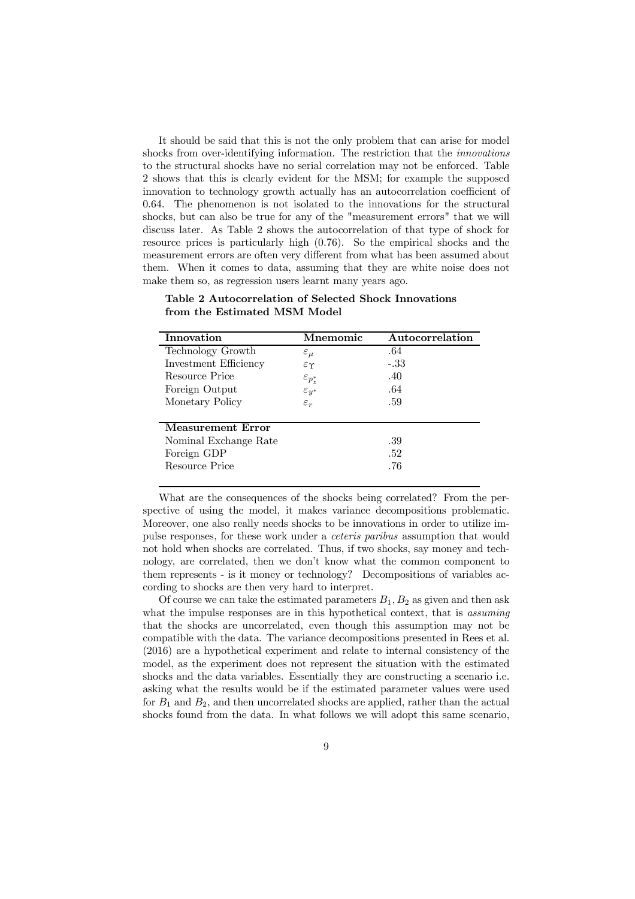It should be said that this is not the only problem that can arise for model shocks from over-identifying information. The restriction that the innovations to the structural shocks have no serial correlation may not be enforced. Table 2 shows that this is clearly evident for the MSM; for example the supposed innovation to technology growth actually has an autocorrelation coefficient of 0.64. The phenomenon is not isolated to the innovations for the structural shocks, but can also be true for any of the "measurement errors" that we will discuss later. As Table 2 shows the autocorrelation of that type of shock for resource prices is particularly high (0.76). So the empirical shocks and the measurement errors are often very different from what has been assumed about them. When it comes to data, assuming that they are white noise does not make them so, as regression users learnt many years ago.

Table 2 Autocorrelation of Selected Shock Innovations from the Estimated MSM Model

| Innovation               | Mnemomic              | Autocorrelation |
|--------------------------|-----------------------|-----------------|
| Technology Growth        | $\varepsilon_{\mu}$   | .64             |
| Investment Efficiency    | $\varepsilon \gamma$  | -.33            |
| Resource Price           | $\varepsilon_{p_z^*}$ | .40             |
| Foreign Output           | $\varepsilon_{y^*}$   | .64             |
| Monetary Policy          | $\varepsilon_r$       | .59             |
|                          |                       |                 |
| <b>Measurement Error</b> |                       |                 |
| Nominal Exchange Rate    | .39                   |                 |
| Foreign GDP              |                       | .52             |
| Resource Price           |                       | .76             |

What are the consequences of the shocks being correlated? From the perspective of using the model, it makes variance decompositions problematic. Moreover, one also really needs shocks to be innovations in order to utilize impulse responses, for these work under a ceteris paribus assumption that would not hold when shocks are correlated. Thus, if two shocks, say money and technology, are correlated, then we don't know what the common component to them represents - is it money or technology? Decompositions of variables according to shocks are then very hard to interpret.

Of course we can take the estimated parameters  $B_1, B_2$  as given and then ask what the impulse responses are in this hypothetical context, that is *assuming* that the shocks are uncorrelated, even though this assumption may not be compatible with the data. The variance decompositions presented in Rees et al. (2016) are a hypothetical experiment and relate to internal consistency of the model, as the experiment does not represent the situation with the estimated shocks and the data variables. Essentially they are constructing a scenario i.e. asking what the results would be if the estimated parameter values were used for  $B_1$  and  $B_2$ , and then uncorrelated shocks are applied, rather than the actual shocks found from the data. In what follows we will adopt this same scenario,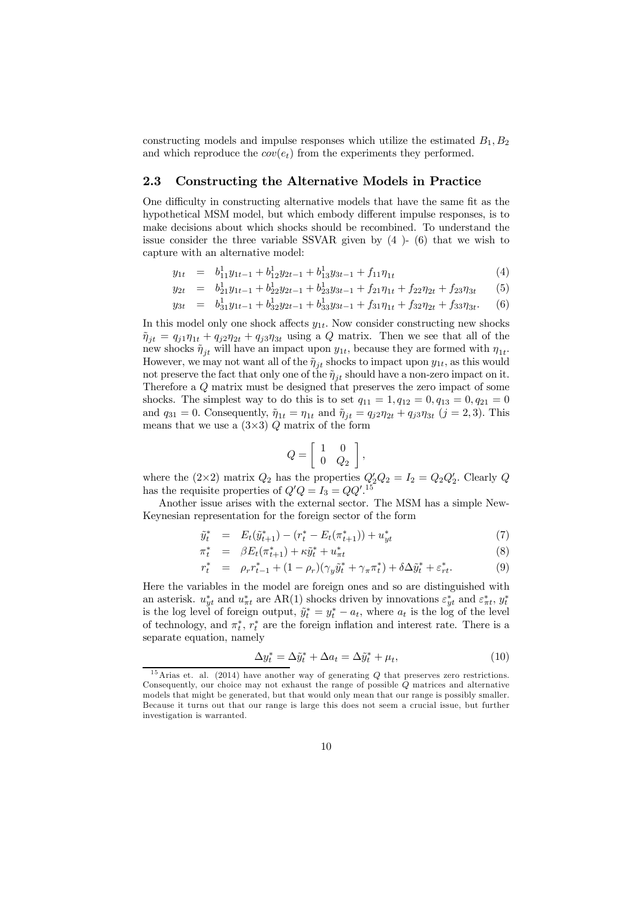constructing models and impulse responses which utilize the estimated  $B_1, B_2$ and which reproduce the  $cov(e_t)$  from the experiments they performed.

#### 2.3 Constructing the Alternative Models in Practice

One difficulty in constructing alternative models that have the same fit as the hypothetical MSM model, but which embody different impulse responses, is to make decisions about which shocks should be recombined. To understand the issue consider the three variable SSVAR given by (4 )- (6) that we wish to capture with an alternative model:

$$
y_{1t} = b_{11}^1 y_{1t-1} + b_{12}^1 y_{2t-1} + b_{13}^1 y_{3t-1} + f_{11} \eta_{1t} \tag{4}
$$

$$
y_{2t} = b_{21}^1 y_{1t-1} + b_{22}^1 y_{2t-1} + b_{23}^1 y_{3t-1} + f_{21} \eta_{1t} + f_{22} \eta_{2t} + f_{23} \eta_{3t} \tag{5}
$$

$$
y_{3t} = b_{31}^1 y_{1t-1} + b_{32}^1 y_{2t-1} + b_{33}^1 y_{3t-1} + f_{31} \eta_{1t} + f_{32} \eta_{2t} + f_{33} \eta_{3t}.
$$
 (6)

In this model only one shock affects  $y_{1t}$ . Now consider constructing new shocks  $\tilde{\eta}_{it} = q_{i1}\eta_{1t} + q_{i2}\eta_{2t} + q_{i3}\eta_{3t}$  using a Q matrix. Then we see that all of the new shocks  $\tilde{\eta}_{jt}$  will have an impact upon  $y_{1t}$ , because they are formed with  $\eta_{1t}$ . However, we may not want all of the  $\tilde{\eta}_{jt}$  shocks to impact upon  $y_{1t}$ , as this would not preserve the fact that only one of the  $\tilde{\eta}_{it}$  should have a non-zero impact on it. Therefore a Q matrix must be designed that preserves the zero impact of some shocks. The simplest way to do this is to set  $q_{11} = 1, q_{12} = 0, q_{13} = 0, q_{21} = 0$ and  $q_{31} = 0$ . Consequently,  $\tilde{\eta}_{1t} = \eta_{1t}$  and  $\tilde{\eta}_{jt} = q_{j2}\eta_{2t} + q_{j3}\eta_{3t}$   $(j = 2, 3)$ . This means that we use a  $(3\times3)$  Q matrix of the form

$$
Q = \left[ \begin{array}{cc} 1 & 0 \\ 0 & Q_2 \end{array} \right],
$$

where the  $(2\times2)$  matrix  $Q_2$  has the properties  $Q'_2Q_2 = I_2 = Q_2Q'_2$ . Clearly Q has the requisite properties of  $Q'Q = I_3 = QQ'^{15}$ 

Another issue arises with the external sector. The MSM has a simple New-Keynesian representation for the foreign sector of the form

$$
\tilde{y}_t^* = E_t(\tilde{y}_{t+1}^*) - (r_t^* - E_t(\pi_{t+1}^*)) + u_{yt}^* \tag{7}
$$

$$
\pi_t^* = \beta E_t(\pi_{t+1}^*) + \kappa \tilde{y}_t^* + u_{\pi t}^* \tag{8}
$$

$$
r_t^* = \rho_r r_{t-1}^* + (1 - \rho_r)(\gamma_y \tilde{y}_t^* + \gamma_\pi \pi_t^*) + \delta \Delta \tilde{y}_t^* + \varepsilon_{rt}^*.
$$
 (9)

Here the variables in the model are foreign ones and so are distinguished with an asterisk.  $u_{yt}^*$  and  $u_{\pi t}^*$  are AR(1) shocks driven by innovations  $\varepsilon_{yt}^*$  and  $\varepsilon_{\pi t}^*$ ,  $y_t^*$ is the log level of foreign output,  $\tilde{y}_t^* = y_t^* - a_t$ , where  $a_t$  is the log of the level of technology, and  $\pi_t^*$ ,  $r_t^*$  are the foreign inflation and interest rate. There is a separate equation, namely

$$
\Delta y_t^* = \Delta \tilde{y}_t^* + \Delta a_t = \Delta \tilde{y}_t^* + \mu_t,\tag{10}
$$

<sup>&</sup>lt;sup>15</sup>Arias et. al. (2014) have another way of generating  $Q$  that preserves zero restrictions. Consequently, our choice may not exhaust the range of possible Q matrices and alternative models that might be generated, but that would only mean that our range is possibly smaller. Because it turns out that our range is large this does not seem a crucial issue, but further investigation is warranted.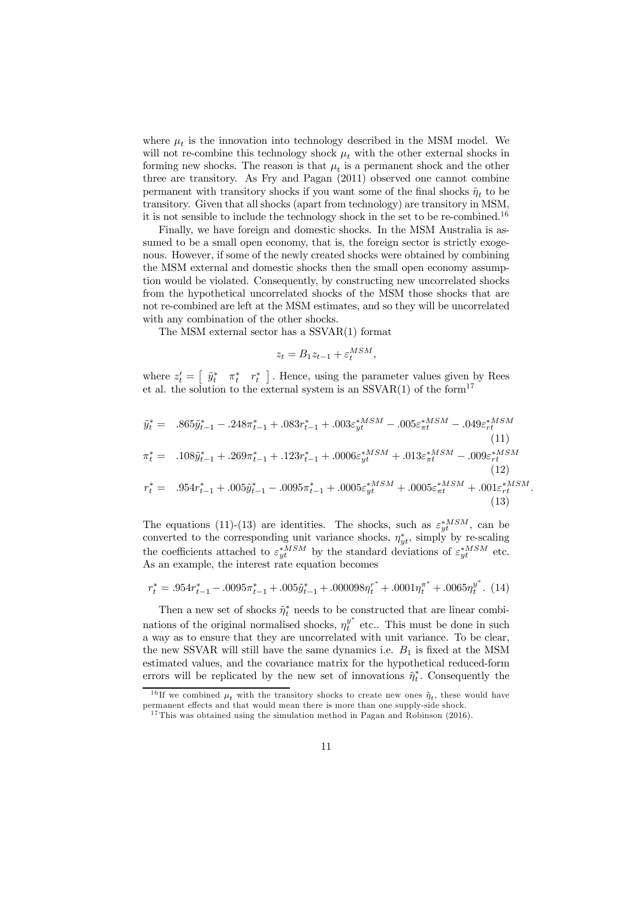where  $\mu_t$  is the innovation into technology described in the MSM model. We will not re-combine this technology shock  $\mu_t$  with the other external shocks in forming new shocks. The reason is that  $\mu_t$  is a permanent shock and the other three are transitory. As Fry and Pagan (2011) observed one cannot combine permanent with transitory shocks if you want some of the final shocks  $\tilde{\eta}_t$  to be transitory. Given that all shocks (apart from technology) are transitory in MSM, it is not sensible to include the technology shock in the set to be re-combined.<sup>16</sup>

Finally, we have foreign and domestic shocks. In the MSM Australia is assumed to be a small open economy, that is, the foreign sector is strictly exogenous. However, if some of the newly created shocks were obtained by combining the MSM external and domestic shocks then the small open economy assumption would be violated. Consequently, by constructing new uncorrelated shocks from the hypothetical uncorrelated shocks of the MSM those shocks that are not re-combined are left at the MSM estimates, and so they will be uncorrelated with any combination of the other shocks.

The MSM external sector has a SSVAR(1) format

$$
z_t = B_1 z_{t-1} + \varepsilon_t^{MSM}
$$

,

(13)

where  $z_t' = \begin{bmatrix} \tilde{y}_t^* & \pi_t^* & r_t^* \end{bmatrix}$ . Hence, using the parameter values given by Rees et al. the solution to the external system is an  $SSVAR(1)$  of the form<sup>17</sup>

$$
\tilde{y}_{t}^{*} = .865\tilde{y}_{t-1}^{*} - .248\pi_{t-1}^{*} + .083r_{t-1}^{*} + .003\varepsilon_{yt}^{*MSM} - .005\varepsilon_{\pi t}^{*MSM} - .049\varepsilon_{rt}^{*MSM}
$$
\n(11)  
\n
$$
\pi_{t}^{*} = .108\tilde{y}_{t-1}^{*} + .269\pi_{t-1}^{*} + .123r_{t-1}^{*} + .0006\varepsilon_{yt}^{*MSM} + .013\varepsilon_{\pi t}^{*MSM} - .009\varepsilon_{rt}^{*MSM}
$$
\n(12)  
\n
$$
r_{t}^{*} = .954r_{t-1}^{*} + .005\tilde{y}_{t-1}^{*} - .0095\pi_{t-1}^{*} + .0005\varepsilon_{yt}^{*MSM} + .0005\varepsilon_{\pi t}^{*MSM} + .001\varepsilon_{rt}^{*MSM}.
$$

The equations (11)-(13) are identities. The shocks, such as  $\varepsilon_{yt}^{*MSM}$ , can be converted to the corresponding unit variance shocks,  $\eta_{yt}^*$ , simply by re-scaling the coefficients attached to  $\varepsilon_{yt}^{*MSM}$  by the standard deviations of  $\varepsilon_{yt}^{*MSM}$  etc. As an example, the interest rate equation becomes

$$
r_{t}^{*} = .954r_{t-1}^{*} - .0095\pi_{t-1}^{*} + .005\tilde{y}_{t-1}^{*} + .000098\eta_{t}^{r^{*}} + .0001\eta_{t}^{\pi^{*}} + .0065\eta_{t}^{y^{*}}.
$$
 (14)

Then a new set of shocks  $\tilde{\eta}^*_{t}$  needs to be constructed that are linear combinations of the original normalised shocks,  $\eta_t^{y^*}$  etc.. This must be done in such a way as to ensure that they are uncorrelated with unit variance. To be clear, the new SSVAR will still have the same dynamics i.e.  $B_1$  is fixed at the MSM estimated values, and the covariance matrix for the hypothetical reduced-form errors will be replicated by the new set of innovations  $\tilde{\eta}_t^*$  $_{t}^{*}$ . Consequently the

<sup>&</sup>lt;sup>16</sup>If we combined  $\mu_t$  with the transitory shocks to create new ones  $\tilde{\eta}_t$ , these would have permanent effects and that would mean there is more than one supply-side shock.

<sup>&</sup>lt;sup>17</sup> This was obtained using the simulation method in Pagan and Robinson  $(2016)$ .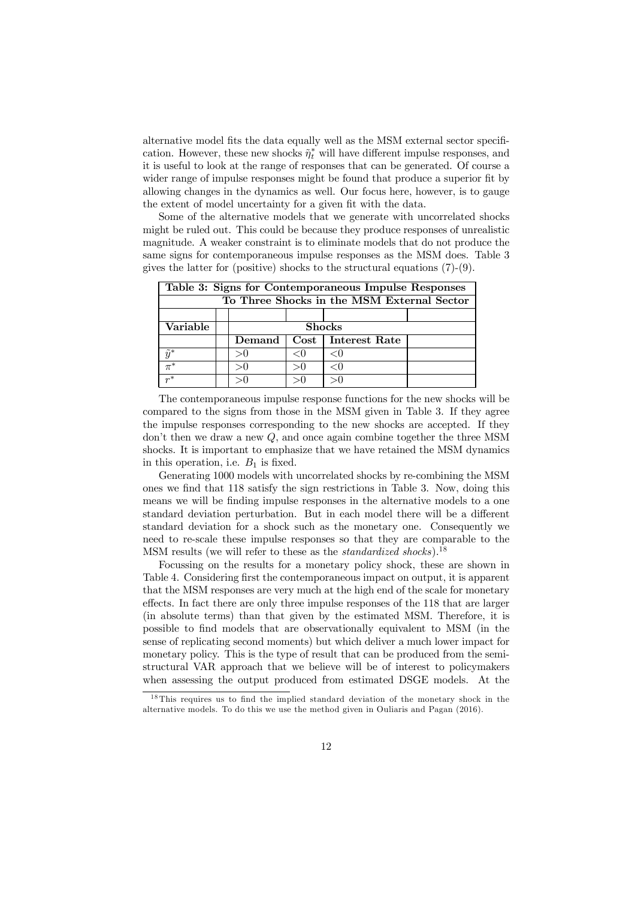alternative model fits the data equally well as the MSM external sector specification. However, these new shocks  $\tilde{\eta}_t^*$  will have different impulse responses, and it is useful to look at the range of responses that can be generated. Of course a wider range of impulse responses might be found that produce a superior fit by allowing changes in the dynamics as well. Our focus here, however, is to gauge the extent of model uncertainty for a given fit with the data.

Some of the alternative models that we generate with uncorrelated shocks might be ruled out. This could be because they produce responses of unrealistic magnitude. A weaker constraint is to eliminate models that do not produce the same signs for contemporaneous impulse responses as the MSM does. Table 3 gives the latter for (positive) shocks to the structural equations (7)-(9).

| Table 3: Signs for Contemporaneous Impulse Responses |  |               |  |                      |  |
|------------------------------------------------------|--|---------------|--|----------------------|--|
| To Three Shocks in the MSM External Sector           |  |               |  |                      |  |
|                                                      |  |               |  |                      |  |
| Variable                                             |  | <b>Shocks</b> |  |                      |  |
|                                                      |  | Demand        |  | Cost   Interest Rate |  |
| $\tilde{y}^*$                                        |  | >∪            |  | $<$ ( )              |  |
| $\pi^*$                                              |  |               |  | $<$ ( )              |  |
| $r^*$                                                |  |               |  |                      |  |

The contemporaneous impulse response functions for the new shocks will be compared to the signs from those in the MSM given in Table 3. If they agree the impulse responses corresponding to the new shocks are accepted. If they don't then we draw a new Q, and once again combine together the three MSM shocks. It is important to emphasize that we have retained the MSM dynamics in this operation, i.e.  $B_1$  is fixed.

Generating 1000 models with uncorrelated shocks by re-combining the MSM ones we find that 118 satisfy the sign restrictions in Table 3. Now, doing this means we will be finding impulse responses in the alternative models to a one standard deviation perturbation. But in each model there will be a different standard deviation for a shock such as the monetary one. Consequently we need to re-scale these impulse responses so that they are comparable to the MSM results (we will refer to these as the *standardized shocks*).<sup>18</sup>

Focussing on the results for a monetary policy shock, these are shown in Table 4. Considering first the contemporaneous impact on output, it is apparent that the MSM responses are very much at the high end of the scale for monetary effects. In fact there are only three impulse responses of the 118 that are larger (in absolute terms) than that given by the estimated MSM. Therefore, it is possible to find models that are observationally equivalent to MSM (in the sense of replicating second moments) but which deliver a much lower impact for monetary policy. This is the type of result that can be produced from the semistructural VAR approach that we believe will be of interest to policymakers when assessing the output produced from estimated DSGE models. At the

 $18$  This requires us to find the implied standard deviation of the monetary shock in the alternative models. To do this we use the method given in Ouliaris and Pagan (2016).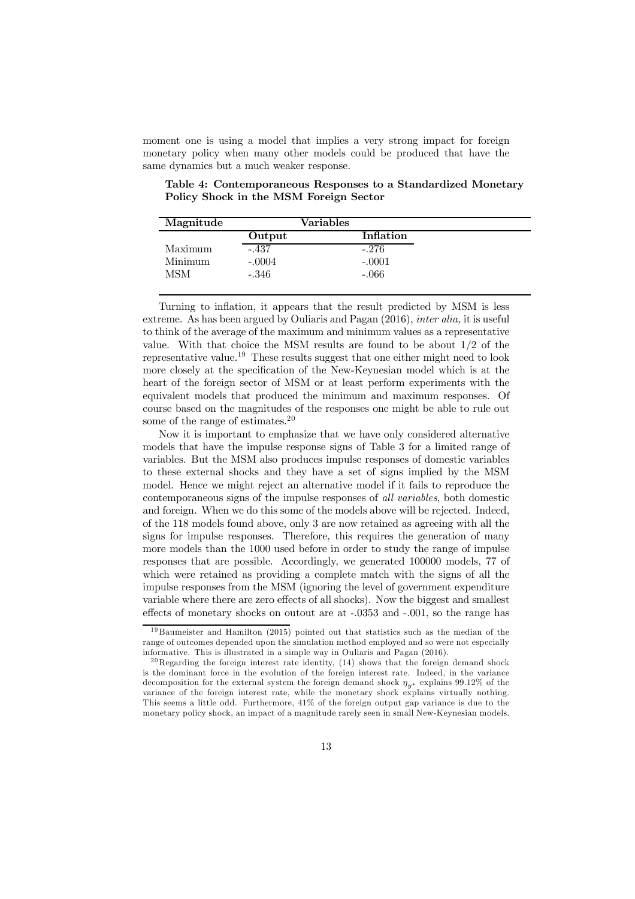moment one is using a model that implies a very strong impact for foreign monetary policy when many other models could be produced that have the same dynamics but a much weaker response.

| Magnitude |          | Variables |
|-----------|----------|-----------|
|           | Output   | Inflation |
| Maximum   | $-.437$  | $-.276$   |
| Minimum   | $-.0004$ | $-.0001$  |
| MSM       | $-.346$  | $-.066$   |

Table 4: Contemporaneous Responses to a Standardized Monetary Policy Shock in the MSM Foreign Sector

Turning to inflation, it appears that the result predicted by MSM is less extreme. As has been argued by Ouliaris and Pagan (2016), inter alia, it is useful to think of the average of the maximum and minimum values as a representative value. With that choice the MSM results are found to be about 1/2 of the representative value.<sup>19</sup> These results suggest that one either might need to look more closely at the specification of the New-Keynesian model which is at the heart of the foreign sector of MSM or at least perform experiments with the equivalent models that produced the minimum and maximum responses. Of course based on the magnitudes of the responses one might be able to rule out some of the range of estimates.<sup>20</sup>

Now it is important to emphasize that we have only considered alternative models that have the impulse response signs of Table 3 for a limited range of variables. But the MSM also produces impulse responses of domestic variables to these external shocks and they have a set of signs implied by the MSM model. Hence we might reject an alternative model if it fails to reproduce the contemporaneous signs of the impulse responses of all variables, both domestic and foreign. When we do this some of the models above will be rejected. Indeed, of the 118 models found above, only 3 are now retained as agreeing with all the signs for impulse responses. Therefore, this requires the generation of many more models than the 1000 used before in order to study the range of impulse responses that are possible. Accordingly, we generated 100000 models, 77 of which were retained as providing a complete match with the signs of all the impulse responses from the MSM (ignoring the level of government expenditure variable where there are zero effects of all shocks). Now the biggest and smallest effects of monetary shocks on outout are at -.0353 and -.001, so the range has

<sup>&</sup>lt;sup>19</sup> Baumeister and Hamilton (2015) pointed out that statistics such as the median of the range of outcomes depended upon the simulation method employed and so were not especially informative. This is illustrated in a simple way in Ouliaris and Pagan (2016).

<sup>&</sup>lt;sup>20</sup> Regarding the foreign interest rate identity,  $(14)$  shows that the foreign demand shock is the dominant force in the evolution of the foreign interest rate. Indeed, in the variance decomposition for the external system the foreign demand shock  $\eta_{v^*}$  explains 99.12% of the variance of the foreign interest rate, while the monetary shock explains virtually nothing. This seems a little odd. Furthermore, 41% of the foreign output gap variance is due to the monetary policy shock, an impact of a magnitude rarely seen in small New-Keynesian models.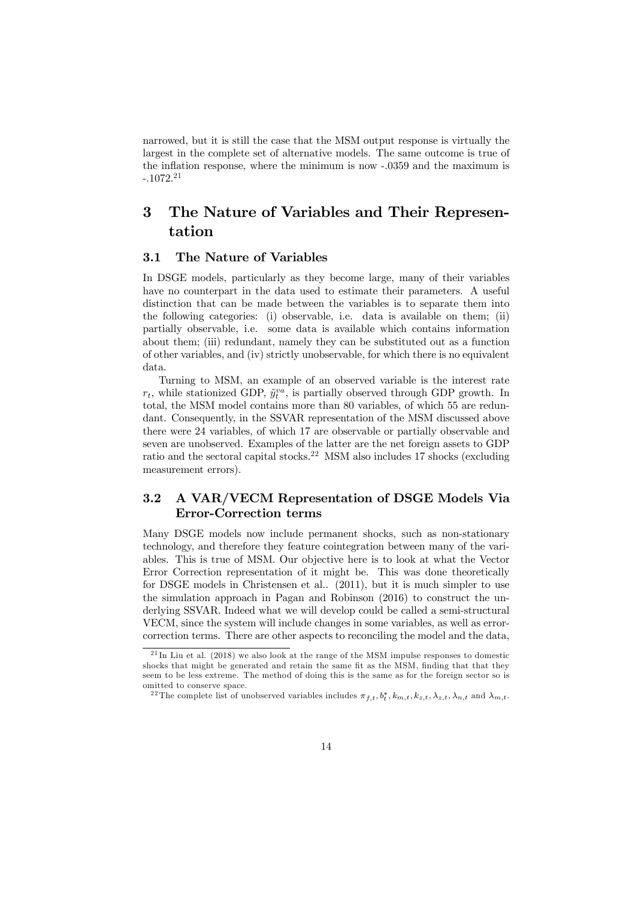narrowed, but it is still the case that the MSM output response is virtually the largest in the complete set of alternative models. The same outcome is true of the inflation response, where the minimum is now -.0359 and the maximum is  $-.1072.<sup>21</sup>$ 

# 3 The Nature of Variables and Their Representation

### 3.1 The Nature of Variables

In DSGE models, particularly as they become large, many of their variables have no counterpart in the data used to estimate their parameters. A useful distinction that can be made between the variables is to separate them into the following categories: (i) observable, i.e. data is available on them; (ii) partially observable, i.e. some data is available which contains information about them; (iii) redundant, namely they can be substituted out as a function of other variables, and (iv) strictly unobservable, for which there is no equivalent data.

Turning to MSM, an example of an observed variable is the interest rate  $r_t$ , while stationized GDP,  $\tilde{y}_t^{va}$ , is partially observed through GDP growth. In total, the MSM model contains more than 80 variables, of which 55 are redundant. Consequently, in the SSVAR representation of the MSM discussed above there were 24 variables, of which 17 are observable or partially observable and seven are unobserved. Examples of the latter are the net foreign assets to GDP ratio and the sectoral capital stocks.<sup>22</sup> MSM also includes 17 shocks (excluding measurement errors).

### 3.2 A VAR/VECM Representation of DSGE Models Via Error-Correction terms

Many DSGE models now include permanent shocks, such as non-stationary technology, and therefore they feature cointegration between many of the variables. This is true of MSM. Our objective here is to look at what the Vector Error Correction representation of it might be. This was done theoretically for DSGE models in Christensen et al.. (2011), but it is much simpler to use the simulation approach in Pagan and Robinson (2016) to construct the underlying SSVAR. Indeed what we will develop could be called a semi-structural VECM, since the system will include changes in some variables, as well as errorcorrection terms. There are other aspects to reconciling the model and the data,

 $21 \text{In}$  Liu et al. (2018) we also look at the range of the MSM impulse responses to domestic shocks that might be generated and retain the same fit as the MSM, finding that that they seem to be less extreme. The method of doing this is the same as for the foreign sector so is omitted to conserve space.

<sup>&</sup>lt;sup>22</sup> The complete list of unobserved variables includes  $\pi_{f,t}, b_t^*, k_{m,t}, k_{z,t}, \lambda_{z,t}, \lambda_{n,t}$  and  $\lambda_{m,t}$ .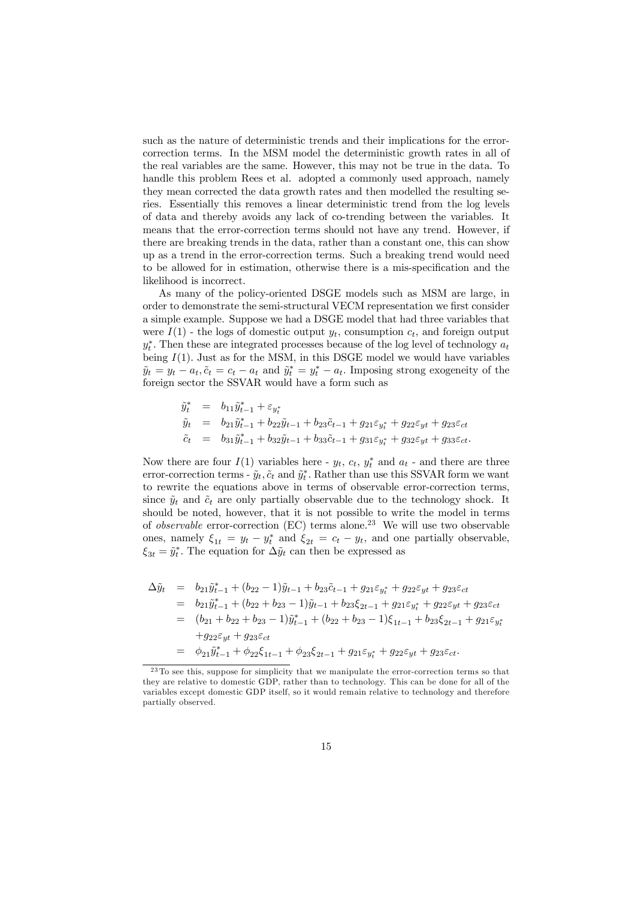such as the nature of deterministic trends and their implications for the errorcorrection terms. In the MSM model the deterministic growth rates in all of the real variables are the same. However, this may not be true in the data. To handle this problem Rees et al. adopted a commonly used approach, namely they mean corrected the data growth rates and then modelled the resulting series. Essentially this removes a linear deterministic trend from the log levels of data and thereby avoids any lack of co-trending between the variables. It means that the error-correction terms should not have any trend. However, if there are breaking trends in the data, rather than a constant one, this can show up as a trend in the error-correction terms. Such a breaking trend would need to be allowed for in estimation, otherwise there is a mis-specification and the likelihood is incorrect.

As many of the policy-oriented DSGE models such as MSM are large, in order to demonstrate the semi-structural VECM representation we first consider a simple example. Suppose we had a DSGE model that had three variables that were  $I(1)$  - the logs of domestic output  $y_t$ , consumption  $c_t$ , and foreign output  $y_t^*$ . Then these are integrated processes because of the log level of technology  $a_t$ being  $I(1)$ . Just as for the MSM, in this DSGE model we would have variables  $\tilde{y}_t = y_t - a_t, \tilde{c}_t = c_t - a_t$  and  $\tilde{y}_t^* = y_t^* - a_t$ . Imposing strong exogeneity of the foreign sector the SSVAR would have a form such as

$$
\begin{array}{rcl}\n\tilde{y}^*_t & = & b_{11}\tilde{y}^*_{t-1} + \varepsilon_{y^*_t} \\
\tilde{y}_t & = & b_{21}\tilde{y}^*_{t-1} + b_{22}\tilde{y}_{t-1} + b_{23}\tilde{c}_{t-1} + g_{21}\varepsilon_{y^*_t} + g_{22}\varepsilon_{yt} + g_{23}\varepsilon_{ct} \\
\tilde{c}_t & = & b_{31}\tilde{y}^*_{t-1} + b_{32}\tilde{y}_{t-1} + b_{33}\tilde{c}_{t-1} + g_{31}\varepsilon_{y^*_t} + g_{32}\varepsilon_{yt} + g_{33}\varepsilon_{ct}.\n\end{array}
$$

Now there are four  $I(1)$  variables here -  $y_t$ ,  $c_t$ ,  $y_t^*$  and  $a_t$  - and there are three error-correction terms -  $\tilde{y}_t$ ,  $\tilde{c}_t$  and  $\tilde{y}_t^*$ . Rather than use this SSVAR form we want to rewrite the equations above in terms of observable error-correction terms, since  $\tilde{y}_t$  and  $\tilde{c}_t$  are only partially observable due to the technology shock. It should be noted, however, that it is not possible to write the model in terms of *observable* error-correction (EC) terms alone.<sup>23</sup> We will use two observable ones, namely  $\xi_{1t} = y_t - y_t^*$  and  $\xi_{2t} = c_t - y_t$ , and one partially observable,  $\xi_{3t} = \tilde{y}_t^*$ . The equation for  $\Delta \tilde{y}_t$  can then be expressed as

$$
\Delta \tilde{y}_t = b_{21} \tilde{y}_{t-1}^* + (b_{22} - 1) \tilde{y}_{t-1} + b_{23} \tilde{c}_{t-1} + g_{21} \varepsilon_{y_t^*} + g_{22} \varepsilon_{y_t} + g_{23} \varepsilon_{ct}
$$
  
\n
$$
= b_{21} \tilde{y}_{t-1}^* + (b_{22} + b_{23} - 1) \tilde{y}_{t-1} + b_{23} \varepsilon_{2t-1} + g_{21} \varepsilon_{y_t^*} + g_{22} \varepsilon_{y_t} + g_{23} \varepsilon_{ct}
$$
  
\n
$$
= (b_{21} + b_{22} + b_{23} - 1) \tilde{y}_{t-1}^* + (b_{22} + b_{23} - 1) \varepsilon_{1t-1} + b_{23} \varepsilon_{2t-1} + g_{21} \varepsilon_{y_t^*}
$$
  
\n
$$
+ g_{22} \varepsilon_{yt} + g_{23} \varepsilon_{ct}
$$
  
\n
$$
= \phi_{21} \tilde{y}_{t-1}^* + \phi_{22} \varepsilon_{1t-1} + \phi_{23} \varepsilon_{2t-1} + g_{21} \varepsilon_{y_t^*} + g_{22} \varepsilon_{yt} + g_{23} \varepsilon_{ct}.
$$

 $23$  To see this, suppose for simplicity that we manipulate the error-correction terms so that they are relative to domestic GDP, rather than to technology. This can be done for all of the variables except domestic GDP itself, so it would remain relative to technology and therefore partially observed.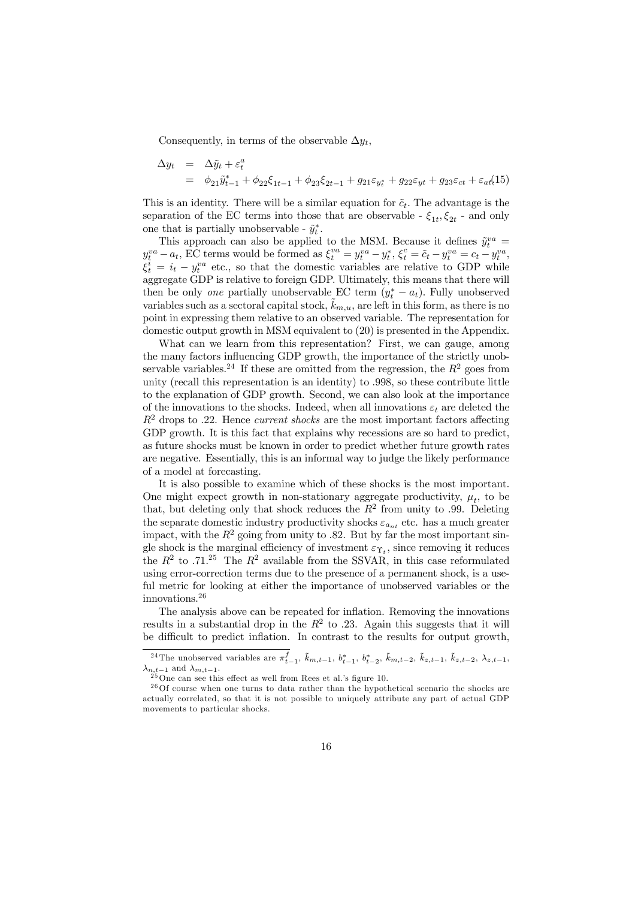Consequently, in terms of the observable  $\Delta y_t$ ,

$$
\Delta y_t = \Delta \tilde{y}_t + \varepsilon_t^a
$$
  
=  $\phi_{21} \tilde{y}_{t-1}^* + \phi_{22} \xi_{1t-1} + \phi_{23} \xi_{2t-1} + g_{21} \varepsilon_{y_t^*} + g_{22} \varepsilon_{yt} + g_{23} \varepsilon_{ct} + \varepsilon_{at} (15)$ 

This is an identity. There will be a similar equation for  $\tilde{c}_t$ . The advantage is the separation of the EC terms into those that are observable -  $\xi_{1t}, \xi_{2t}$  - and only one that is partially unobservable -  $\tilde{y}_t^*$ .

This approach can also be applied to the MSM. Because it defines  $\tilde{y}^{va}_t =$  $y_t^{va} - a_t$ , EC terms would be formed as  $\xi_t^{va} = y_t^{va} - y_t^*, \xi_t^c = \tilde{c}_t - y_t^{va} = c_t - y_t^{va}$ ,  $\xi_t^i = i_t - y_t^{va}$  etc., so that the domestic variables are relative to GDP while aggregate GDP is relative to foreign GDP. Ultimately, this means that there will then be only *one* partially unobservable EC term  $(y_t^* - a_t)$ . Fully unobserved variables such as a sectoral capital stock,  $k_{m,u}$ , are left in this form, as there is no point in expressing them relative to an observed variable. The representation for domestic output growth in MSM equivalent to (20) is presented in the Appendix.

What can we learn from this representation? First, we can gauge, among the many factors influencing GDP growth, the importance of the strictly unobservable variables.<sup>24</sup> If these are omitted from the regression, the  $R^2$  goes from unity (recall this representation is an identity) to .998, so these contribute little to the explanation of GDP growth. Second, we can also look at the importance of the innovations to the shocks. Indeed, when all innovations  $\varepsilon_t$  are deleted the  $R<sup>2</sup>$  drops to .22. Hence *current shocks* are the most important factors affecting GDP growth. It is this fact that explains why recessions are so hard to predict, as future shocks must be known in order to predict whether future growth rates are negative. Essentially, this is an informal way to judge the likely performance of a model at forecasting.

It is also possible to examine which of these shocks is the most important. One might expect growth in non-stationary aggregate productivity,  $\mu_t$ , to be that, but deleting only that shock reduces the  $R^2$  from unity to .99. Deleting the separate domestic industry productivity shocks  $\varepsilon_{a_{nt}}$  etc. has a much greater impact, with the  $R^2$  going from unity to .82. But by far the most important single shock is the marginal efficiency of investment  $\varepsilon_{\Upsilon_t}$ , since removing it reduces the  $R^2$  to .71.<sup>25</sup> The  $R^2$  available from the SSVAR, in this case reformulated using error-correction terms due to the presence of a permanent shock, is a useful metric for looking at either the importance of unobserved variables or the innovations.<sup>26</sup>

The analysis above can be repeated for inflation. Removing the innovations results in a substantial drop in the  $R^2$  to .23. Again this suggests that it will be difficult to predict inflation. In contrast to the results for output growth,

<sup>&</sup>lt;sup>24</sup>The unobserved variables are  $\pi_{t-1}^f$ ,  $\tilde{k}_{m,t-1}$ ,  $b_{t-1}^*$ ,  $b_{t-2}^*$ ,  $\tilde{k}_{m,t-2}$ ,  $\tilde{k}_{z,t-1}$ ,  $\tilde{k}_{z,t-2}$ ,  $\lambda_{z,t-1}$ ,  $\lambda_{n,t-1}$  and  $\lambda_{m,t-1}$ .<br><sup>25</sup>One can see this effect as well from Rees et al.'s figure 10.

 $26$ Of course when one turns to data rather than the hypothetical scenario the shocks are actually correlated, so that it is not possible to uniquely attribute any part of actual GDP movements to particular shocks.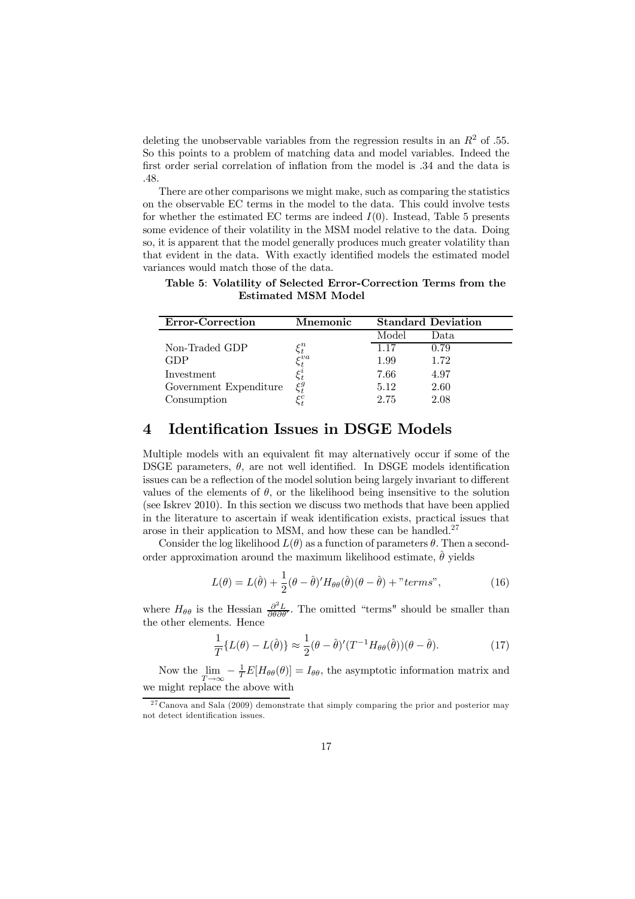deleting the unobservable variables from the regression results in an  $R<sup>2</sup>$  of .55. So this points to a problem of matching data and model variables. Indeed the first order serial correlation of inflation from the model is .34 and the data is .48.

There are other comparisons we might make, such as comparing the statistics on the observable EC terms in the model to the data. This could involve tests for whether the estimated EC terms are indeed  $I(0)$ . Instead, Table 5 presents some evidence of their volatility in the MSM model relative to the data. Doing so, it is apparent that the model generally produces much greater volatility than that evident in the data. With exactly identified models the estimated model variances would match those of the data.

| <b>Error-Correction</b> | Mnemonic         |       | <b>Standard Deviation</b> |
|-------------------------|------------------|-------|---------------------------|
|                         |                  | Model | Data                      |
| Non-Traded GDP          | $\xi_t^n$        | 1 1 7 | 0.79                      |
| GDP                     | $_{\epsilon}$ va | 1.99  | 1.72                      |
| Investment              |                  | 7.66  | 4.97                      |
| Government Expenditure  | $\xi_{i}^{g}$    | 5.12  | 2.60                      |
| Consumption             |                  | 2.75  | 2.08                      |

Table 5: Volatility of Selected Error-Correction Terms from the Estimated MSM Model

### 4 Identification Issues in DSGE Models

Multiple models with an equivalent fit may alternatively occur if some of the DSGE parameters,  $\theta$ , are not well identified. In DSGE models identification issues can be a reflection of the model solution being largely invariant to different values of the elements of  $\theta$ , or the likelihood being insensitive to the solution (see Iskrev 2010). In this section we discuss two methods that have been applied in the literature to ascertain if weak identification exists, practical issues that arose in their application to MSM, and how these can be handled.<sup>27</sup>

Consider the log likelihood  $L(\theta)$  as a function of parameters  $\theta$ . Then a secondorder approximation around the maximum likelihood estimate,  $\hat{\theta}$  yields

$$
L(\theta) = L(\hat{\theta}) + \frac{1}{2}(\theta - \hat{\theta})' H_{\theta\theta}(\hat{\theta})(\theta - \hat{\theta}) + "terms",
$$
\n(16)

where  $H_{\theta\theta}$  is the Hessian  $\frac{\partial^2 L}{\partial \theta \partial \theta'}$ . The omitted "terms" should be smaller than the other elements. Hence

$$
\frac{1}{T}\lbrace L(\theta) - L(\hat{\theta})\rbrace \approx \frac{1}{2}(\theta - \hat{\theta})'(T^{-1}H_{\theta\theta}(\hat{\theta}))(\theta - \hat{\theta}).
$$
\n(17)

Now the  $\lim_{T\to\infty} -\frac{1}{T}E[H_{\theta\theta}(\theta)]=I_{\theta\theta}$ , the asymptotic information matrix and we might replace the above with

<sup>&</sup>lt;sup>27</sup> Canova and Sala (2009) demonstrate that simply comparing the prior and posterior may not detect identification issues.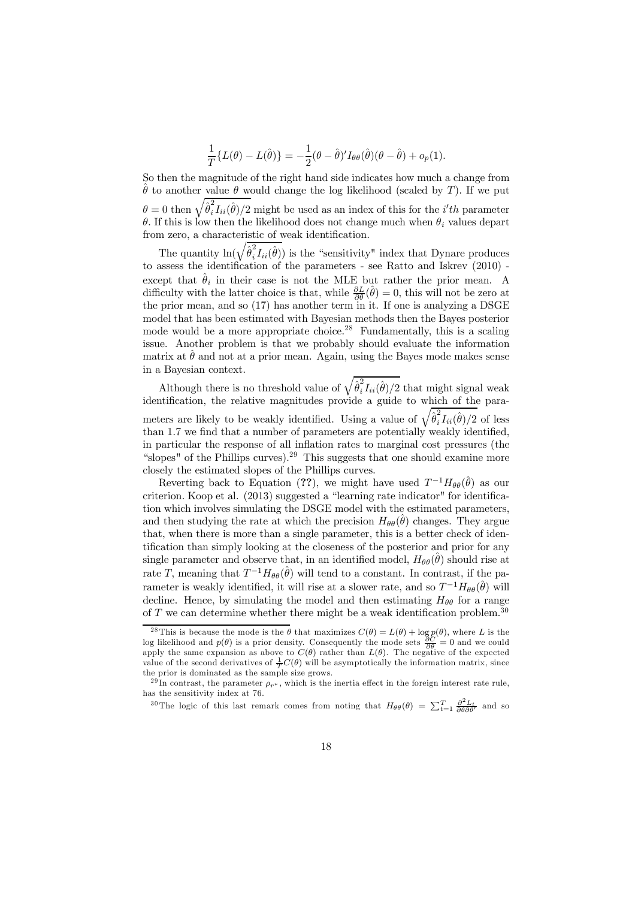$$
\frac{1}{T}\lbrace L(\theta) - L(\hat{\theta})\rbrace = -\frac{1}{2}(\theta - \hat{\theta})'I_{\theta\theta}(\hat{\theta})(\theta - \hat{\theta}) + o_p(1).
$$

So then the magnitude of the right hand side indicates how much a change from  $\hat{\theta}$  to another value  $\theta$  would change the log likelihood (scaled by T). If we put  $\theta = 0$  then  $\sqrt{\hat{\theta}_i^2}$  $i_l^2 I_{ii}(\hat{\theta})/2$  might be used as an index of this for the *i'th* parameter θ. If this is low then the likelihood does not change much when  $θ_i$  values depart from zero, a characteristic of weak identification.

The quantity  $\ln(\sqrt{\hat{\theta}_i^2})$  $i_l^2 I_{ii}(\hat{\theta})$  is the "sensitivity" index that Dynare produces to assess the identification of the parameters - see Ratto and Iskrev  $(2010)$  except that  $\hat{\theta}_i$  in their case is not the MLE but rather the prior mean. A difficulty with the latter choice is that, while  $\frac{\partial L}{\partial \theta}(\hat{\theta}) = 0$ , this will not be zero at the prior mean, and so  $(17)$  has another term in it. If one is analyzing a DSGE model that has been estimated with Bayesian methods then the Bayes posterior mode would be a more appropriate choice.<sup>28</sup> Fundamentally, this is a scaling issue. Another problem is that we probably should evaluate the information matrix at  $\hat{\theta}$  and not at a prior mean. Again, using the Bayes mode makes sense in a Bayesian context.

Although there is no threshold value of  $\sqrt{\hat{\theta}_i^2}$  $i_l^2 I_{ii}(\hat{\theta})/2$  that might signal weak identification, the relative magnitudes provide a guide to which of the parameters are likely to be weakly identified. Using a value of  $\sqrt{\hat{\theta}_i^2}$  $i_I^2 I_{ii}(\hat{\theta})/2$  of less than 1.7 we find that a number of parameters are potentially weakly identified, in particular the response of all inflation rates to marginal cost pressures (the "slopes" of the Phillips curves).<sup>29</sup> This suggests that one should examine more closely the estimated slopes of the Phillips curves.

Reverting back to Equation (??), we might have used  $T^{-1}H_{\theta\theta}(\hat{\theta})$  as our criterion. Koop et al. (2013) suggested a "learning rate indicator" for identification which involves simulating the DSGE model with the estimated parameters, and then studying the rate at which the precision  $H_{\theta\theta}(\hat{\theta})$  changes. They argue that, when there is more than a single parameter, this is a better check of identification than simply looking at the closeness of the posterior and prior for any single parameter and observe that, in an identified model,  $H_{\theta\theta}(\hat{\theta})$  should rise at rate T, meaning that  $T^{-1}H_{\theta\theta}(\hat{\theta})$  will tend to a constant. In contrast, if the parameter is weakly identified, it will rise at a slower rate, and so  $T^{-1}H_{\theta\theta}(\hat{\theta})$  will decline. Hence, by simulating the model and then estimating  $H_{\theta\theta}$  for a range of  $T$  we can determine whether there might be a weak identification problem.<sup>30</sup>

<sup>&</sup>lt;sup>28</sup> This is because the mode is the  $\theta$  that maximizes  $C(\theta) = L(\theta) + \log p(\theta)$ , where L is the log likelihood and  $p(\theta)$  is a prior density. Consequently the mode sets  $\frac{\partial C}{\partial \theta} = 0$  and we could apply the same expansion as above to  $C(\theta)$  rather than  $L(\theta)$ . The negative of the expected value of the second derivatives of  $\frac{1}{T}C(\theta)$  will be asymptotically the information matrix, since the prior is dominated as the sample size grows.

<sup>&</sup>lt;sup>29</sup>In contrast, the parameter  $\rho_{r^*}$ , which is the inertia effect in the foreign interest rate rule, has the sensitivity index at 76.

<sup>&</sup>lt;sup>30</sup>The logic of this last remark comes from noting that  $H_{\theta\theta}(\theta) = \sum_{t=1}^{T} \frac{\partial^2 L_t}{\partial \theta \partial \theta'}$  and so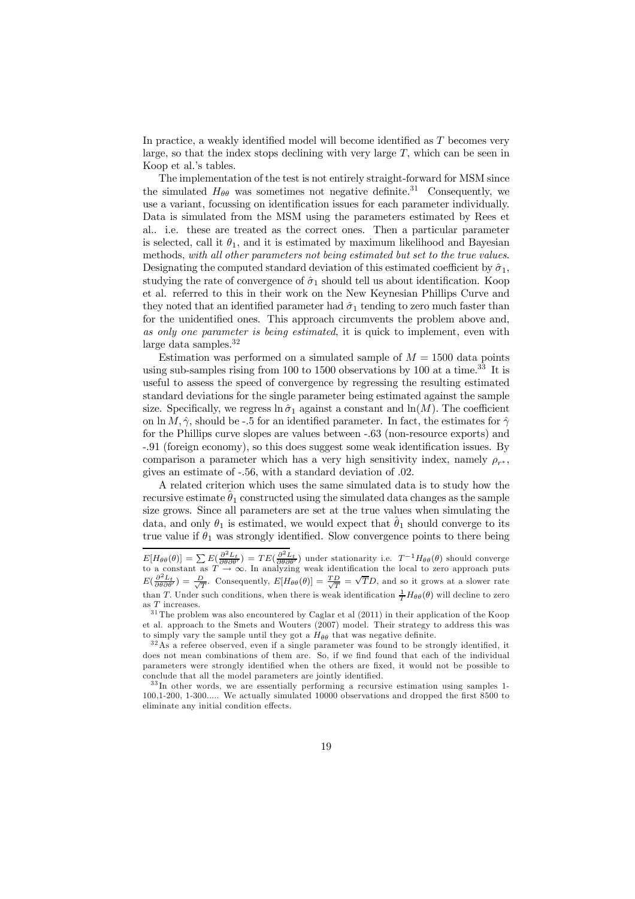In practice, a weakly identified model will become identified as T becomes very large, so that the index stops declining with very large  $T$ , which can be seen in Koop et al.'s tables.

The implementation of the test is not entirely straight-forward for MSM since the simulated  $H_{\theta\theta}$  was sometimes not negative definite.<sup>31</sup> Consequently, we use a variant, focussing on identification issues for each parameter individually. Data is simulated from the MSM using the parameters estimated by Rees et al.. i.e. these are treated as the correct ones. Then a particular parameter is selected, call it  $\theta_1$ , and it is estimated by maximum likelihood and Bayesian methods, with all other parameters not being estimated but set to the true values. Designating the computed standard deviation of this estimated coefficient by  $\hat{\sigma}_1$ , studying the rate of convergence of  $\hat{\sigma}_1$  should tell us about identification. Koop et al. referred to this in their work on the New Keynesian Phillips Curve and they noted that an identified parameter had  $\hat{\sigma}_1$  tending to zero much faster than for the unidentified ones. This approach circumvents the problem above and, as only one parameter is being estimated, it is quick to implement, even with large data samples.<sup>32</sup>

Estimation was performed on a simulated sample of  $M = 1500$  data points using sub-samples rising from 100 to 1500 observations by 100 at a time.<sup>33</sup> It is useful to assess the speed of convergence by regressing the resulting estimated standard deviations for the single parameter being estimated against the sample size. Specifically, we regress  $\ln \hat{\sigma}_1$  against a constant and  $\ln(M)$ . The coefficient on ln M,  $\hat{\gamma}$ , should be -.5 for an identified parameter. In fact, the estimates for  $\hat{\gamma}$ for the Phillips curve slopes are values between -.63 (non-resource exports) and -.91 (foreign economy), so this does suggest some weak identification issues. By comparison a parameter which has a very high sensitivity index, namely  $\rho_{r^*}$ , gives an estimate of -.56, with a standard deviation of .02.

A related criterion which uses the same simulated data is to study how the recursive estimate  $\hat{\theta}_1$  constructed using the simulated data changes as the sample size grows. Since all parameters are set at the true values when simulating the data, and only  $\theta_1$  is estimated, we would expect that  $\theta_1$  should converge to its true value if  $\theta_1$  was strongly identified. Slow convergence points to there being

 $E[H_{\theta\theta}(\theta)] = \sum E(\frac{\partial^2 L_t}{\partial \theta \partial \theta'}) = TE(\frac{\partial^2 L_t}{\partial \theta \partial \theta'})$  under stationarity i.e.  $T^{-1}H_{\theta\theta}(\theta)$  should converge to a constant as  $T \to \infty$ . In analyzing weak identification the local to zero approach puts  $E(\frac{\partial^2 L_t}{\partial \theta \partial \theta'}) = \frac{D}{\sqrt{T}}$ . Consequently,  $E[H_{\theta\theta}(\theta)] = \frac{TD}{\sqrt{T}} = \sqrt{T}D$ , and so it grows at a slower rate than T. Under such conditions, when there is weak identification  $\frac{1}{T}H_{\theta\theta}(\theta)$  will decline to zero as T increases.

 $31$  The problem was also encountered by Caglar et al (2011) in their application of the Koop et al. approach to the Smets and Wouters (2007) model. Their strategy to address this was to simply vary the sample until they got a  $H_{\theta\theta}$  that was negative definite.

<sup>3 2</sup>As a referee observed, even if a single parameter was found to be strongly identified, it does not mean combinations of them are. So, if we find found that each of the individual parameters were strongly identified when the others are fixed, it would not be possible to conclude that all the model parameters are jointly identified.

<sup>&</sup>lt;sup>33</sup>In other words, we are essentially performing a recursive estimation using samples 1-100,1-200, 1-300..... We actually simulated 10000 observations and dropped the first 8500 to eliminate any initial condition effects.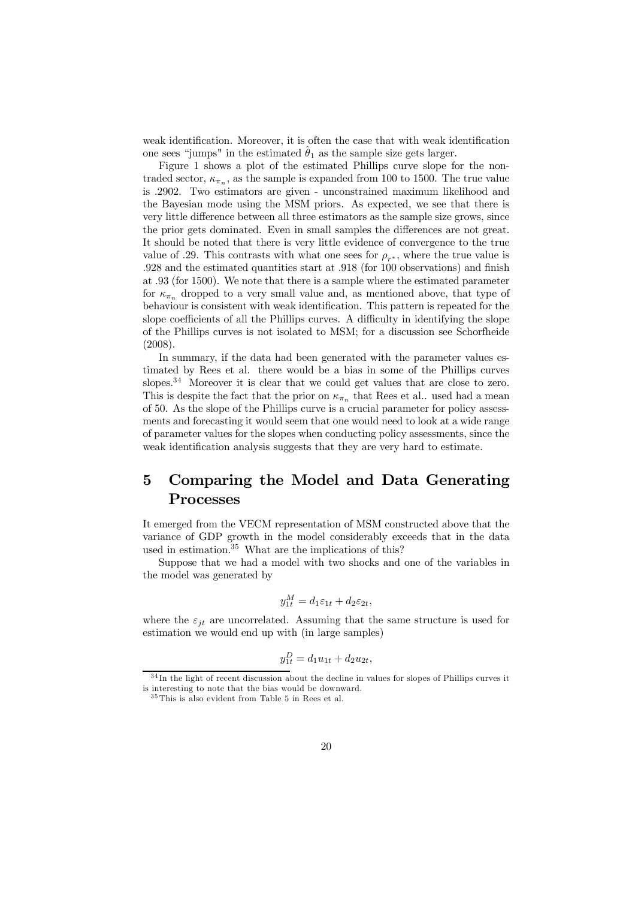weak identification. Moreover, it is often the case that with weak identification one sees "jumps" in the estimated  $\hat{\theta}_1$  as the sample size gets larger.

Figure 1 shows a plot of the estimated Phillips curve slope for the nontraded sector,  $\kappa_{\pi_n}$ , as the sample is expanded from 100 to 1500. The true value is .2902. Two estimators are given - unconstrained maximum likelihood and the Bayesian mode using the MSM priors. As expected, we see that there is very little difference between all three estimators as the sample size grows, since the prior gets dominated. Even in small samples the differences are not great. It should be noted that there is very little evidence of convergence to the true value of .29. This contrasts with what one sees for  $\rho_{r^*}$ , where the true value is .928 and the estimated quantities start at .918 (for 100 observations) and finish at .93 (for 1500). We note that there is a sample where the estimated parameter for  $\kappa_{\pi_n}$  dropped to a very small value and, as mentioned above, that type of behaviour is consistent with weak identification. This pattern is repeated for the slope coefficients of all the Phillips curves. A difficulty in identifying the slope of the Phillips curves is not isolated to MSM; for a discussion see Schorfheide (2008).

In summary, if the data had been generated with the parameter values estimated by Rees et al. there would be a bias in some of the Phillips curves slopes.<sup>34</sup> Moreover it is clear that we could get values that are close to zero. This is despite the fact that the prior on  $\kappa_{\pi_n}$  that Rees et al.. used had a mean of 50. As the slope of the Phillips curve is a crucial parameter for policy assessments and forecasting it would seem that one would need to look at a wide range of parameter values for the slopes when conducting policy assessments, since the weak identification analysis suggests that they are very hard to estimate.

# 5 Comparing the Model and Data Generating Processes

It emerged from the VECM representation of MSM constructed above that the variance of GDP growth in the model considerably exceeds that in the data used in estimation.<sup>35</sup> What are the implications of this?

Suppose that we had a model with two shocks and one of the variables in the model was generated by

$$
y_{1t}^M = d_1 \varepsilon_{1t} + d_2 \varepsilon_{2t},
$$

where the  $\varepsilon_{it}$  are uncorrelated. Assuming that the same structure is used for estimation we would end up with (in large samples)

$$
y_{1t}^D = d_1 u_{1t} + d_2 u_{2t},
$$

 $34$ In the light of recent discussion about the decline in values for slopes of Phillips curves it is interesting to note that the bias would be downward.

 $35$  This is also evident from Table 5 in Rees et al.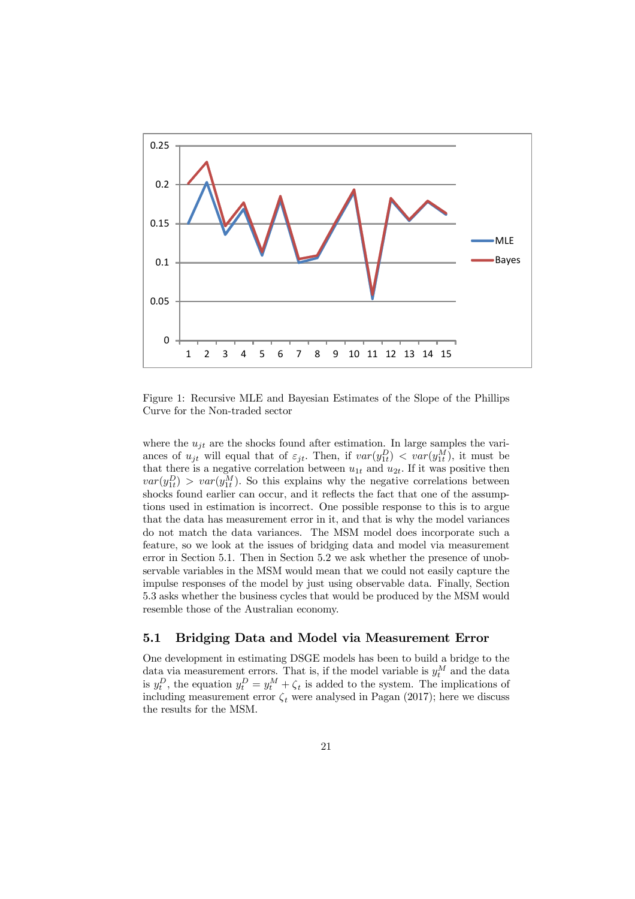

Figure 1: Recursive MLE and Bayesian Estimates of the Slope of the Phillips Curve for the Non-traded sector

where the  $u_{it}$  are the shocks found after estimation. In large samples the variances of  $u_{jt}$  will equal that of  $\varepsilon_{jt}$ . Then, if  $var(y_{1t}^D) < var(y_{1t}^M)$ , it must be that there is a negative correlation between  $u_{1t}$  and  $u_{2t}$ . If it was positive then  $var(y_{1t}^D) > var(y_{1t}^M)$ . So this explains why the negative correlations between shocks found earlier can occur, and it reflects the fact that one of the assumptions used in estimation is incorrect. One possible response to this is to argue that the data has measurement error in it, and that is why the model variances do not match the data variances. The MSM model does incorporate such a feature, so we look at the issues of bridging data and model via measurement error in Section 5.1. Then in Section 5.2 we ask whether the presence of unobservable variables in the MSM would mean that we could not easily capture the impulse responses of the model by just using observable data. Finally, Section 5.3 asks whether the business cycles that would be produced by the MSM would resemble those of the Australian economy.

### 5.1 Bridging Data and Model via Measurement Error

One development in estimating DSGE models has been to build a bridge to the data via measurement errors. That is, if the model variable is  $y_t^M$  and the data is  $y_t^D$ , the equation  $y_t^D = y_t^M + \zeta_t$  is added to the system. The implications of including measurement error  $\zeta_t$  were analysed in Pagan (2017); here we discuss the results for the MSM.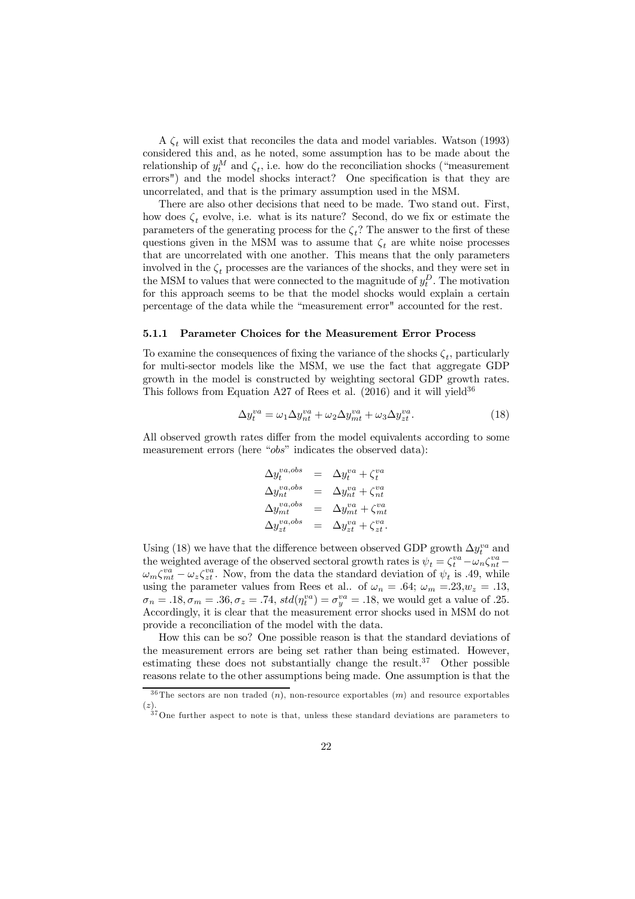A  $\zeta_t$  will exist that reconciles the data and model variables. Watson (1993) considered this and, as he noted, some assumption has to be made about the relationship of  $y_t^M$  and  $\zeta_t$ , i.e. how do the reconciliation shocks ("measurement errors") and the model shocks interact? One specification is that they are uncorrelated, and that is the primary assumption used in the MSM.

There are also other decisions that need to be made. Two stand out. First, how does  $\zeta_t$  evolve, i.e. what is its nature? Second, do we fix or estimate the parameters of the generating process for the  $\zeta_t$ ? The answer to the first of these questions given in the MSM was to assume that  $\zeta_t$  are white noise processes that are uncorrelated with one another. This means that the only parameters involved in the  $\zeta_t$  processes are the variances of the shocks, and they were set in the MSM to values that were connected to the magnitude of  $y_t^D$ . The motivation for this approach seems to be that the model shocks would explain a certain percentage of the data while the "measurement error" accounted for the rest.

#### 5.1.1 Parameter Choices for the Measurement Error Process

To examine the consequences of fixing the variance of the shocks  $\zeta_t$ , particularly for multi-sector models like the MSM, we use the fact that aggregate GDP growth in the model is constructed by weighting sectoral GDP growth rates. This follows from Equation A27 of Rees et al.  $(2016)$  and it will yield<sup>36</sup>

$$
\Delta y_t^{va} = \omega_1 \Delta y_{nt}^{va} + \omega_2 \Delta y_{mt}^{va} + \omega_3 \Delta y_{zt}^{va}.
$$
\n(18)

All observed growth rates differ from the model equivalents according to some measurement errors (here "obs" indicates the observed data):

$$
\Delta y_t^{va,obs} = \Delta y_t^{va} + \zeta_t^{va}
$$
  
\n
$$
\Delta y_{nt}^{va,obs} = \Delta y_{nt}^{va} + \zeta_{nt}^{va}
$$
  
\n
$$
\Delta y_{mt}^{va,obs} = \Delta y_{nt}^{va} + \zeta_{mt}^{va}
$$
  
\n
$$
\Delta y_{zt}^{va,obs} = \Delta y_{zt}^{va} + \zeta_{zt}^{va}.
$$

Using (18) we have that the difference between observed GDP growth  $\Delta y_t^{va}$  and the weighted average of the observed sectoral growth rates is  $\psi_t = \zeta_t^{va} - \omega_n \zeta_{nt}^{va}$  $\omega_m \zeta_{mt}^{va} - \omega_z \zeta_{zt}^{va}$ . Now, from the data the standard deviation of  $\psi_t$  is .49, while using the parameter values from Rees et al.. of  $\omega_n = .64$ ;  $\omega_m = .23, w_z = .13$ ,  $\sigma_n = .18, \sigma_m = .36, \sigma_z = .74, std(\eta_t^{va}) = \sigma_y^{va} = .18$ , we would get a value of .25. Accordingly, it is clear that the measurement error shocks used in MSM do not provide a reconciliation of the model with the data.

How this can be so? One possible reason is that the standard deviations of the measurement errors are being set rather than being estimated. However, estimating these does not substantially change the result.<sup>37</sup> Other possible reasons relate to the other assumptions being made. One assumption is that the

 $36$ The sectors are non traded  $(n)$ , non-resource exportables  $(m)$  and resource exportables (z).

<sup>&</sup>lt;sup>37</sup>One further aspect to note is that, unless these standard deviations are parameters to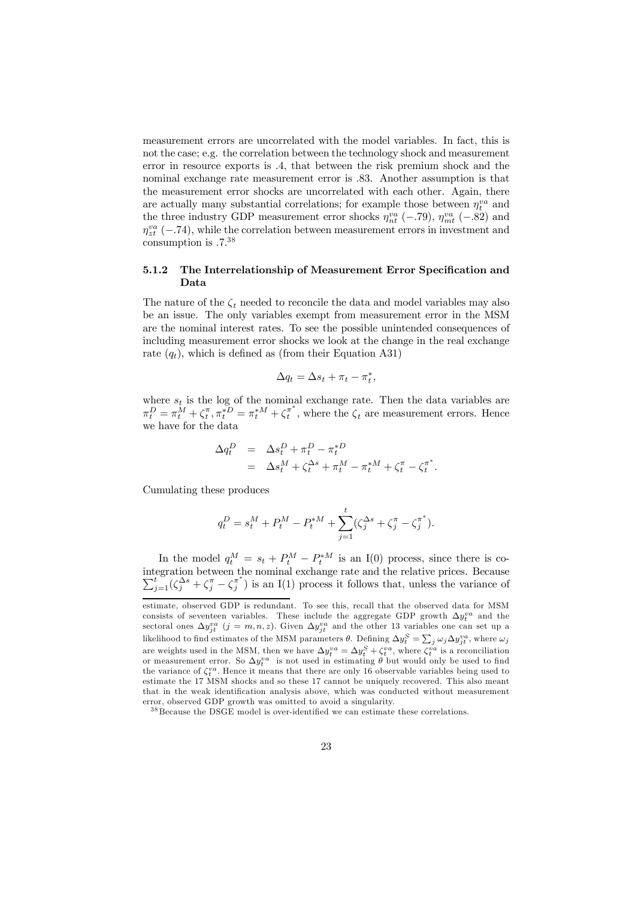measurement errors are uncorrelated with the model variables. In fact, this is not the case; e.g. the correlation between the technology shock and measurement error in resource exports is .4, that between the risk premium shock and the nominal exchange rate measurement error is .83. Another assumption is that the measurement error shocks are uncorrelated with each other. Again, there are actually many substantial correlations; for example those between  $\eta_t^{va}$  and the three industry GDP measurement error shocks  $\eta_{nt}^{va}$  (-.79),  $\eta_{mt}^{va}$  (-.82) and  $\eta_{zt}^{va}$  (-.74), while the correlation between measurement errors in investment and consumption is .7.<sup>38</sup>

### 5.1.2 The Interrelationship of Measurement Error Specification and Data

The nature of the  $\zeta_t$  needed to reconcile the data and model variables may also be an issue. The only variables exempt from measurement error in the MSM are the nominal interest rates. To see the possible unintended consequences of including measurement error shocks we look at the change in the real exchange rate  $(q_t)$ , which is defined as (from their Equation A31)

$$
\Delta q_t = \Delta s_t + \pi_t - \pi_t^*,
$$

where  $s_t$  is the log of the nominal exchange rate. Then the data variables are  $\pi_t^D = \pi_t^M + \zeta_t^{\pi}, \pi_t^{*D} = \pi_t^{*M} + \zeta_t^{\pi^*}$  $t^{\pi}$ , where the  $\zeta_t$  are measurement errors. Hence we have for the data

$$
\Delta q_t^D = \Delta s_t^D + \pi_t^D - \pi_t^{*D}
$$
  
= 
$$
\Delta s_t^M + \zeta_t^{\Delta s} + \pi_t^M - \pi_t^{*M} + \zeta_t^{\pi} - \zeta_t^{\pi^*}.
$$

Cumulating these produces

$$
q_t^D = s_t^M + P_t^M - P_t^{*M} + \sum_{j=1}^t (\zeta_j^{\Delta s} + \zeta_j^{\pi} - \zeta_j^{\pi^*}).
$$

In the model  $q_t^M = s_t + P_t^M - P_t^*M$  is an I(0) process, since there is cointegration between the nominal exchange rate and the relat  $\sum$ the nominal exchange rate and the relative prices. Because<br>  $\sum_{j=1}^{t} (\zeta_j^{\Delta s} + \zeta_j^{\pi} - \zeta_j^{\pi^*})$  is an I(1) process it follows that, unless the variance of  $j^{\pi}$ ) is an I(1) process it follows that, unless the variance of

estimate, observed GDP is redundant. To see this, recall that the observed data for MSM consists of seventeen variables. These include the aggregate GDP growth  $\Delta y_t^{va}$  and the sectoral ones  $\Delta y_{jt}^{va}$  (j = m, n, z). Given  $\Delta y_{jt}^{va}$  and the other 13 variables one can set up a likelihood to find estimates of the MSM parameters  $\theta$ . Defining  $\Delta y_t^S = \sum_j \omega_j \Delta y_{jt}^{va}$ , where  $\omega_j$ are weights used in the MSM, then we have  $\Delta y_t^{va} = \Delta y_t^S + \zeta_t^{va}$ , where  $\zeta_t^{va}$  is a reconciliation or measurement error. So  $\Delta y_t^{va}$  is not used in estimating  $\theta$  but would only be used to find the variance of  $\zeta_t^{va}$ . Hence it means that there are only 16 observable variables being used to estimate the 17 MSM shocks and so these 17 cannot be uniquely recovered. This also meant that in the weak identification analysis above, which was conducted without measurement error, observed GDP growth was omitted to avoid a singularity.

 $^{38}\rm\,Because$  the DSGE model is over-identified we can estimate these correlations.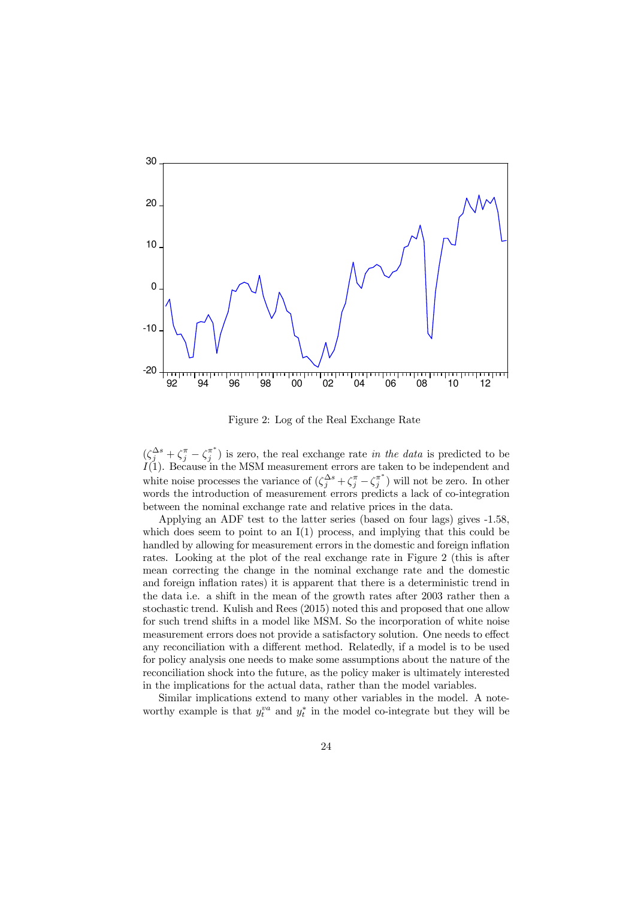

Figure 2: Log of the Real Exchange Rate

 $(\zeta_j^{\Delta s} + \zeta_j^{\pi} - \zeta_j^{\pi^*})$  $j^{\pi}$ ) is zero, the real exchange rate in the data is predicted to be  $I(1)$ . Because in the MSM measurement errors are taken to be independent and white noise processes the variance of  $(\zeta_j^{\Delta s} + \zeta_j^{\pi} - \zeta_j^{\pi^*})$  $\binom{\pi}{j}$  will not be zero. In other words the introduction of measurement errors predicts a lack of co-integration between the nominal exchange rate and relative prices in the data.

Applying an ADF test to the latter series (based on four lags) gives -1.58, which does seem to point to an  $I(1)$  process, and implying that this could be handled by allowing for measurement errors in the domestic and foreign inflation rates. Looking at the plot of the real exchange rate in Figure 2 (this is after mean correcting the change in the nominal exchange rate and the domestic and foreign inflation rates) it is apparent that there is a deterministic trend in the data i.e. a shift in the mean of the growth rates after 2003 rather then a stochastic trend. Kulish and Rees (2015) noted this and proposed that one allow for such trend shifts in a model like MSM. So the incorporation of white noise measurement errors does not provide a satisfactory solution. One needs to effect any reconciliation with a different method. Relatedly, if a model is to be used for policy analysis one needs to make some assumptions about the nature of the reconciliation shock into the future, as the policy maker is ultimately interested in the implications for the actual data, rather than the model variables.

Similar implications extend to many other variables in the model. A noteworthy example is that  $y_t^{va}$  and  $y_t^*$  in the model co-integrate but they will be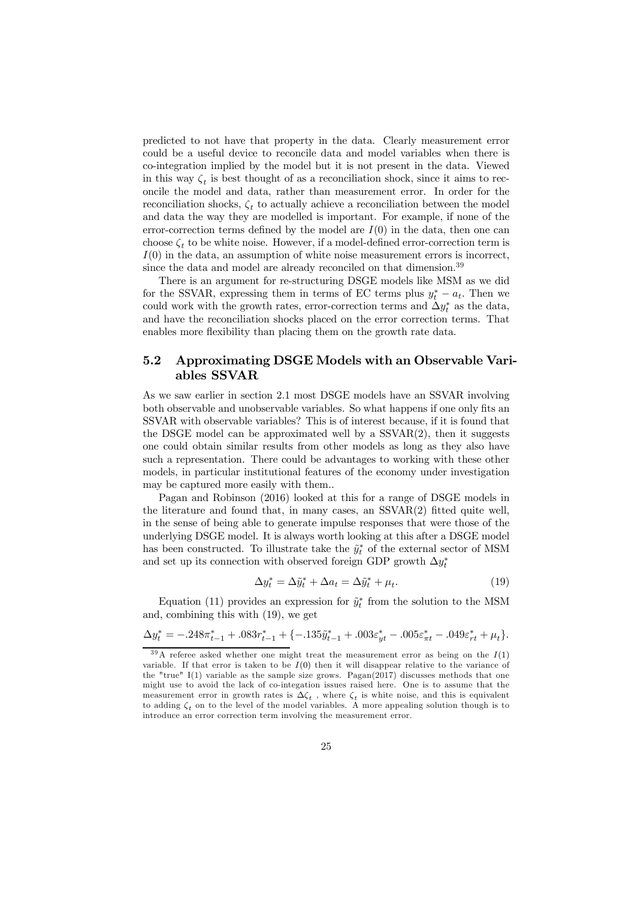predicted to not have that property in the data. Clearly measurement error could be a useful device to reconcile data and model variables when there is co-integration implied by the model but it is not present in the data. Viewed in this way  $\zeta_t$  is best thought of as a reconciliation shock, since it aims to reconcile the model and data, rather than measurement error. In order for the reconciliation shocks,  $\zeta_t$  to actually achieve a reconciliation between the model and data the way they are modelled is important. For example, if none of the error-correction terms defined by the model are  $I(0)$  in the data, then one can choose  $\zeta_t$  to be white noise. However, if a model-defined error-correction term is  $I(0)$  in the data, an assumption of white noise measurement errors is incorrect, since the data and model are already reconciled on that dimension.<sup>39</sup>

There is an argument for re-structuring DSGE models like MSM as we did for the SSVAR, expressing them in terms of EC terms plus  $y_t^* - a_t$ . Then we could work with the growth rates, error-correction terms and  $\Delta y_t^*$  as the data, and have the reconciliation shocks placed on the error correction terms. That enables more flexibility than placing them on the growth rate data.

### 5.2 Approximating DSGE Models with an Observable Variables SSVAR

As we saw earlier in section 2.1 most DSGE models have an SSVAR involving both observable and unobservable variables. So what happens if one only fits an SSVAR with observable variables? This is of interest because, if it is found that the DSGE model can be approximated well by a  $SSVAR(2)$ , then it suggests one could obtain similar results from other models as long as they also have such a representation. There could be advantages to working with these other models, in particular institutional features of the economy under investigation may be captured more easily with them..

Pagan and Robinson (2016) looked at this for a range of DSGE models in the literature and found that, in many cases, an SSVAR(2) fitted quite well, in the sense of being able to generate impulse responses that were those of the underlying DSGE model. It is always worth looking at this after a DSGE model has been constructed. To illustrate take the  $\tilde{y}^*$  of the external sector of MSM and set up its connection with observed foreign GDP growth  $\Delta y_t^*$ 

$$
\Delta y_t^* = \Delta \tilde{y}_t^* + \Delta a_t = \Delta \tilde{y}_t^* + \mu_t.
$$
\n(19)

Equation (11) provides an expression for  $\tilde{y}_t^*$  from the solution to the MSM and, combining this with (19), we get

$$
\Delta y_t^* = -.248\pi_{t-1}^* + .083r_{t-1}^* + \{-.135\tilde{y}_{t-1}^* + .003\varepsilon_{yt}^* - .005\varepsilon_{\pi t}^* - .049\varepsilon_{rt}^* + \mu_t\}.
$$

 $39A$  referee asked whether one might treat the measurement error as being on the  $I(1)$ variable. If that error is taken to be  $I(0)$  then it will disappear relative to the variance of the "true"  $I(1)$  variable as the sample size grows. Pagan $(2017)$  discusses methods that one might use to avoid the lack of co-integation issues raised here. One is to assume that the measurement error in growth rates is  $\Delta \zeta_t$ , where  $\zeta_t$  is white noise, and this is equivalent to adding  $\zeta_t$  on to the level of the model variables. A more appealing solution though is to introduce an error correction term involving the measurement error.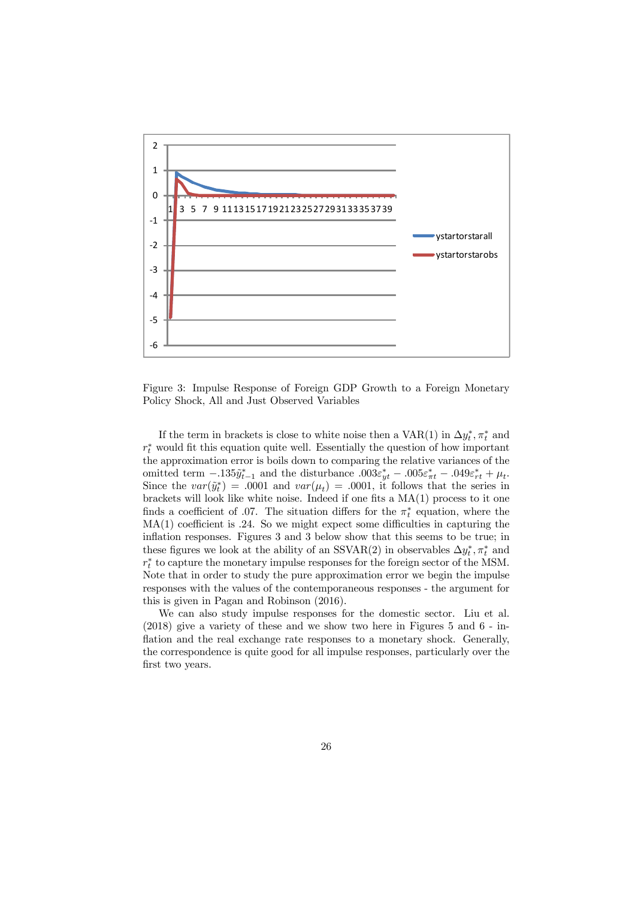

Figure 3: Impulse Response of Foreign GDP Growth to a Foreign Monetary Policy Shock, All and Just Observed Variables

If the term in brackets is close to white noise then a  $VAR(1)$  in  $\Delta y_t^*, \pi_t^*$  and  $r_t^*$  would fit this equation quite well. Essentially the question of how important the approximation error is boils down to comparing the relative variances of the omitted term  $-0.135\tilde{y}_{t-1}^*$  and the disturbance  $0.003\varepsilon_{yt}^* - 0.005\varepsilon_{\pi t}^* - 0.049\varepsilon_{rt}^* + \mu_t$ . Since the  $var(\tilde{y}_t^*) = .0001$  and  $var(\mu_t) = .0001$ , it follows that the series in brackets will look like white noise. Indeed if one fits a MA(1) process to it one finds a coefficient of .07. The situation differs for the  $\pi_t^*$  equation, where the  $MA(1)$  coefficient is .24. So we might expect some difficulties in capturing the inflation responses. Figures 3 and 3 below show that this seems to be true; in these figures we look at the ability of an SSVAR(2) in observables  $\Delta y_t^*, \pi_t^*$  and  $r_t^*$  to capture the monetary impulse responses for the foreign sector of the MSM. Note that in order to study the pure approximation error we begin the impulse responses with the values of the contemporaneous responses - the argument for this is given in Pagan and Robinson (2016).

We can also study impulse responses for the domestic sector. Liu et al. (2018) give a variety of these and we show two here in Figures 5 and 6 - inflation and the real exchange rate responses to a monetary shock. Generally, the correspondence is quite good for all impulse responses, particularly over the first two years.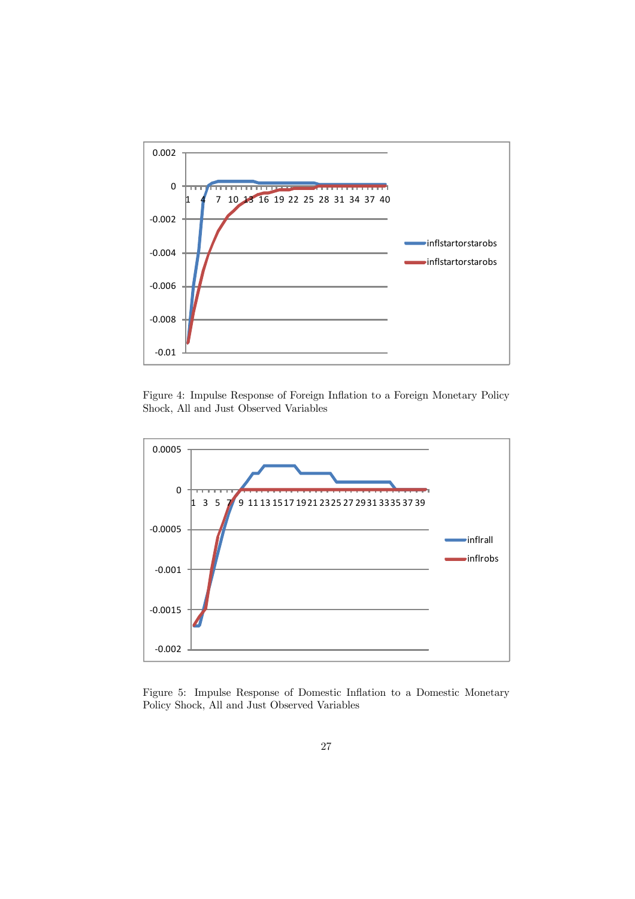

Figure 4: Impulse Response of Foreign Inflation to a Foreign Monetary Policy Shock, All and Just Observed Variables



Figure 5: Impulse Response of Domestic Inflation to a Domestic Monetary Policy Shock, All and Just Observed Variables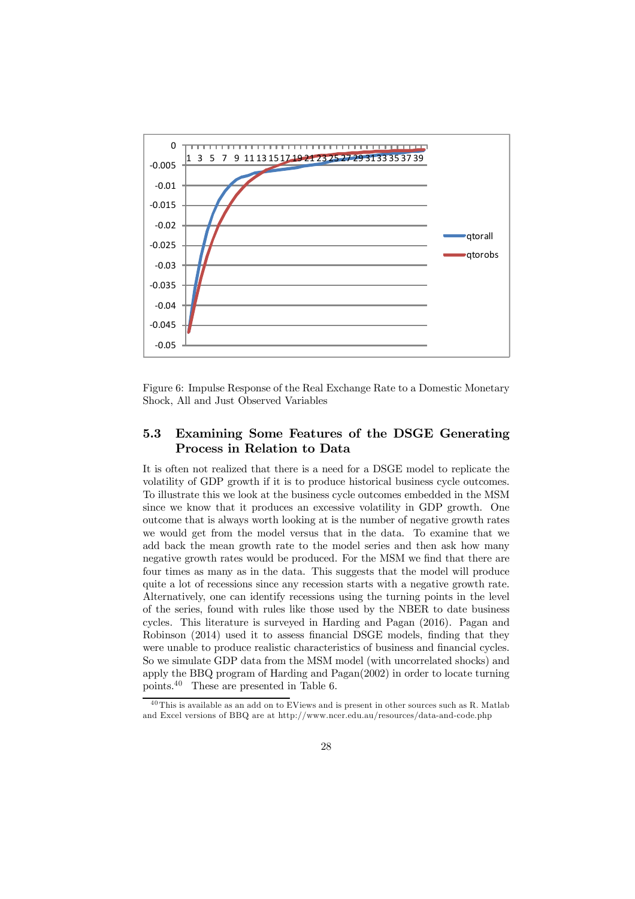

Figure 6: Impulse Response of the Real Exchange Rate to a Domestic Monetary Shock, All and Just Observed Variables

### 5.3 Examining Some Features of the DSGE Generating Process in Relation to Data

It is often not realized that there is a need for a DSGE model to replicate the volatility of GDP growth if it is to produce historical business cycle outcomes. To illustrate this we look at the business cycle outcomes embedded in the MSM since we know that it produces an excessive volatility in GDP growth. One outcome that is always worth looking at is the number of negative growth rates we would get from the model versus that in the data. To examine that we add back the mean growth rate to the model series and then ask how many negative growth rates would be produced. For the MSM we find that there are four times as many as in the data. This suggests that the model will produce quite a lot of recessions since any recession starts with a negative growth rate. Alternatively, one can identify recessions using the turning points in the level of the series, found with rules like those used by the NBER to date business cycles. This literature is surveyed in Harding and Pagan (2016). Pagan and Robinson (2014) used it to assess financial DSGE models, finding that they were unable to produce realistic characteristics of business and financial cycles. So we simulate GDP data from the MSM model (with uncorrelated shocks) and apply the BBQ program of Harding and Pagan(2002) in order to locate turning points.<sup>40</sup> These are presented in Table 6.

 $^{40}\mathrm{This}$  is available as an add on to EViews and is present in other sources such as R. Matlab and Excel versions of BBQ are at http://www.ncer.edu.au/resources/data-and-code.php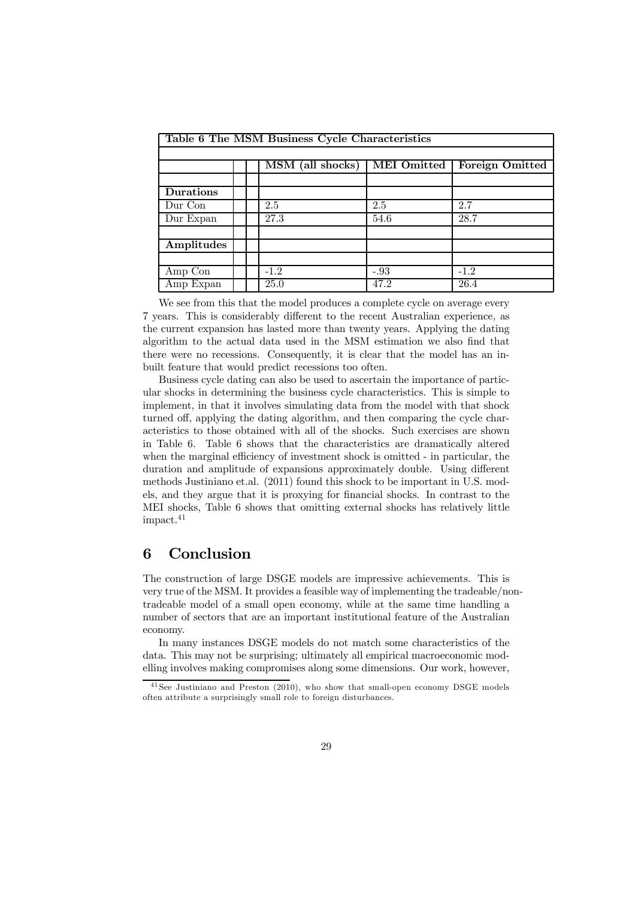| Table 6 The MSM Business Cycle Characteristics |  |                  |                    |                 |  |
|------------------------------------------------|--|------------------|--------------------|-----------------|--|
|                                                |  |                  |                    |                 |  |
|                                                |  | MSM (all shocks) | <b>MEI</b> Omitted | Foreign Omitted |  |
|                                                |  |                  |                    |                 |  |
| Durations                                      |  |                  |                    |                 |  |
| Dur Con                                        |  | 2.5              | 2.5                | 2.7             |  |
| Dur Expan                                      |  | 27.3             | 54.6               | 28.7            |  |
|                                                |  |                  |                    |                 |  |
| Amplitudes                                     |  |                  |                    |                 |  |
|                                                |  |                  |                    |                 |  |
| Amp Con                                        |  | $-1.2$           | $-.93$             | $-1.2$          |  |
| Amp Expan                                      |  | 25.0             | 47.2               | 26.4            |  |

We see from this that the model produces a complete cycle on average every 7 years. This is considerably different to the recent Australian experience, as the current expansion has lasted more than twenty years. Applying the dating algorithm to the actual data used in the MSM estimation we also find that there were no recessions. Consequently, it is clear that the model has an inbuilt feature that would predict recessions too often.

Business cycle dating can also be used to ascertain the importance of particular shocks in determining the business cycle characteristics. This is simple to implement, in that it involves simulating data from the model with that shock turned off, applying the dating algorithm, and then comparing the cycle characteristics to those obtained with all of the shocks. Such exercises are shown in Table 6. Table 6 shows that the characteristics are dramatically altered when the marginal efficiency of investment shock is omitted - in particular, the duration and amplitude of expansions approximately double. Using different methods Justiniano et.al. (2011) found this shock to be important in U.S. models, and they argue that it is proxying for financial shocks. In contrast to the MEI shocks, Table 6 shows that omitting external shocks has relatively little impact.<sup>41</sup>

## 6 Conclusion

The construction of large DSGE models are impressive achievements. This is very true of the MSM. It provides a feasible way of implementing the tradeable/nontradeable model of a small open economy, while at the same time handling a number of sectors that are an important institutional feature of the Australian economy.

In many instances DSGE models do not match some characteristics of the data. This may not be surprising; ultimately all empirical macroeconomic modelling involves making compromises along some dimensions. Our work, however,

 $^{41}$  See Justiniano and Preston (2010), who show that small-open economy DSGE models often attribute a surprisingly small role to foreign disturbances.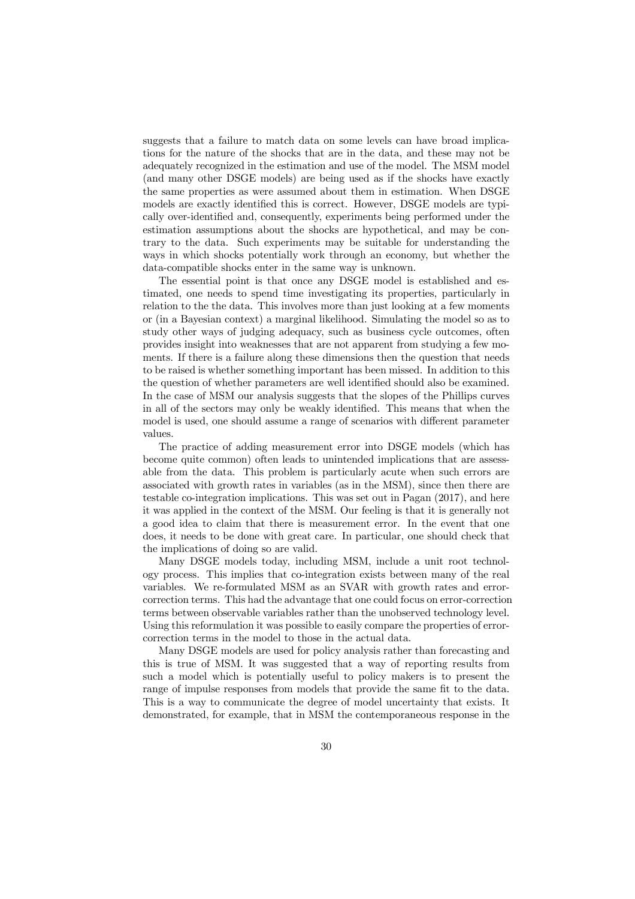suggests that a failure to match data on some levels can have broad implications for the nature of the shocks that are in the data, and these may not be adequately recognized in the estimation and use of the model. The MSM model (and many other DSGE models) are being used as if the shocks have exactly the same properties as were assumed about them in estimation. When DSGE models are exactly identified this is correct. However, DSGE models are typically over-identified and, consequently, experiments being performed under the estimation assumptions about the shocks are hypothetical, and may be contrary to the data. Such experiments may be suitable for understanding the ways in which shocks potentially work through an economy, but whether the data-compatible shocks enter in the same way is unknown.

The essential point is that once any DSGE model is established and estimated, one needs to spend time investigating its properties, particularly in relation to the the data. This involves more than just looking at a few moments or (in a Bayesian context) a marginal likelihood. Simulating the model so as to study other ways of judging adequacy, such as business cycle outcomes, often provides insight into weaknesses that are not apparent from studying a few moments. If there is a failure along these dimensions then the question that needs to be raised is whether something important has been missed. In addition to this the question of whether parameters are well identified should also be examined. In the case of MSM our analysis suggests that the slopes of the Phillips curves in all of the sectors may only be weakly identified. This means that when the model is used, one should assume a range of scenarios with different parameter values.

The practice of adding measurement error into DSGE models (which has become quite common) often leads to unintended implications that are assessable from the data. This problem is particularly acute when such errors are associated with growth rates in variables (as in the MSM), since then there are testable co-integration implications. This was set out in Pagan (2017), and here it was applied in the context of the MSM. Our feeling is that it is generally not a good idea to claim that there is measurement error. In the event that one does, it needs to be done with great care. In particular, one should check that the implications of doing so are valid.

Many DSGE models today, including MSM, include a unit root technology process. This implies that co-integration exists between many of the real variables. We re-formulated MSM as an SVAR with growth rates and errorcorrection terms. This had the advantage that one could focus on error-correction terms between observable variables rather than the unobserved technology level. Using this reformulation it was possible to easily compare the properties of errorcorrection terms in the model to those in the actual data.

Many DSGE models are used for policy analysis rather than forecasting and this is true of MSM. It was suggested that a way of reporting results from such a model which is potentially useful to policy makers is to present the range of impulse responses from models that provide the same fit to the data. This is a way to communicate the degree of model uncertainty that exists. It demonstrated, for example, that in MSM the contemporaneous response in the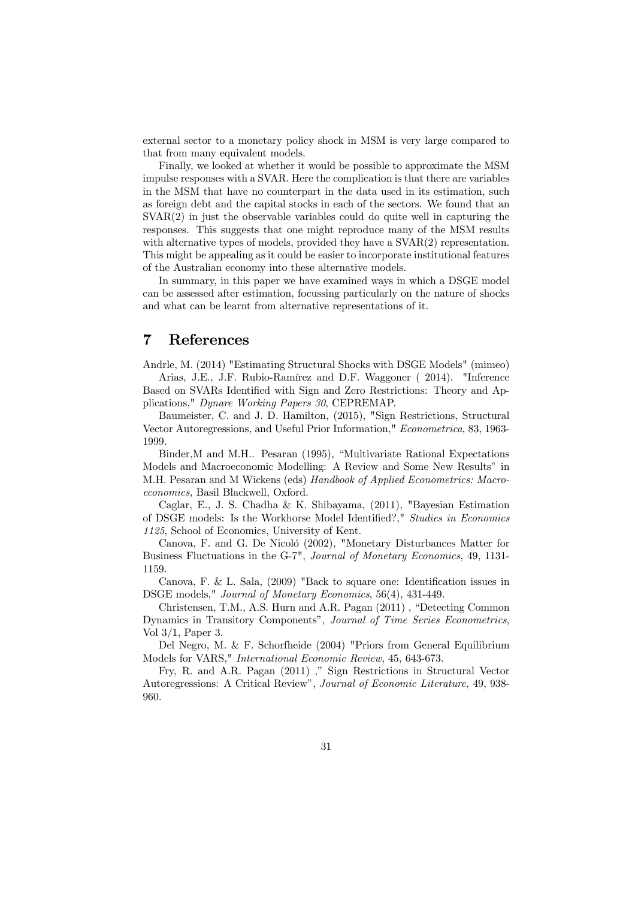external sector to a monetary policy shock in MSM is very large compared to that from many equivalent models.

Finally, we looked at whether it would be possible to approximate the MSM impulse responses with a SVAR. Here the complication is that there are variables in the MSM that have no counterpart in the data used in its estimation, such as foreign debt and the capital stocks in each of the sectors. We found that an SVAR(2) in just the observable variables could do quite well in capturing the responses. This suggests that one might reproduce many of the MSM results with alternative types of models, provided they have a  $\text{SVAR}(2)$  representation. This might be appealing as it could be easier to incorporate institutional features of the Australian economy into these alternative models.

In summary, in this paper we have examined ways in which a DSGE model can be assessed after estimation, focussing particularly on the nature of shocks and what can be learnt from alternative representations of it.

### 7 References

Andrle, M. (2014) "Estimating Structural Shocks with DSGE Models" (mimeo) Arias, J.E., J.F. Rubio-Ramírez and D.F. Waggoner ( 2014). "Inference

Based on SVARs Identified with Sign and Zero Restrictions: Theory and Applications," Dynare Working Papers 30, CEPREMAP.

Baumeister, C. and J. D. Hamilton, (2015), "Sign Restrictions, Structural Vector Autoregressions, and Useful Prior Information," Econometrica, 83, 1963- 1999.

Binder,M and M.H.. Pesaran (1995), "Multivariate Rational Expectations Models and Macroeconomic Modelling: A Review and Some New Results" in M.H. Pesaran and M Wickens (eds) Handbook of Applied Econometrics: Macroeconomics, Basil Blackwell, Oxford.

Caglar, E., J. S. Chadha & K. Shibayama, (2011), "Bayesian Estimation of DSGE models: Is the Workhorse Model Identified?," Studies in Economics 1125, School of Economics, University of Kent.

Canova, F. and G. De Nicoló (2002), "Monetary Disturbances Matter for Business Fluctuations in the G-7", Journal of Monetary Economics, 49, 1131- 1159.

Canova, F. & L. Sala, (2009) "Back to square one: Identification issues in DSGE models," Journal of Monetary Economics, 56(4), 431-449.

Christensen, T.M., A.S. Hurn and A.R. Pagan (2011) , "Detecting Common Dynamics in Transitory Components", Journal of Time Series Econometrics, Vol 3/1, Paper 3.

Del Negro, M. & F. Schorfheide (2004) "Priors from General Equilibrium Models for VARS," International Economic Review, 45, 643-673.

Fry, R. and A.R. Pagan (2011) ," Sign Restrictions in Structural Vector Autoregressions: A Critical Review", Journal of Economic Literature, 49, 938- 960.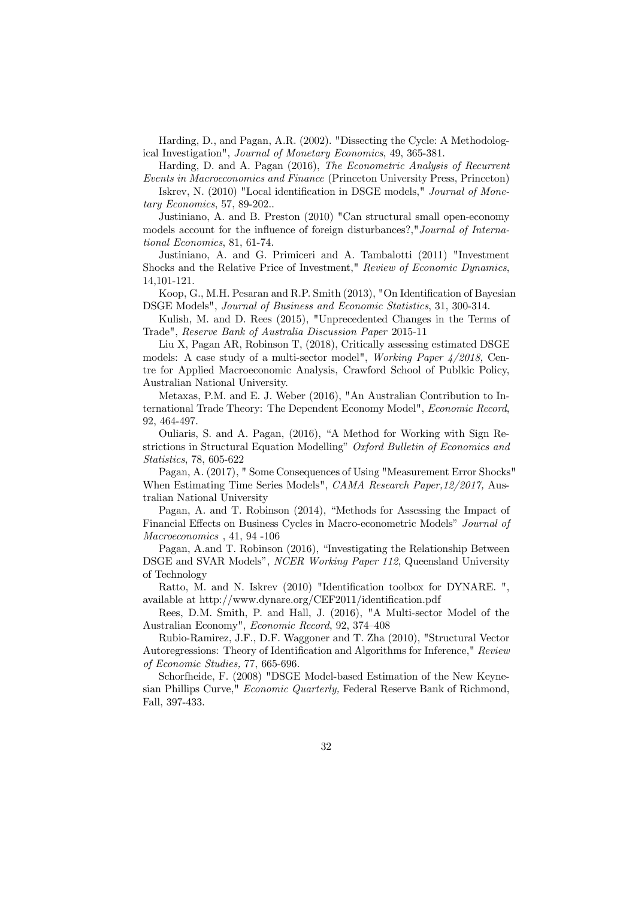Harding, D., and Pagan, A.R. (2002). "Dissecting the Cycle: A Methodological Investigation", Journal of Monetary Economics, 49, 365-381.

Harding, D. and A. Pagan (2016), The Econometric Analysis of Recurrent Events in Macroeconomics and Finance (Princeton University Press, Princeton)

Iskrev, N. (2010) "Local identification in DSGE models," Journal of Monetary Economics, 57, 89-202..

Justiniano, A. and B. Preston (2010) "Can structural small open-economy models account for the influence of foreign disturbances?,"Journal of International Economics, 81, 61-74.

Justiniano, A. and G. Primiceri and A. Tambalotti (2011) "Investment Shocks and the Relative Price of Investment," Review of Economic Dynamics, 14,101-121.

Koop, G., M.H. Pesaran and R.P. Smith (2013), "On Identification of Bayesian DSGE Models", Journal of Business and Economic Statistics, 31, 300-314.

Kulish, M. and D. Rees (2015), "Unprecedented Changes in the Terms of Trade", Reserve Bank of Australia Discussion Paper 2015-11

Liu X, Pagan AR, Robinson T, (2018), Critically assessing estimated DSGE models: A case study of a multi-sector model", Working Paper 4/2018, Centre for Applied Macroeconomic Analysis, Crawford School of Publkic Policy, Australian National University.

Metaxas, P.M. and E. J. Weber (2016), "An Australian Contribution to International Trade Theory: The Dependent Economy Model", Economic Record, 92, 464-497.

Ouliaris, S. and A. Pagan, (2016), "A Method for Working with Sign Restrictions in Structural Equation Modelling" Oxford Bulletin of Economics and Statistics, 78, 605-622

Pagan, A. (2017), " Some Consequences of Using "Measurement Error Shocks" When Estimating Time Series Models", CAMA Research Paper, 12/2017, Australian National University

Pagan, A. and T. Robinson (2014), "Methods for Assessing the Impact of Financial Effects on Business Cycles in Macro-econometric Models" Journal of Macroeconomics , 41, 94 -106

Pagan, A.and T. Robinson (2016), "Investigating the Relationship Between DSGE and SVAR Models", NCER Working Paper 112, Queensland University of Technology

Ratto, M. and N. Iskrev (2010) "Identification toolbox for DYNARE. ", available at http://www.dynare.org/CEF2011/identification.pdf

Rees, D.M. Smith, P. and Hall, J. (2016), "A Multi-sector Model of the Australian Economy", Economic Record, 92, 374—408

Rubio-Ramirez, J.F., D.F. Waggoner and T. Zha (2010), "Structural Vector Autoregressions: Theory of Identification and Algorithms for Inference," Review of Economic Studies, 77, 665-696.

Schorfheide, F. (2008) "DSGE Model-based Estimation of the New Keynesian Phillips Curve," Economic Quarterly, Federal Reserve Bank of Richmond, Fall, 397-433.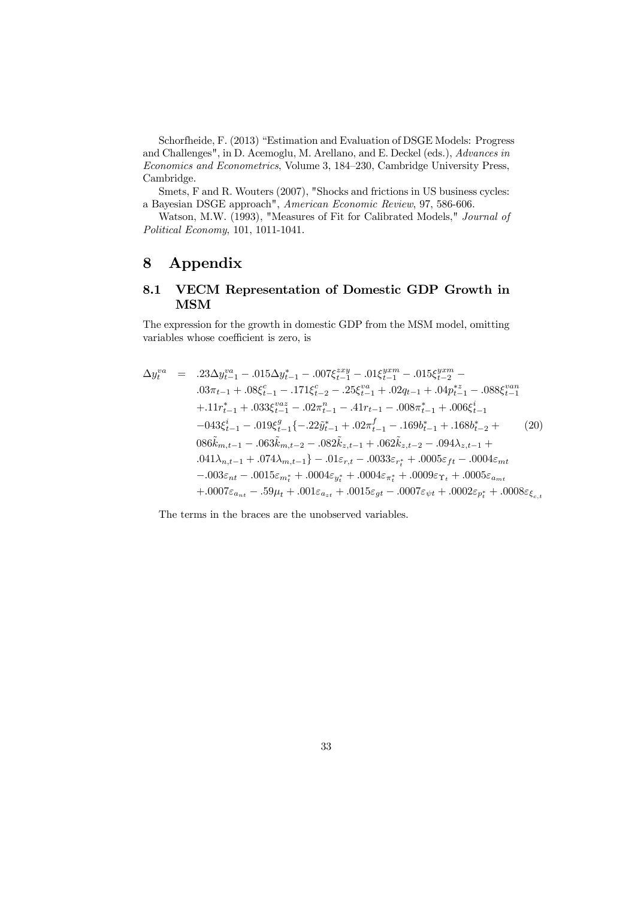Schorfheide, F. (2013) "Estimation and Evaluation of DSGE Models: Progress and Challenges", in D. Acemoglu, M. Arellano, and E. Deckel (eds.), Advances in Economics and Econometrics, Volume 3, 184—230, Cambridge University Press, Cambridge.

Smets, F and R. Wouters (2007), "Shocks and frictions in US business cycles: a Bayesian DSGE approach", American Economic Review, 97, 586-606.

Watson, M.W. (1993), "Measures of Fit for Calibrated Models," Journal of Political Economy, 101, 1011-1041.

# 8 Appendix

### 8.1 VECM Representation of Domestic GDP Growth in MSM

The expression for the growth in domestic GDP from the MSM model, omitting variables whose coefficient is zero, is

$$
\Delta y_t^{va} = .23 \Delta y_{t-1}^{va} - .015 \Delta y_{t-1}^{*} - .007 \xi_{t-1}^{zxy} - .01 \xi_{t-1}^{yxm} - .015 \xi_{t-2}^{yxm} - .03 \pi_{t-1} + .08 \xi_{t-1}^{c} - .171 \xi_{t-2}^{c} - .25 \xi_{t-1}^{va} + .02 q_{t-1} + .04 p_{t-1}^{*z} - .088 \xi_{t-1}^{van} + .11 r_{t-1}^{*} + .033 \xi_{t-1}^{vaz} - .02 \pi_{t-1}^{n} - .41 r_{t-1} - .008 \pi_{t-1}^{*} + .006 \xi_{t-1}^{i}
$$
  
\n
$$
-043 \xi_{t-1}^{i} - .019 \xi_{t-1}^{g} \{ - .22 \tilde{y}_{t-1}^{*} + .02 \pi_{t-1}^{f} - .169 b_{t-1}^{*} + .168 b_{t-2}^{*} + (20)
$$
  
\n
$$
086 \tilde{k}_{m,t-1} - .063 \tilde{k}_{m,t-2} - .082 \tilde{k}_{z,t-1} + .062 \tilde{k}_{z,t-2} - .094 \lambda_{z,t-1} + .041 \lambda_{n,t-1} + .074 \lambda_{m,t-1} \} - .01 \varepsilon_{r,t} - .0033 \varepsilon_{r,t}^{*} + .0005 \varepsilon_{ft} - .0004 \varepsilon_{mt}
$$
  
\n
$$
- .003 \varepsilon_{nt} - .0015 \varepsilon_{m,t}^{*} + .0004 \varepsilon_{y_t^{*}} + .0004 \varepsilon_{\pi_t^{*}} + .0009 \varepsilon_{\Upsilon_t} + .0005 \varepsilon_{nn} + .0007 \varepsilon_{an,t} - .59 \mu_t + .001 \varepsilon_{a_{xt}} + .0015 \varepsilon_{gt} - .0007 \varepsilon_{wt} + .0002 \varepsilon_{p_t^{*}} + .0008 \varepsilon_{c_{t,t}}
$$

The terms in the braces are the unobserved variables.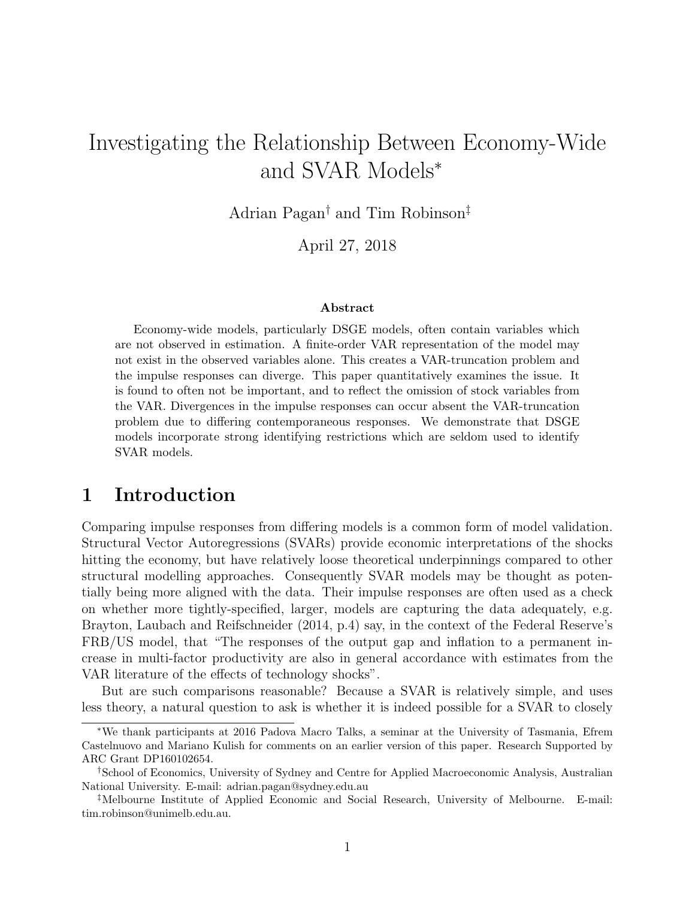# Investigating the Relationship Between Economy-Wide and SVAR Models<sup>∗</sup>

Adrian Pagan† and Tim Robinson‡

April 27, 2018

#### Abstract

Economy-wide models, particularly DSGE models, often contain variables which are not observed in estimation. A finite-order VAR representation of the model may not exist in the observed variables alone. This creates a VAR-truncation problem and the impulse responses can diverge. This paper quantitatively examines the issue. It is found to often not be important, and to reflect the omission of stock variables from the VAR. Divergences in the impulse responses can occur absent the VAR-truncation problem due to differing contemporaneous responses. We demonstrate that DSGE models incorporate strong identifying restrictions which are seldom used to identify SVAR models.

# 1 Introduction

Comparing impulse responses from differing models is a common form of model validation. Structural Vector Autoregressions (SVARs) provide economic interpretations of the shocks hitting the economy, but have relatively loose theoretical underpinnings compared to other structural modelling approaches. Consequently SVAR models may be thought as potentially being more aligned with the data. Their impulse responses are often used as a check on whether more tightly-specified, larger, models are capturing the data adequately, e.g. Brayton, Laubach and Reifschneider (2014, p.4) say, in the context of the Federal Reserve's FRB/US model, that "The responses of the output gap and inflation to a permanent increase in multi-factor productivity are also in general accordance with estimates from the VAR literature of the effects of technology shocks".

But are such comparisons reasonable? Because a SVAR is relatively simple, and uses less theory, a natural question to ask is whether it is indeed possible for a SVAR to closely

<sup>∗</sup>We thank participants at 2016 Padova Macro Talks, a seminar at the University of Tasmania, Efrem Castelnuovo and Mariano Kulish for comments on an earlier version of this paper. Research Supported by ARC Grant DP160102654.

<sup>†</sup>School of Economics, University of Sydney and Centre for Applied Macroeconomic Analysis, Australian National University. E-mail: adrian.pagan@sydney.edu.au

<sup>‡</sup>Melbourne Institute of Applied Economic and Social Research, University of Melbourne. E-mail: tim.robinson@unimelb.edu.au.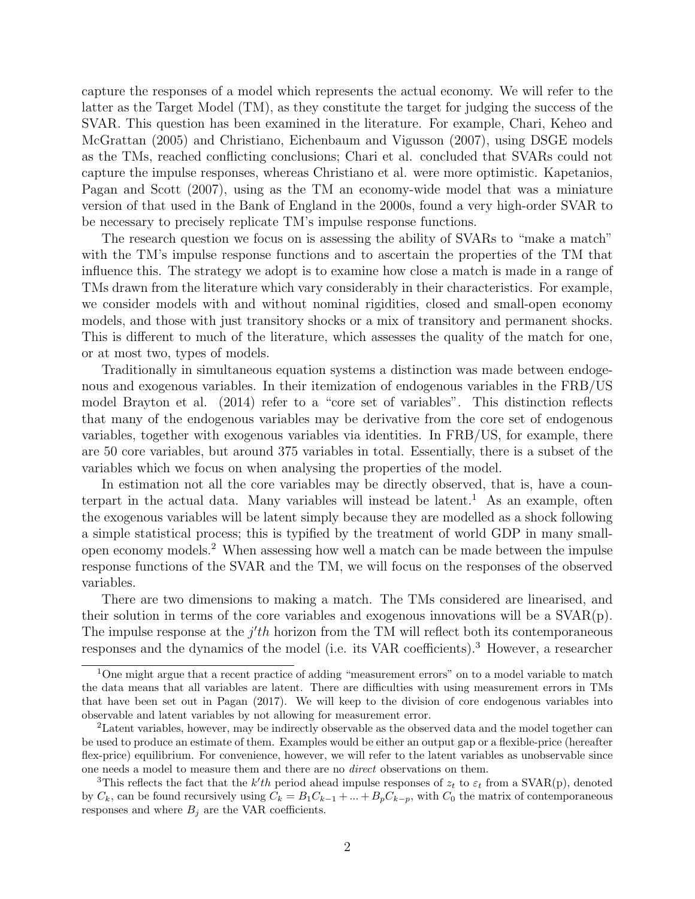capture the responses of a model which represents the actual economy. We will refer to the latter as the Target Model (TM), as they constitute the target for judging the success of the SVAR. This question has been examined in the literature. For example, Chari, Keheo and McGrattan (2005) and Christiano, Eichenbaum and Vigusson (2007), using DSGE models as the TMs, reached conflicting conclusions; Chari et al. concluded that SVARs could not capture the impulse responses, whereas Christiano et al. were more optimistic. Kapetanios, Pagan and Scott (2007), using as the TM an economy-wide model that was a miniature version of that used in the Bank of England in the 2000s, found a very high-order SVAR to be necessary to precisely replicate TM's impulse response functions.

The research question we focus on is assessing the ability of SVARs to "make a match" with the TM's impulse response functions and to ascertain the properties of the TM that influence this. The strategy we adopt is to examine how close a match is made in a range of TMs drawn from the literature which vary considerably in their characteristics. For example, we consider models with and without nominal rigidities, closed and small-open economy models, and those with just transitory shocks or a mix of transitory and permanent shocks. This is different to much of the literature, which assesses the quality of the match for one, or at most two, types of models.

Traditionally in simultaneous equation systems a distinction was made between endogenous and exogenous variables. In their itemization of endogenous variables in the FRB/US model Brayton et al. (2014) refer to a "core set of variables". This distinction reflects that many of the endogenous variables may be derivative from the core set of endogenous variables, together with exogenous variables via identities. In FRB/US, for example, there are 50 core variables, but around 375 variables in total. Essentially, there is a subset of the variables which we focus on when analysing the properties of the model.

In estimation not all the core variables may be directly observed, that is, have a counterpart in the actual data. Many variables will instead be latent.<sup>1</sup> As an example, often the exogenous variables will be latent simply because they are modelled as a shock following a simple statistical process; this is typified by the treatment of world GDP in many smallopen economy models.<sup>2</sup> When assessing how well a match can be made between the impulse response functions of the SVAR and the TM, we will focus on the responses of the observed variables.

There are two dimensions to making a match. The TMs considered are linearised, and their solution in terms of the core variables and exogenous innovations will be a  $SVAR(p)$ . The impulse response at the  $j'th$  horizon from the TM will reflect both its contemporaneous responses and the dynamics of the model (i.e. its VAR coefficients).<sup>3</sup> However, a researcher

<sup>1</sup>One might argue that a recent practice of adding "measurement errors" on to a model variable to match the data means that all variables are latent. There are difficulties with using measurement errors in TMs that have been set out in Pagan (2017). We will keep to the division of core endogenous variables into observable and latent variables by not allowing for measurement error.

<sup>2</sup>Latent variables, however, may be indirectly observable as the observed data and the model together can be used to produce an estimate of them. Examples would be either an output gap or a flexible-price (hereafter flex-price) equilibrium. For convenience, however, we will refer to the latent variables as unobservable since one needs a model to measure them and there are no direct observations on them.

<sup>&</sup>lt;sup>3</sup>This reflects the fact that the  $k'th$  period ahead impulse responses of  $z_t$  to  $\varepsilon_t$  from a SVAR(p), denoted by  $C_k$ , can be found recursively using  $C_k = B_1 C_{k-1} + ... + B_p C_{k-p}$ , with  $C_0$  the matrix of contemporaneous responses and where  $B_j$  are the VAR coefficients.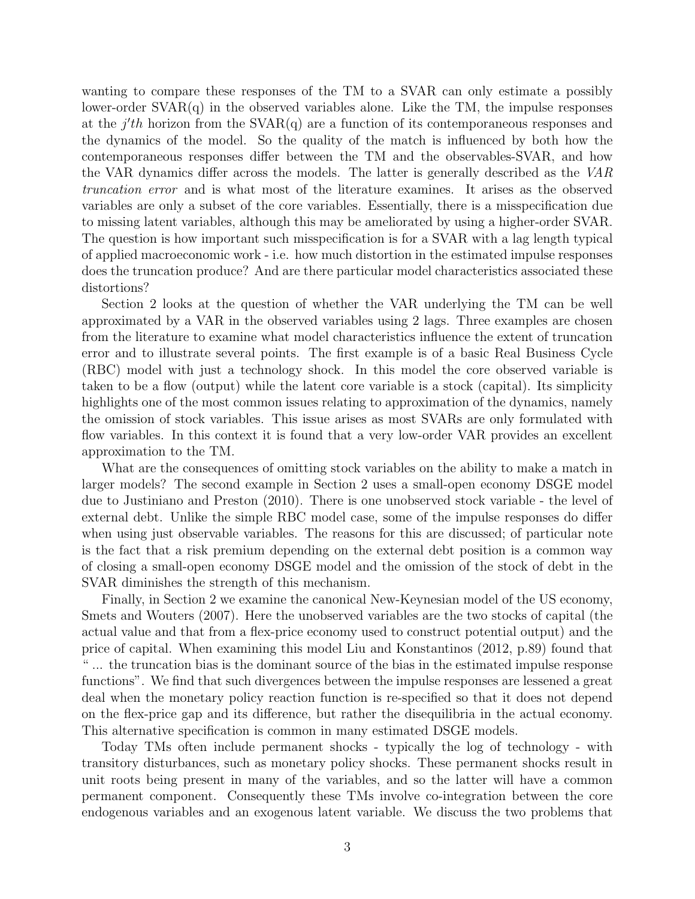wanting to compare these responses of the TM to a SVAR can only estimate a possibly lower-order  $SVAR(q)$  in the observed variables alone. Like the TM, the impulse responses at the  $j'th$  horizon from the SVAR(q) are a function of its contemporaneous responses and the dynamics of the model. So the quality of the match is influenced by both how the contemporaneous responses differ between the TM and the observables-SVAR, and how the VAR dynamics differ across the models. The latter is generally described as the VAR truncation error and is what most of the literature examines. It arises as the observed variables are only a subset of the core variables. Essentially, there is a misspecification due to missing latent variables, although this may be ameliorated by using a higher-order SVAR. The question is how important such misspecification is for a SVAR with a lag length typical of applied macroeconomic work - i.e. how much distortion in the estimated impulse responses does the truncation produce? And are there particular model characteristics associated these distortions?

Section 2 looks at the question of whether the VAR underlying the TM can be well approximated by a VAR in the observed variables using 2 lags. Three examples are chosen from the literature to examine what model characteristics influence the extent of truncation error and to illustrate several points. The first example is of a basic Real Business Cycle (RBC) model with just a technology shock. In this model the core observed variable is taken to be a flow (output) while the latent core variable is a stock (capital). Its simplicity highlights one of the most common issues relating to approximation of the dynamics, namely the omission of stock variables. This issue arises as most SVARs are only formulated with flow variables. In this context it is found that a very low-order VAR provides an excellent approximation to the TM.

What are the consequences of omitting stock variables on the ability to make a match in larger models? The second example in Section 2 uses a small-open economy DSGE model due to Justiniano and Preston (2010). There is one unobserved stock variable - the level of external debt. Unlike the simple RBC model case, some of the impulse responses do differ when using just observable variables. The reasons for this are discussed; of particular note is the fact that a risk premium depending on the external debt position is a common way of closing a small-open economy DSGE model and the omission of the stock of debt in the SVAR diminishes the strength of this mechanism.

Finally, in Section 2 we examine the canonical New-Keynesian model of the US economy, Smets and Wouters (2007). Here the unobserved variables are the two stocks of capital (the actual value and that from a flex-price economy used to construct potential output) and the price of capital. When examining this model Liu and Konstantinos (2012, p.89) found that " ... the truncation bias is the dominant source of the bias in the estimated impulse response functions". We find that such divergences between the impulse responses are lessened a great deal when the monetary policy reaction function is re-specified so that it does not depend on the flex-price gap and its difference, but rather the disequilibria in the actual economy. This alternative specification is common in many estimated DSGE models.

Today TMs often include permanent shocks - typically the log of technology - with transitory disturbances, such as monetary policy shocks. These permanent shocks result in unit roots being present in many of the variables, and so the latter will have a common permanent component. Consequently these TMs involve co-integration between the core endogenous variables and an exogenous latent variable. We discuss the two problems that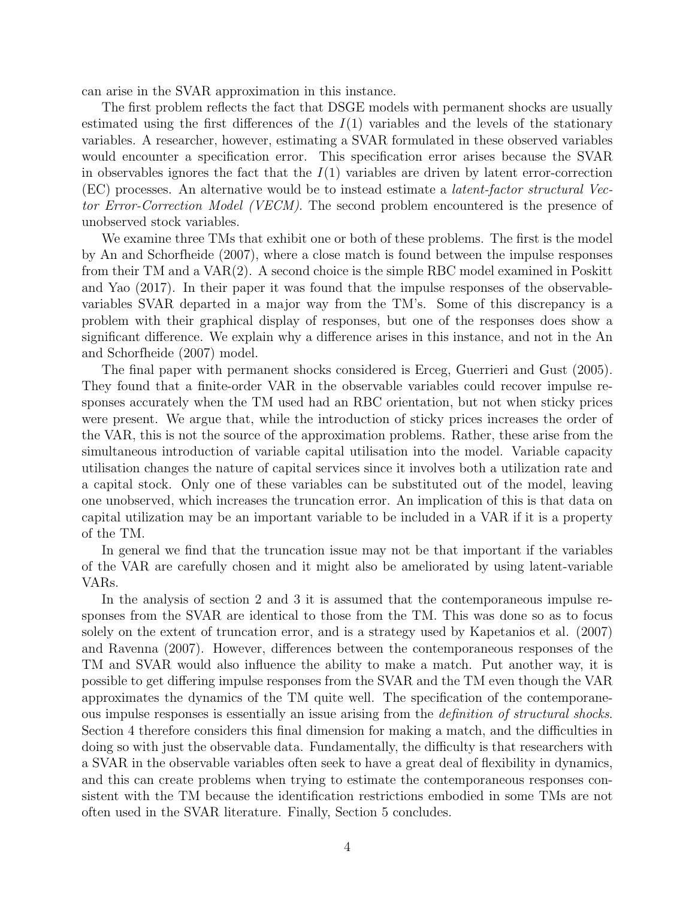can arise in the SVAR approximation in this instance.

The first problem reflects the fact that DSGE models with permanent shocks are usually estimated using the first differences of the  $I(1)$  variables and the levels of the stationary variables. A researcher, however, estimating a SVAR formulated in these observed variables would encounter a specification error. This specification error arises because the SVAR in observables ignores the fact that the  $I(1)$  variables are driven by latent error-correction (EC) processes. An alternative would be to instead estimate a latent-factor structural Vector Error-Correction Model (VECM). The second problem encountered is the presence of unobserved stock variables.

We examine three TMs that exhibit one or both of these problems. The first is the model by An and Schorfheide (2007), where a close match is found between the impulse responses from their TM and a VAR(2). A second choice is the simple RBC model examined in Poskitt and Yao (2017). In their paper it was found that the impulse responses of the observablevariables SVAR departed in a major way from the TM's. Some of this discrepancy is a problem with their graphical display of responses, but one of the responses does show a significant difference. We explain why a difference arises in this instance, and not in the An and Schorfheide (2007) model.

The final paper with permanent shocks considered is Erceg, Guerrieri and Gust (2005). They found that a finite-order VAR in the observable variables could recover impulse responses accurately when the TM used had an RBC orientation, but not when sticky prices were present. We argue that, while the introduction of sticky prices increases the order of the VAR, this is not the source of the approximation problems. Rather, these arise from the simultaneous introduction of variable capital utilisation into the model. Variable capacity utilisation changes the nature of capital services since it involves both a utilization rate and a capital stock. Only one of these variables can be substituted out of the model, leaving one unobserved, which increases the truncation error. An implication of this is that data on capital utilization may be an important variable to be included in a VAR if it is a property of the TM.

In general we find that the truncation issue may not be that important if the variables of the VAR are carefully chosen and it might also be ameliorated by using latent-variable VARs.

In the analysis of section 2 and 3 it is assumed that the contemporaneous impulse responses from the SVAR are identical to those from the TM. This was done so as to focus solely on the extent of truncation error, and is a strategy used by Kapetanios et al. (2007) and Ravenna (2007). However, differences between the contemporaneous responses of the TM and SVAR would also influence the ability to make a match. Put another way, it is possible to get differing impulse responses from the SVAR and the TM even though the VAR approximates the dynamics of the TM quite well. The specification of the contemporaneous impulse responses is essentially an issue arising from the definition of structural shocks. Section 4 therefore considers this final dimension for making a match, and the difficulties in doing so with just the observable data. Fundamentally, the difficulty is that researchers with a SVAR in the observable variables often seek to have a great deal of flexibility in dynamics, and this can create problems when trying to estimate the contemporaneous responses consistent with the TM because the identification restrictions embodied in some TMs are not often used in the SVAR literature. Finally, Section 5 concludes.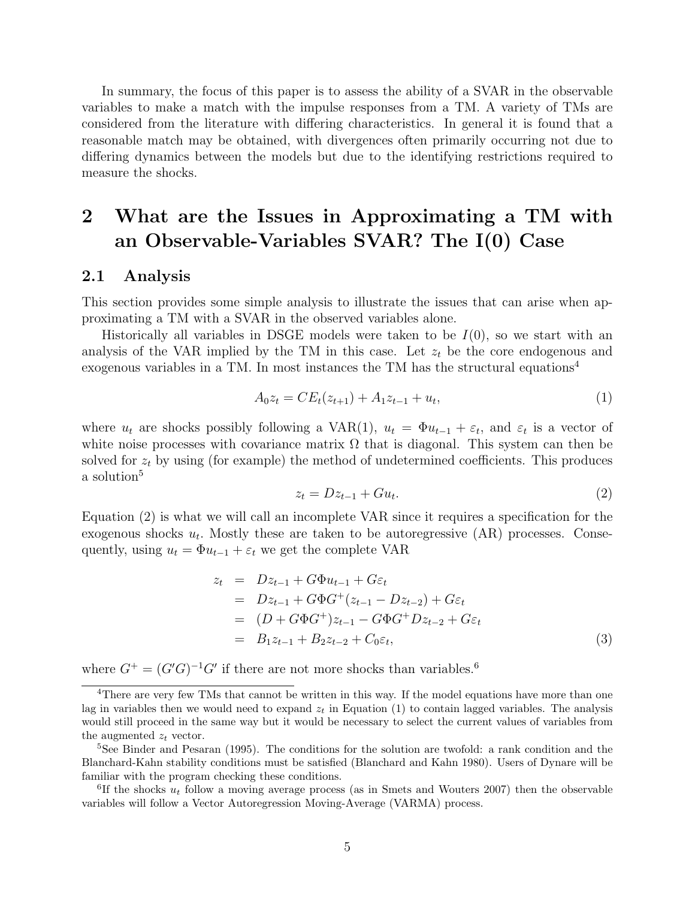In summary, the focus of this paper is to assess the ability of a SVAR in the observable variables to make a match with the impulse responses from a TM. A variety of TMs are considered from the literature with differing characteristics. In general it is found that a reasonable match may be obtained, with divergences often primarily occurring not due to differing dynamics between the models but due to the identifying restrictions required to measure the shocks.

# 2 What are the Issues in Approximating a TM with an Observable-Variables SVAR? The I(0) Case

### 2.1 Analysis

This section provides some simple analysis to illustrate the issues that can arise when approximating a TM with a SVAR in the observed variables alone.

Historically all variables in DSGE models were taken to be  $I(0)$ , so we start with an analysis of the VAR implied by the TM in this case. Let  $z_t$  be the core endogenous and exogenous variables in a TM. In most instances the TM has the structural equations<sup>4</sup>

$$
A_0 z_t = C E_t(z_{t+1}) + A_1 z_{t-1} + u_t, \tag{1}
$$

where  $u_t$  are shocks possibly following a VAR(1),  $u_t = \Phi u_{t-1} + \varepsilon_t$ , and  $\varepsilon_t$  is a vector of white noise processes with covariance matrix  $\Omega$  that is diagonal. This system can then be solved for  $z_t$  by using (for example) the method of undetermined coefficients. This produces a solution<sup>5</sup>

$$
z_t = Dz_{t-1} + Gu_t. \tag{2}
$$

Equation (2) is what we will call an incomplete VAR since it requires a specification for the exogenous shocks  $u_t$ . Mostly these are taken to be autoregressive  $(AR)$  processes. Consequently, using  $u_t = \Phi u_{t-1} + \varepsilon_t$  we get the complete VAR

$$
z_{t} = Dz_{t-1} + G\Phi u_{t-1} + G\varepsilon_{t}
$$
  
=  $Dz_{t-1} + G\Phi G^{+}(z_{t-1} - Dz_{t-2}) + G\varepsilon_{t}$   
=  $(D + G\Phi G^{+})z_{t-1} - G\Phi G^{+}Dz_{t-2} + G\varepsilon_{t}$   
=  $B_{1}z_{t-1} + B_{2}z_{t-2} + C_{0}\varepsilon_{t}$ , (3)

where  $G^+ = (G'G)^{-1}G'$  if there are not more shocks than variables.<sup>6</sup>

<sup>&</sup>lt;sup>4</sup>There are very few TMs that cannot be written in this way. If the model equations have more than one lag in variables then we would need to expand  $z_t$  in Equation (1) to contain lagged variables. The analysis would still proceed in the same way but it would be necessary to select the current values of variables from the augmented  $z_t$  vector.

<sup>&</sup>lt;sup>5</sup>See Binder and Pesaran (1995). The conditions for the solution are twofold: a rank condition and the Blanchard-Kahn stability conditions must be satisfied (Blanchard and Kahn 1980). Users of Dynare will be familiar with the program checking these conditions.

<sup>&</sup>lt;sup>6</sup>If the shocks  $u_t$  follow a moving average process (as in Smets and Wouters 2007) then the observable variables will follow a Vector Autoregression Moving-Average (VARMA) process.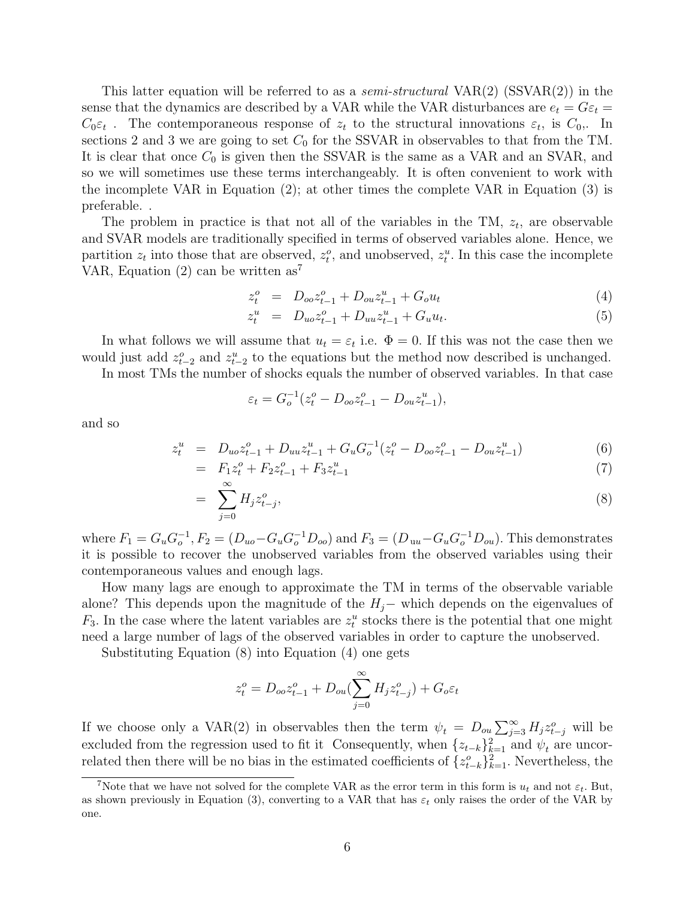This latter equation will be referred to as a *semi-structural*  $VAR(2)$  (SSVAR(2)) in the sense that the dynamics are described by a VAR while the VAR disturbances are  $e_t = G \varepsilon_t =$  $C_0 \varepsilon_t$ . The contemporaneous response of  $z_t$  to the structural innovations  $\varepsilon_t$ , is  $C_0$ . In sections 2 and 3 we are going to set  $C_0$  for the SSVAR in observables to that from the TM. It is clear that once  $C_0$  is given then the SSVAR is the same as a VAR and an SVAR, and so we will sometimes use these terms interchangeably. It is often convenient to work with the incomplete VAR in Equation (2); at other times the complete VAR in Equation (3) is preferable. .

The problem in practice is that not all of the variables in the TM,  $z_t$ , are observable and SVAR models are traditionally specified in terms of observed variables alone. Hence, we partition  $z_t$  into those that are observed,  $z_t^o$ , and unobserved,  $z_t^u$ . In this case the incomplete VAR, Equation  $(2)$  can be written as<sup>7</sup>

$$
z_t^o = D_{oo} z_{t-1}^o + D_{ou} z_{t-1}^u + G_o u_t \tag{4}
$$

$$
z_t^u = D_{uo} z_{t-1}^o + D_{uu} z_{t-1}^u + G_u u_t.
$$
\n<sup>(5)</sup>

In what follows we will assume that  $u_t = \varepsilon_t$  i.e.  $\Phi = 0$ . If this was not the case then we would just add  $z_{t-2}^o$  and  $z_{t-2}^u$  to the equations but the method now described is unchanged.

In most TMs the number of shocks equals the number of observed variables. In that case

$$
\varepsilon_t = G_o^{-1}(z_t^o - D_{oo}z_{t-1}^o - D_{ou}z_{t-1}^u),
$$

and so

$$
z_t^u = D_{uo} z_{t-1}^o + D_{uu} z_{t-1}^u + G_u G_o^{-1} (z_t^o - D_{oo} z_{t-1}^o - D_{ou} z_{t-1}^u)
$$
(6)  
=  $F_{cs}^o + F_{cs}^o$  +  $F_{cs}^u$  (7)

$$
= F_1 z_t^o + F_2 z_{t-1}^o + F_3 z_{t-1}^u \tag{7}
$$

$$
=\sum_{j=0}^{\infty} H_j z_{t-j}^o,\tag{8}
$$

where  $F_1 = G_u G_o^{-1}$ ,  $F_2 = (D_{uo} - G_u G_o^{-1} D_{oo})$  and  $F_3 = (D_{uu} - G_u G_o^{-1} D_{ou})$ . This demonstrates it is possible to recover the unobserved variables from the observed variables using their contemporaneous values and enough lags.

How many lags are enough to approximate the TM in terms of the observable variable alone? This depends upon the magnitude of the  $H_j$ − which depends on the eigenvalues of  $F_3$ . In the case where the latent variables are  $z_t^u$  stocks there is the potential that one might need a large number of lags of the observed variables in order to capture the unobserved.

Substituting Equation (8) into Equation (4) one gets

$$
z_t^o = D_{oo} z_{t-1}^o + D_{ou}(\sum_{j=0}^{\infty} H_j z_{t-j}^o) + G_o \varepsilon_t
$$

If we choose only a VAR(2) in observables then the term  $\psi_t = D_{ou} \sum_{j=3}^{\infty} H_j z_{t-j}^o$  will be excluded from the regression used to fit it Consequently, when  $\{z_{t-k}\}_{k=1}^2$  and  $\psi_t$  are uncorrelated then there will be no bias in the estimated coefficients of  $\{z_{t-k}^o\}_{k=1}^2$ . Nevertheless, the

<sup>&</sup>lt;sup>7</sup>Note that we have not solved for the complete VAR as the error term in this form is  $u_t$  and not  $\varepsilon_t$ . But, as shown previously in Equation (3), converting to a VAR that has  $\varepsilon_t$  only raises the order of the VAR by one.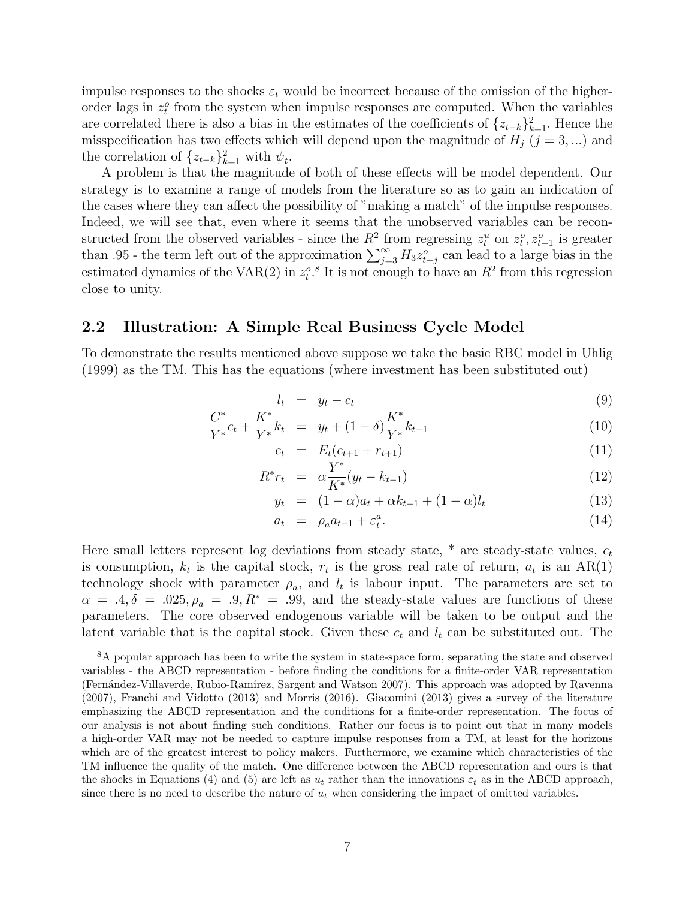impulse responses to the shocks  $\varepsilon_t$  would be incorrect because of the omission of the higherorder lags in  $z_t^o$  from the system when impulse responses are computed. When the variables are correlated there is also a bias in the estimates of the coefficients of  ${z_{t-k}}_{k=1}^2$ . Hence the misspecification has two effects which will depend upon the magnitude of  $H_j$  ( $j = 3, ...$ ) and the correlation of  $\{z_{t-k}\}_{k=1}^2$  with  $\psi_t$ .

A problem is that the magnitude of both of these effects will be model dependent. Our strategy is to examine a range of models from the literature so as to gain an indication of the cases where they can affect the possibility of "making a match" of the impulse responses. Indeed, we will see that, even where it seems that the unobserved variables can be reconstructed from the observed variables - since the  $R^2$  from regressing  $z_t^u$  on  $z_t^o, z_{t-1}^o$  is greater than .95 - the term left out of the approximation  $\sum_{j=3}^{\infty} H_3 z_{t-j}^o$  can lead to a large bias in the estimated dynamics of the VAR(2) in  $z_t^o$ .<sup>8</sup> It is not enough to have an  $R^2$  from this regression close to unity.

### 2.2 Illustration: A Simple Real Business Cycle Model

To demonstrate the results mentioned above suppose we take the basic RBC model in Uhlig (1999) as the TM. This has the equations (where investment has been substituted out)

$$
l_t = y_t - c_t \tag{9}
$$

$$
\frac{C^*}{Y^*}c_t + \frac{K^*}{Y^*}k_t = y_t + (1 - \delta)\frac{K^*}{Y^*}k_{t-1}
$$
\n(10)

$$
c_t = E_t(c_{t+1} + r_{t+1}) \tag{11}
$$

$$
R^*r_t = \alpha \frac{Y^*}{K^*}(y_t - k_{t-1}) \tag{12}
$$

$$
y_t = (1 - \alpha)a_t + \alpha k_{t-1} + (1 - \alpha)l_t \tag{13}
$$

$$
a_t = \rho_a a_{t-1} + \varepsilon_t^a. \tag{14}
$$

Here small letters represent log deviations from steady state,  $*$  are steady-state values,  $c_t$ is consumption,  $k_t$  is the capital stock,  $r_t$  is the gross real rate of return,  $a_t$  is an AR(1) technology shock with parameter  $\rho_a$ , and  $l_t$  is labour input. The parameters are set to  $\alpha = .4, \delta = .025, \rho_a = .9, R^* = .99$ , and the steady-state values are functions of these parameters. The core observed endogenous variable will be taken to be output and the latent variable that is the capital stock. Given these  $c_t$  and  $l_t$  can be substituted out. The

<sup>&</sup>lt;sup>8</sup>A popular approach has been to write the system in state-space form, separating the state and observed variables - the ABCD representation - before finding the conditions for a finite-order VAR representation (Fernández-Villaverde, Rubio-Ramírez, Sargent and Watson 2007). This approach was adopted by Ravenna (2007), Franchi and Vidotto (2013) and Morris (2016). Giacomini (2013) gives a survey of the literature emphasizing the ABCD representation and the conditions for a finite-order representation. The focus of our analysis is not about finding such conditions. Rather our focus is to point out that in many models a high-order VAR may not be needed to capture impulse responses from a TM, at least for the horizons which are of the greatest interest to policy makers. Furthermore, we examine which characteristics of the TM influence the quality of the match. One difference between the ABCD representation and ours is that the shocks in Equations (4) and (5) are left as  $u_t$  rather than the innovations  $\varepsilon_t$  as in the ABCD approach, since there is no need to describe the nature of  $u_t$  when considering the impact of omitted variables.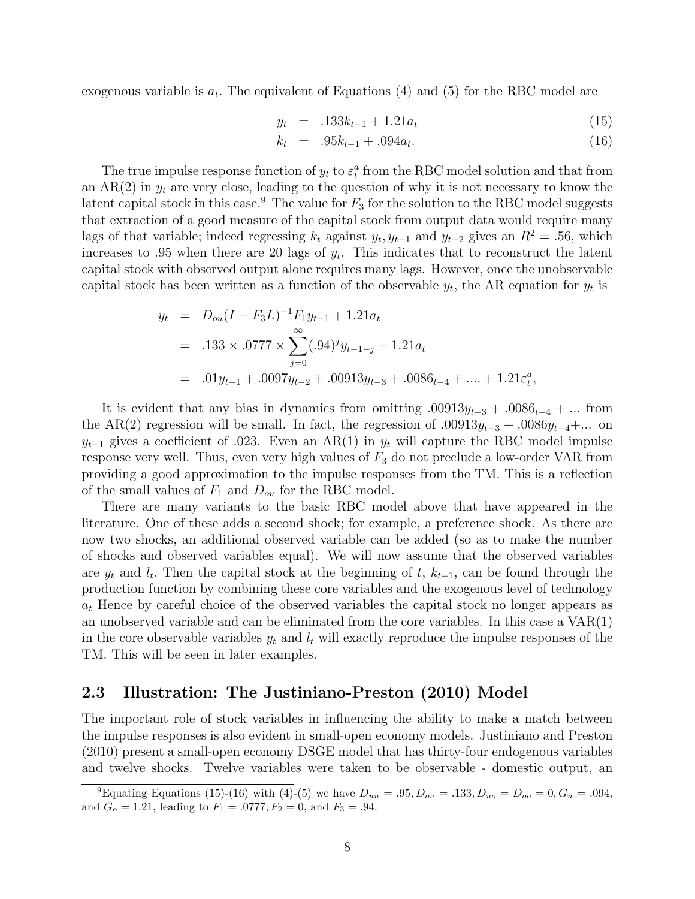exogenous variable is  $a_t$ . The equivalent of Equations (4) and (5) for the RBC model are

$$
y_t = .133k_{t-1} + 1.21a_t \tag{15}
$$

$$
k_t = .95k_{t-1} + .094a_t. \tag{16}
$$

The true impulse response function of  $y_t$  to  $\varepsilon_t^a$  from the RBC model solution and that from an  $AR(2)$  in  $y_t$  are very close, leading to the question of why it is not necessary to know the latent capital stock in this case.<sup>9</sup> The value for  $F_3$  for the solution to the RBC model suggests that extraction of a good measure of the capital stock from output data would require many lags of that variable; indeed regressing  $k_t$  against  $y_t, y_{t-1}$  and  $y_{t-2}$  gives an  $R^2 = .56$ , which increases to .95 when there are 20 lags of  $y_t$ . This indicates that to reconstruct the latent capital stock with observed output alone requires many lags. However, once the unobservable capital stock has been written as a function of the observable  $y_t$ , the AR equation for  $y_t$  is

$$
y_t = D_{ou}(I - F_3L)^{-1}F_1y_{t-1} + 1.21a_t
$$
  
= .133 × .0777 ×  $\sum_{j=0}^{\infty} (.94)^j y_{t-1-j} + 1.21a_t$   
= .01 $y_{t-1}$  + .0097 $y_{t-2}$  + .00913 $y_{t-3}$  + .0086<sub>t-4</sub> + ... + 1.21 $\varepsilon_t^a$ ,

It is evident that any bias in dynamics from omitting  $.00913y_{t-3} + .0086_{t-4} + ...$  from the AR(2) regression will be small. In fact, the regression of  $.00913y_{t-3} + .0086y_{t-4} + ...$  on  $y_{t-1}$  gives a coefficient of .023. Even an AR(1) in  $y_t$  will capture the RBC model impulse response very well. Thus, even very high values of  $F_3$  do not preclude a low-order VAR from providing a good approximation to the impulse responses from the TM. This is a reflection of the small values of  $F_1$  and  $D_{ou}$  for the RBC model.

There are many variants to the basic RBC model above that have appeared in the literature. One of these adds a second shock; for example, a preference shock. As there are now two shocks, an additional observed variable can be added (so as to make the number of shocks and observed variables equal). We will now assume that the observed variables are  $y_t$  and  $l_t$ . Then the capital stock at the beginning of t,  $k_{t-1}$ , can be found through the production function by combining these core variables and the exogenous level of technology  $a_t$  Hence by careful choice of the observed variables the capital stock no longer appears as an unobserved variable and can be eliminated from the core variables. In this case a VAR(1) in the core observable variables  $y_t$  and  $l_t$  will exactly reproduce the impulse responses of the TM. This will be seen in later examples.

### 2.3 Illustration: The Justiniano-Preston (2010) Model

The important role of stock variables in influencing the ability to make a match between the impulse responses is also evident in small-open economy models. Justiniano and Preston (2010) present a small-open economy DSGE model that has thirty-four endogenous variables and twelve shocks. Twelve variables were taken to be observable - domestic output, an

<sup>&</sup>lt;sup>9</sup>Equating Equations (15)-(16) with (4)-(5) we have  $D_{uu} = .95, D_{ou} = .133, D_{uo} = D_{oo} = 0, G_u = .094,$ and  $G_o = 1.21$ , leading to  $F_1 = .0777$ ,  $F_2 = 0$ , and  $F_3 = .94$ .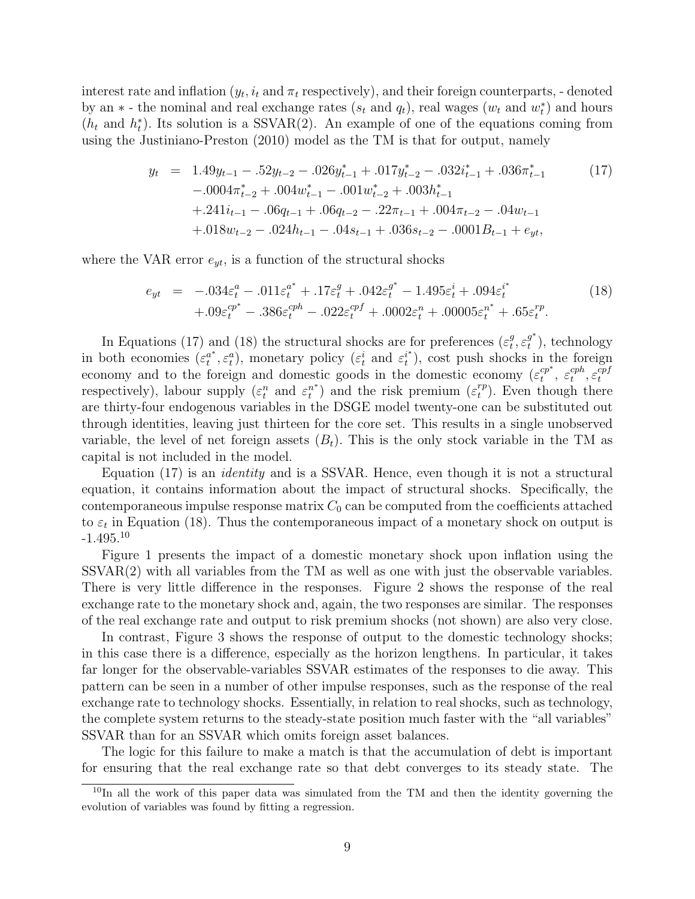interest rate and inflation  $(y_t, i_t \text{ and } \pi_t$  respectively), and their foreign counterparts, - denoted by an  $*$  - the nominal and real exchange rates  $(s_t \text{ and } q_t)$ , real wages  $(w_t \text{ and } w_t^*)$  and hours  $(h_t$  and  $h_t^*$ ). Its solution is a SSVAR(2). An example of one of the equations coming from using the Justiniano-Preston (2010) model as the TM is that for output, namely

$$
y_{t} = 1.49y_{t-1} - .52y_{t-2} - .026y_{t-1}^{*} + .017y_{t-2}^{*} - .032i_{t-1}^{*} + .036\pi_{t-1}^{*}
$$
\n
$$
-.0004\pi_{t-2}^{*} + .004w_{t-1}^{*} - .001w_{t-2}^{*} + .003h_{t-1}^{*}
$$
\n
$$
+.241i_{t-1} - .06q_{t-1} + .06q_{t-2} - .22\pi_{t-1} + .004\pi_{t-2} - .04w_{t-1}
$$
\n
$$
+.018w_{t-2} - .024h_{t-1} - .04s_{t-1} + .036s_{t-2} - .0001B_{t-1} + e_{yt},
$$
\n
$$
(17)
$$

where the VAR error  $e_{yt}$ , is a function of the structural shocks

$$
e_{yt} = -.034\varepsilon_t^a - .011\varepsilon_t^{a^*} + .17\varepsilon_t^g + .042\varepsilon_t^{g^*} - 1.495\varepsilon_t^i + .094\varepsilon_t^{i^*} + .09\varepsilon_t^{cp^*} - .386\varepsilon_t^{cph} - .022\varepsilon_t^{cpf} + .0002\varepsilon_t^n + .00005\varepsilon_t^{n^*} + .65\varepsilon_t^{rp}.
$$
 (18)

In Equations (17) and (18) the structural shocks are for preferences  $(\varepsilon_t^g)$  $\frac{g}{t}, \varepsilon_t^{g^*}$  $_t^{g^*}$ ), technology in both economies  $(\varepsilon_t^{a^*})$  $\mathbf{a}^{a^*}_{t}, \varepsilon_t^a$ ), monetary policy  $(\varepsilon_t^i$  and  $\varepsilon_t^{i^*})$  $t^{i^*}$ , cost push shocks in the foreign economy and to the foreign and domestic goods in the domestic economy  $(\varepsilon_t^{cp^*})$  $t^{cp^*}, \ \varepsilon^{cph}_t$  $_{t}^{cph},\varepsilon_{t}^{cpf}$ t respectively), labour supply  $(\varepsilon_t^n$  and  $\varepsilon_t^{n^*}$  $t^{n^*}$ ) and the risk premium  $(\varepsilon_t^{rp})$  $t_t^{rp}$ ). Even though there are thirty-four endogenous variables in the DSGE model twenty-one can be substituted out through identities, leaving just thirteen for the core set. This results in a single unobserved variable, the level of net foreign assets  $(B_t)$ . This is the only stock variable in the TM as capital is not included in the model.

Equation (17) is an *identity* and is a SSVAR. Hence, even though it is not a structural equation, it contains information about the impact of structural shocks. Specifically, the contemporaneous impulse response matrix  $C_0$  can be computed from the coefficients attached to  $\varepsilon_t$  in Equation (18). Thus the contemporaneous impact of a monetary shock on output is  $-1.495$ <sup>10</sup>

Figure 1 presents the impact of a domestic monetary shock upon inflation using the SSVAR(2) with all variables from the TM as well as one with just the observable variables. There is very little difference in the responses. Figure 2 shows the response of the real exchange rate to the monetary shock and, again, the two responses are similar. The responses of the real exchange rate and output to risk premium shocks (not shown) are also very close.

In contrast, Figure 3 shows the response of output to the domestic technology shocks; in this case there is a difference, especially as the horizon lengthens. In particular, it takes far longer for the observable-variables SSVAR estimates of the responses to die away. This pattern can be seen in a number of other impulse responses, such as the response of the real exchange rate to technology shocks. Essentially, in relation to real shocks, such as technology, the complete system returns to the steady-state position much faster with the "all variables" SSVAR than for an SSVAR which omits foreign asset balances.

The logic for this failure to make a match is that the accumulation of debt is important for ensuring that the real exchange rate so that debt converges to its steady state. The

<sup>&</sup>lt;sup>10</sup>In all the work of this paper data was simulated from the TM and then the identity governing the evolution of variables was found by fitting a regression.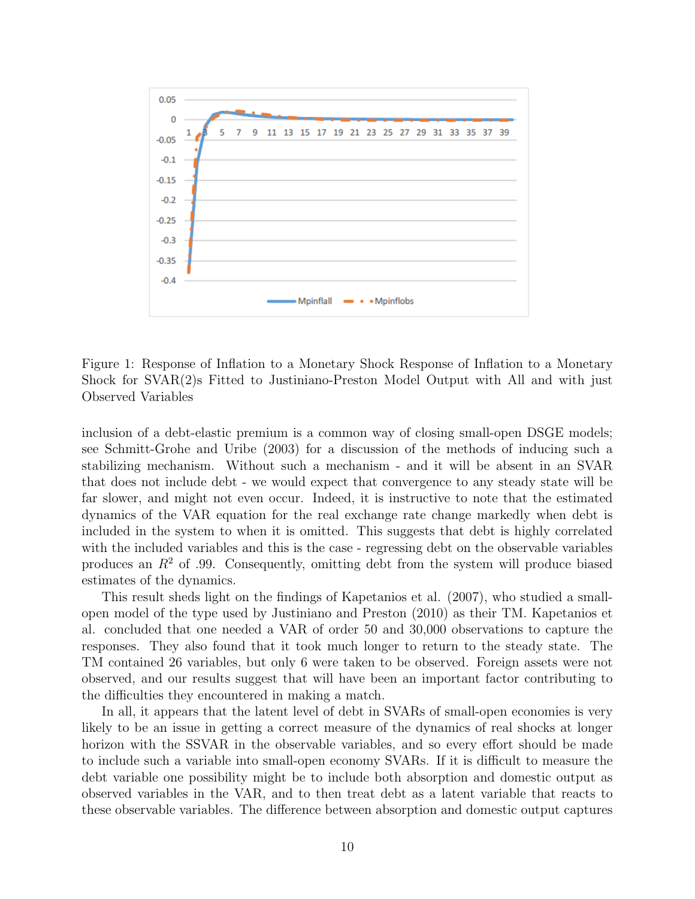

Figure 1: Response of Inflation to a Monetary Shock Response of Inflation to a Monetary Shock for SVAR(2)s Fitted to Justiniano-Preston Model Output with All and with just Observed Variables

inclusion of a debt-elastic premium is a common way of closing small-open DSGE models; see Schmitt-Grohe and Uribe (2003) for a discussion of the methods of inducing such a stabilizing mechanism. Without such a mechanism - and it will be absent in an SVAR that does not include debt - we would expect that convergence to any steady state will be far slower, and might not even occur. Indeed, it is instructive to note that the estimated dynamics of the VAR equation for the real exchange rate change markedly when debt is included in the system to when it is omitted. This suggests that debt is highly correlated with the included variables and this is the case - regressing debt on the observable variables produces an  $R<sup>2</sup>$  of .99. Consequently, omitting debt from the system will produce biased estimates of the dynamics.

This result sheds light on the findings of Kapetanios et al. (2007), who studied a smallopen model of the type used by Justiniano and Preston (2010) as their TM. Kapetanios et al. concluded that one needed a VAR of order 50 and 30,000 observations to capture the responses. They also found that it took much longer to return to the steady state. The TM contained 26 variables, but only 6 were taken to be observed. Foreign assets were not observed, and our results suggest that will have been an important factor contributing to the difficulties they encountered in making a match.

In all, it appears that the latent level of debt in SVARs of small-open economies is very likely to be an issue in getting a correct measure of the dynamics of real shocks at longer horizon with the SSVAR in the observable variables, and so every effort should be made to include such a variable into small-open economy SVARs. If it is difficult to measure the debt variable one possibility might be to include both absorption and domestic output as observed variables in the VAR, and to then treat debt as a latent variable that reacts to these observable variables. The difference between absorption and domestic output captures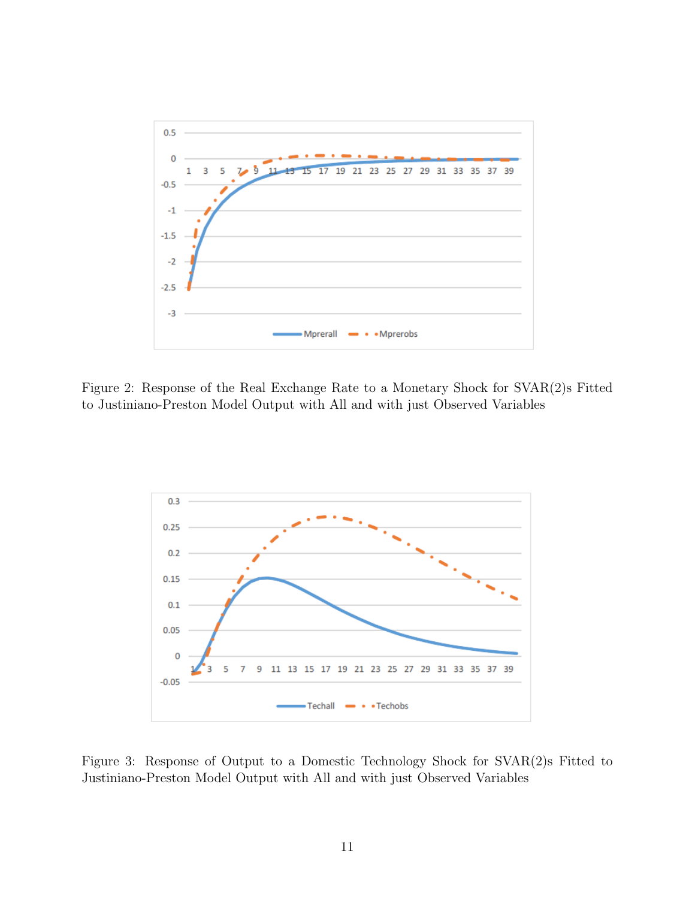

Figure 2: Response of the Real Exchange Rate to a Monetary Shock for SVAR(2)s Fitted to Justiniano-Preston Model Output with All and with just Observed Variables



Figure 3: Response of Output to a Domestic Technology Shock for SVAR(2)s Fitted to Justiniano-Preston Model Output with All and with just Observed Variables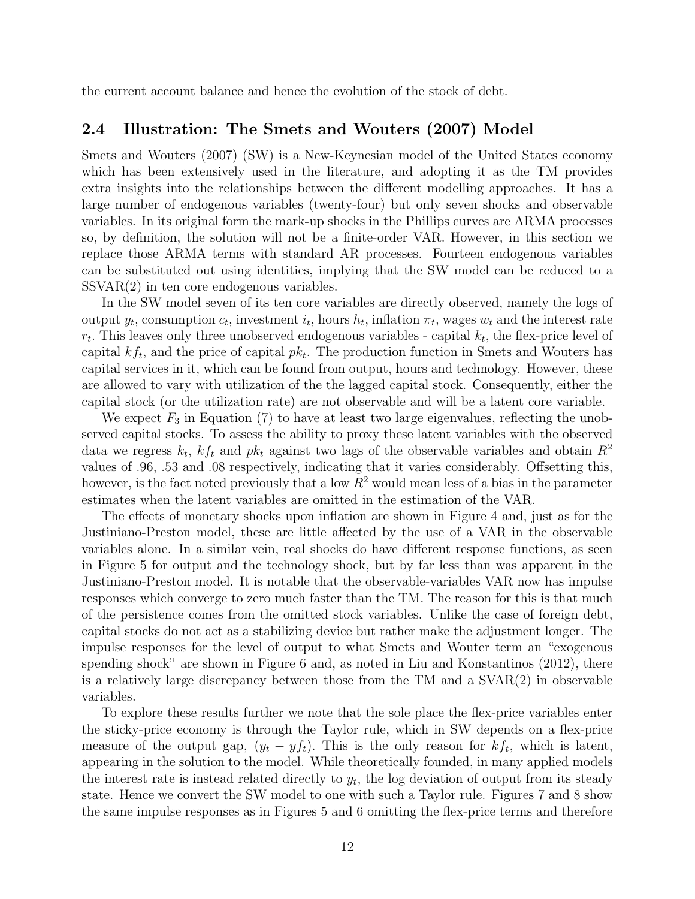the current account balance and hence the evolution of the stock of debt.

## 2.4 Illustration: The Smets and Wouters (2007) Model

Smets and Wouters (2007) (SW) is a New-Keynesian model of the United States economy which has been extensively used in the literature, and adopting it as the TM provides extra insights into the relationships between the different modelling approaches. It has a large number of endogenous variables (twenty-four) but only seven shocks and observable variables. In its original form the mark-up shocks in the Phillips curves are ARMA processes so, by definition, the solution will not be a finite-order VAR. However, in this section we replace those ARMA terms with standard AR processes. Fourteen endogenous variables can be substituted out using identities, implying that the SW model can be reduced to a SSVAR(2) in ten core endogenous variables.

In the SW model seven of its ten core variables are directly observed, namely the logs of output  $y_t$ , consumption  $c_t$ , investment  $i_t$ , hours  $h_t$ , inflation  $\pi_t$ , wages  $w_t$  and the interest rate  $r_t$ . This leaves only three unobserved endogenous variables - capital  $k_t$ , the flex-price level of capital  $kf_t$ , and the price of capital  $pk_t$ . The production function in Smets and Wouters has capital services in it, which can be found from output, hours and technology. However, these are allowed to vary with utilization of the the lagged capital stock. Consequently, either the capital stock (or the utilization rate) are not observable and will be a latent core variable.

We expect  $F_3$  in Equation (7) to have at least two large eigenvalues, reflecting the unobserved capital stocks. To assess the ability to proxy these latent variables with the observed data we regress  $k_t$ ,  $kf_t$  and  $pk_t$  against two lags of the observable variables and obtain  $R^2$ values of .96, .53 and .08 respectively, indicating that it varies considerably. Offsetting this, however, is the fact noted previously that a low  $R^2$  would mean less of a bias in the parameter estimates when the latent variables are omitted in the estimation of the VAR.

The effects of monetary shocks upon inflation are shown in Figure 4 and, just as for the Justiniano-Preston model, these are little affected by the use of a VAR in the observable variables alone. In a similar vein, real shocks do have different response functions, as seen in Figure 5 for output and the technology shock, but by far less than was apparent in the Justiniano-Preston model. It is notable that the observable-variables VAR now has impulse responses which converge to zero much faster than the TM. The reason for this is that much of the persistence comes from the omitted stock variables. Unlike the case of foreign debt, capital stocks do not act as a stabilizing device but rather make the adjustment longer. The impulse responses for the level of output to what Smets and Wouter term an "exogenous spending shock" are shown in Figure 6 and, as noted in Liu and Konstantinos (2012), there is a relatively large discrepancy between those from the TM and a SVAR(2) in observable variables.

To explore these results further we note that the sole place the flex-price variables enter the sticky-price economy is through the Taylor rule, which in SW depends on a flex-price measure of the output gap,  $(y_t - y f_t)$ . This is the only reason for  $kf_t$ , which is latent, appearing in the solution to the model. While theoretically founded, in many applied models the interest rate is instead related directly to  $y_t$ , the log deviation of output from its steady state. Hence we convert the SW model to one with such a Taylor rule. Figures 7 and 8 show the same impulse responses as in Figures 5 and 6 omitting the flex-price terms and therefore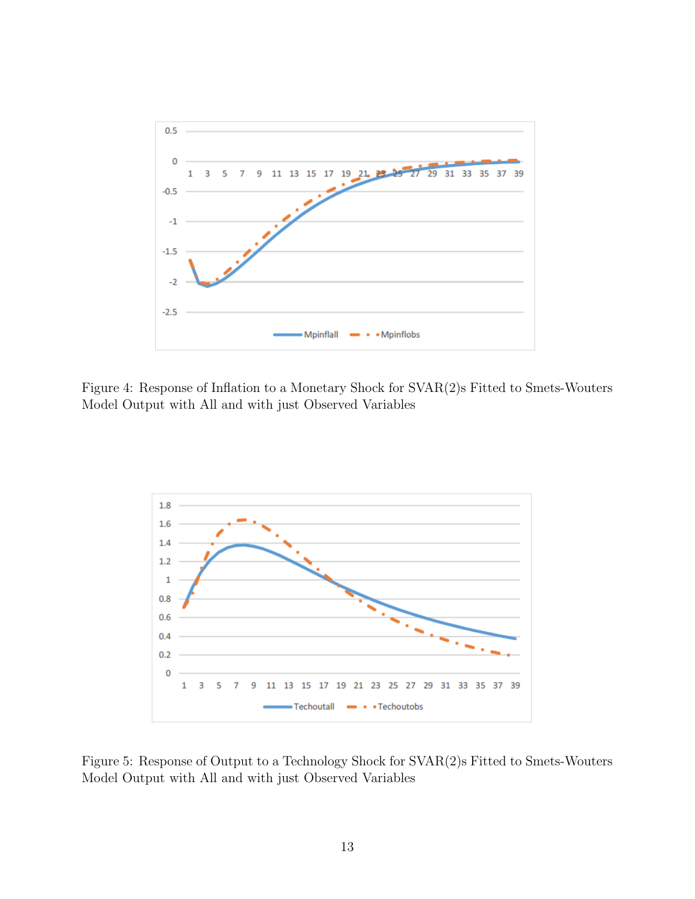

Figure 4: Response of Inflation to a Monetary Shock for SVAR(2)s Fitted to Smets-Wouters Model Output with All and with just Observed Variables



Figure 5: Response of Output to a Technology Shock for SVAR(2)s Fitted to Smets-Wouters Model Output with All and with just Observed Variables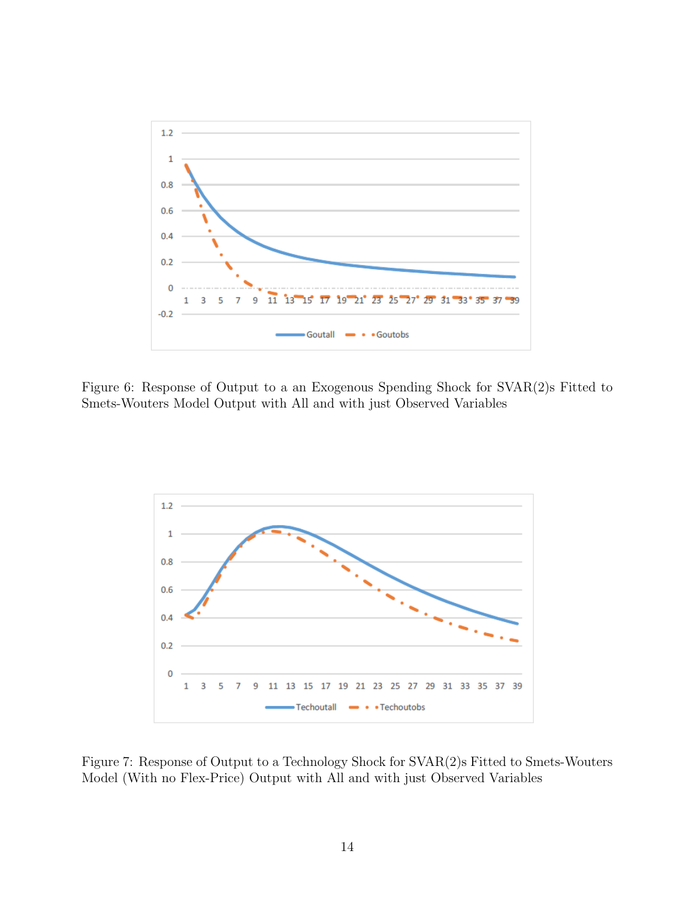

Figure 6: Response of Output to a an Exogenous Spending Shock for SVAR(2)s Fitted to Smets-Wouters Model Output with All and with just Observed Variables



Figure 7: Response of Output to a Technology Shock for SVAR(2)s Fitted to Smets-Wouters Model (With no Flex-Price) Output with All and with just Observed Variables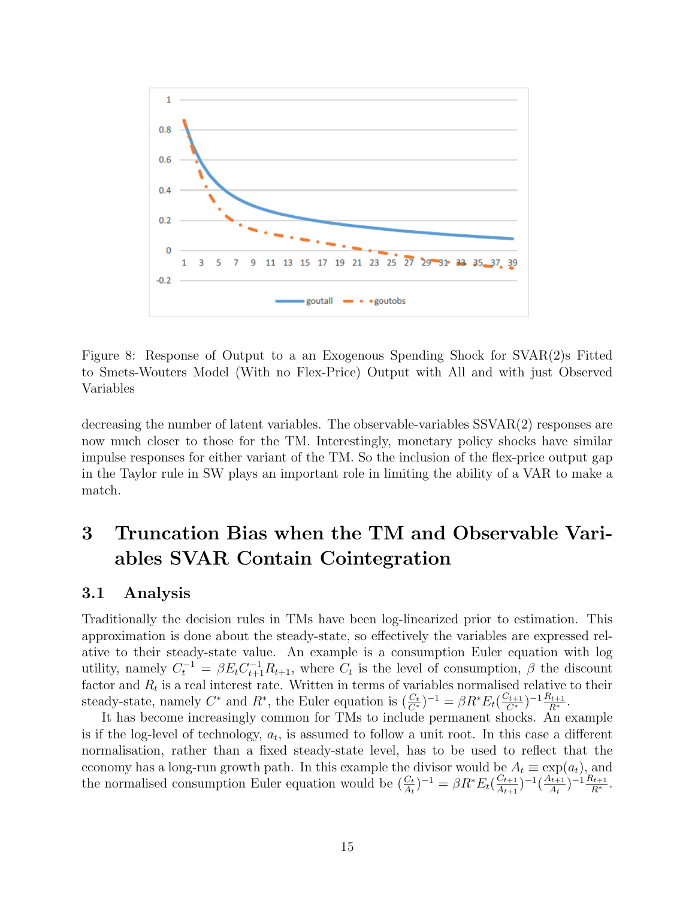

Figure 8: Response of Output to a an Exogenous Spending Shock for SVAR(2)s Fitted to Smets-Wouters Model (With no Flex-Price) Output with All and with just Observed Variables

decreasing the number of latent variables. The observable-variables SSVAR(2) responses are now much closer to those for the TM. Interestingly, monetary policy shocks have similar impulse responses for either variant of the TM. So the inclusion of the flex-price output gap in the Taylor rule in SW plays an important role in limiting the ability of a VAR to make a match.

# 3 Truncation Bias when the TM and Observable Variables SVAR Contain Cointegration

### 3.1 Analysis

Traditionally the decision rules in TMs have been log-linearized prior to estimation. This approximation is done about the steady-state, so effectively the variables are expressed relative to their steady-state value. An example is a consumption Euler equation with log utility, namely  $C_t^{-1} = \beta E_t C_{t+1}^{-1} R_{t+1}$ , where  $C_t$  is the level of consumption,  $\beta$  the discount factor and  $R_t$  is a real interest rate. Written in terms of variables normalised relative to their steady-state, namely  $C^*$  and  $R^*$ , the Euler equation is  $(\frac{C_t}{C^*})^{-1} = \beta R^* E_t (\frac{C_{t+1}}{C^*})^{-1} \frac{R_{t+1}}{R^*}.$ 

It has become increasingly common for TMs to include permanent shocks. An example is if the log-level of technology,  $a_t$ , is assumed to follow a unit root. In this case a different normalisation, rather than a fixed steady-state level, has to be used to reflect that the economy has a long-run growth path. In this example the divisor would be  $A_t \equiv \exp(a_t)$ , and the normalised consumption Euler equation would be  $(\frac{C_t}{A_t})^{-1} = \beta R^* E_t (\frac{C_{t+1}}{A_{t+1}})$  $\frac{C_{t+1}}{A_{t+1}}$ )<sup>-1</sup>( $\frac{A_{t+1}}{A_t}$  $\frac{(k+1)}{A_t}$  $^{-1} \frac{R_{t+1}}{R^*}$ .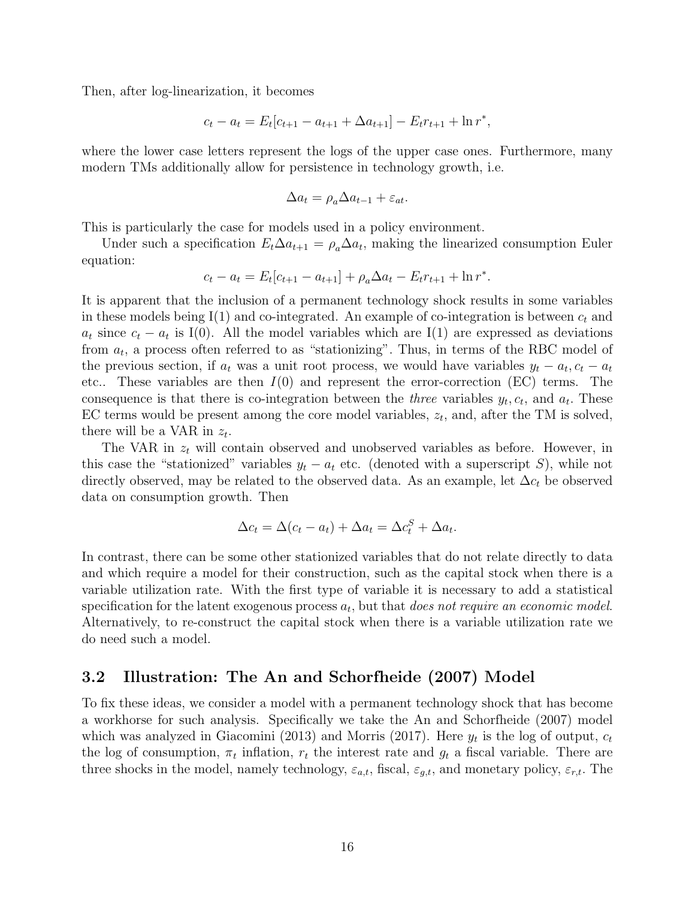Then, after log-linearization, it becomes

$$
c_t - a_t = E_t[c_{t+1} - a_{t+1} + \Delta a_{t+1}] - E_t r_{t+1} + \ln r^*,
$$

where the lower case letters represent the logs of the upper case ones. Furthermore, many modern TMs additionally allow for persistence in technology growth, i.e.

$$
\Delta a_t = \rho_a \Delta a_{t-1} + \varepsilon_{at}.
$$

This is particularly the case for models used in a policy environment.

Under such a specification  $E_t \Delta a_{t+1} = \rho_a \Delta a_t$ , making the linearized consumption Euler equation:

$$
c_t - a_t = E_t[c_{t+1} - a_{t+1}] + \rho_a \Delta a_t - E_t r_{t+1} + \ln r^*.
$$

It is apparent that the inclusion of a permanent technology shock results in some variables in these models being  $I(1)$  and co-integrated. An example of co-integration is between  $c_t$  and  $a_t$  since  $c_t - a_t$  is I(0). All the model variables which are I(1) are expressed as deviations from  $a_t$ , a process often referred to as "stationizing". Thus, in terms of the RBC model of the previous section, if  $a_t$  was a unit root process, we would have variables  $y_t - a_t$ ,  $c_t - a_t$ etc.. These variables are then  $I(0)$  and represent the error-correction (EC) terms. The consequence is that there is co-integration between the *three* variables  $y_t, c_t$ , and  $a_t$ . These EC terms would be present among the core model variables,  $z_t$ , and, after the TM is solved, there will be a VAR in  $z_t$ .

The VAR in  $z_t$  will contain observed and unobserved variables as before. However, in this case the "stationized" variables  $y_t - a_t$  etc. (denoted with a superscript S), while not directly observed, may be related to the observed data. As an example, let  $\Delta c_t$  be observed data on consumption growth. Then

$$
\Delta c_t = \Delta (c_t - a_t) + \Delta a_t = \Delta c_t^S + \Delta a_t.
$$

In contrast, there can be some other stationized variables that do not relate directly to data and which require a model for their construction, such as the capital stock when there is a variable utilization rate. With the first type of variable it is necessary to add a statistical specification for the latent exogenous process  $a_t$ , but that does not require an economic model. Alternatively, to re-construct the capital stock when there is a variable utilization rate we do need such a model.

### 3.2 Illustration: The An and Schorfheide (2007) Model

To fix these ideas, we consider a model with a permanent technology shock that has become a workhorse for such analysis. Specifically we take the An and Schorfheide (2007) model which was analyzed in Giacomini (2013) and Morris (2017). Here  $y_t$  is the log of output,  $c_t$ the log of consumption,  $\pi_t$  inflation,  $r_t$  the interest rate and  $g_t$  a fiscal variable. There are three shocks in the model, namely technology,  $\varepsilon_{a,t}$ , fiscal,  $\varepsilon_{g,t}$ , and monetary policy,  $\varepsilon_{r,t}$ . The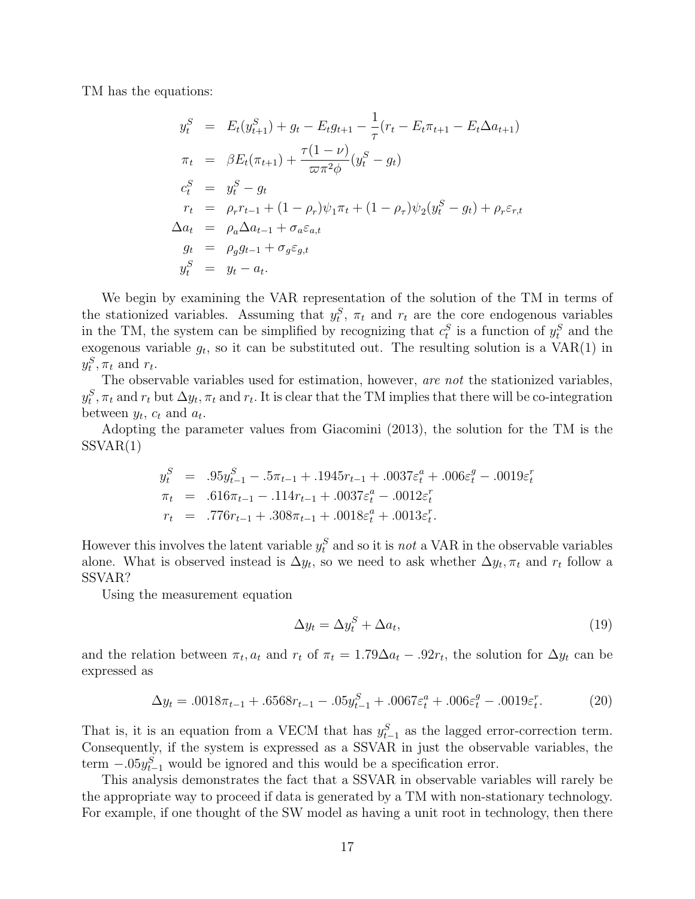TM has the equations:

$$
y_t^S = E_t(y_{t+1}^S) + g_t - E_t g_{t+1} - \frac{1}{\tau} (r_t - E_t \pi_{t+1} - E_t \Delta a_{t+1})
$$
  
\n
$$
\pi_t = \beta E_t(\pi_{t+1}) + \frac{\tau (1 - \nu)}{\varpi \pi^2 \phi} (y_t^S - g_t)
$$
  
\n
$$
c_t^S = y_t^S - g_t
$$
  
\n
$$
r_t = \rho_r r_{t-1} + (1 - \rho_r) \psi_1 \pi_t + (1 - \rho_\tau) \psi_2 (y_t^S - g_t) + \rho_r \varepsilon_{r,t}
$$
  
\n
$$
\Delta a_t = \rho_a \Delta a_{t-1} + \sigma_a \varepsilon_{a,t}
$$
  
\n
$$
g_t = \rho_g g_{t-1} + \sigma_g \varepsilon_{g,t}
$$
  
\n
$$
y_t^S = y_t - a_t.
$$

We begin by examining the VAR representation of the solution of the TM in terms of the stationized variables. Assuming that  $y_t^S$ ,  $\pi_t$  and  $r_t$  are the core endogenous variables in the TM, the system can be simplified by recognizing that  $c_t^S$  is a function of  $y_t^S$  and the exogenous variable  $g_t$ , so it can be substituted out. The resulting solution is a  $VAR(1)$  in  $y_t^S, \pi_t$  and  $r_t$ .

The observable variables used for estimation, however, are not the stationized variables,  $y_t^S, \pi_t$  and  $r_t$  but  $\Delta y_t, \pi_t$  and  $r_t$ . It is clear that the TM implies that there will be co-integration between  $y_t$ ,  $c_t$  and  $a_t$ .

Adopting the parameter values from Giacomini (2013), the solution for the TM is the  $SSVAR(1)$ 

$$
y_t^S = .95y_{t-1}^S - .5\pi_{t-1} + .1945r_{t-1} + .0037\varepsilon_t^a + .006\varepsilon_t^g - .0019\varepsilon_t^r
$$
  
\n
$$
\pi_t = .616\pi_{t-1} - .114r_{t-1} + .0037\varepsilon_t^a - .0012\varepsilon_t^r
$$
  
\n
$$
r_t = .776r_{t-1} + .308\pi_{t-1} + .0018\varepsilon_t^a + .0013\varepsilon_t^r.
$$

However this involves the latent variable  $y_t^S$  and so it is *not* a VAR in the observable variables alone. What is observed instead is  $\Delta y_t$ , so we need to ask whether  $\Delta y_t$ ,  $\pi_t$  and  $r_t$  follow a SSVAR?

Using the measurement equation

$$
\Delta y_t = \Delta y_t^S + \Delta a_t,\tag{19}
$$

and the relation between  $\pi_t$ ,  $a_t$  and  $r_t$  of  $\pi_t = 1.79\Delta a_t - .92r_t$ , the solution for  $\Delta y_t$  can be expressed as

$$
\Delta y_t = .0018\pi_{t-1} + .6568\pi_{t-1} - .05y_{t-1}^S + .0067\epsilon_t^a + .006\epsilon_t^g - .0019\epsilon_t^r. \tag{20}
$$

That is, it is an equation from a VECM that has  $y_{t-1}^S$  as the lagged error-correction term. Consequently, if the system is expressed as a SSVAR in just the observable variables, the term  $-.05y_{t-1}^S$  would be ignored and this would be a specification error.

This analysis demonstrates the fact that a SSVAR in observable variables will rarely be the appropriate way to proceed if data is generated by a TM with non-stationary technology. For example, if one thought of the SW model as having a unit root in technology, then there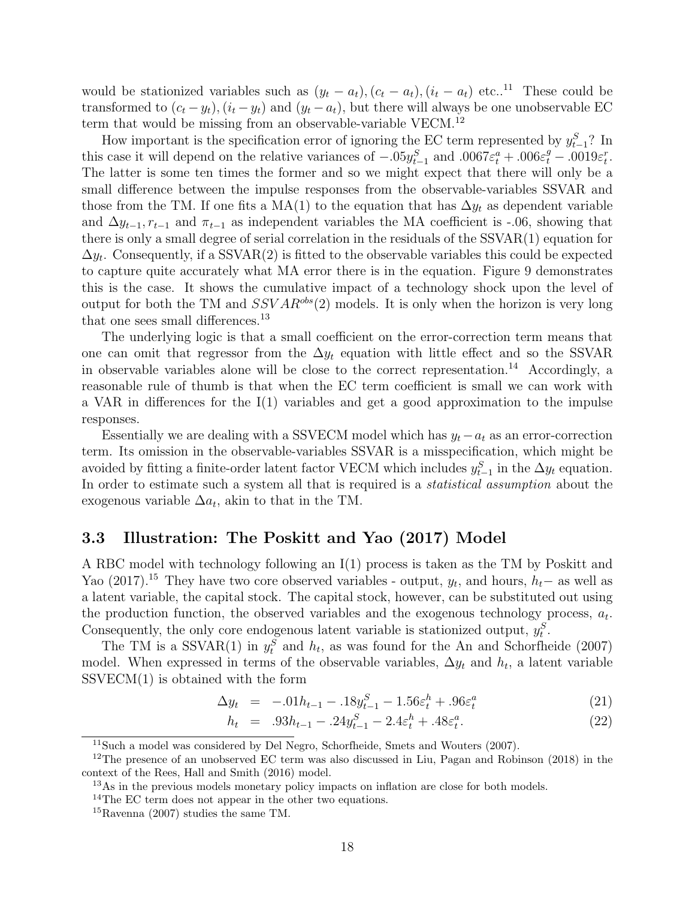would be stationized variables such as  $(y_t - a_t)$ ,  $(c_t - a_t)$ ,  $(i_t - a_t)$  etc..<sup>11</sup> These could be transformed to  $(c_t - y_t)$ ,  $(i_t - y_t)$  and  $(y_t - a_t)$ , but there will always be one unobservable EC term that would be missing from an observable-variable VECM.<sup>12</sup>

How important is the specification error of ignoring the EC term represented by  $y_{t-1}^S$ ? In this case it will depend on the relative variances of  $-.05y_{t-1}^S$  and  $.0067\varepsilon_t^a + .006\varepsilon_t^g - .0019\varepsilon_t^r$ . The latter is some ten times the former and so we might expect that there will only be a small difference between the impulse responses from the observable-variables SSVAR and those from the TM. If one fits a MA(1) to the equation that has  $\Delta y_t$  as dependent variable and  $\Delta y_{t-1}, r_{t-1}$  and  $\pi_{t-1}$  as independent variables the MA coefficient is -.06, showing that there is only a small degree of serial correlation in the residuals of the SSVAR(1) equation for  $\Delta y_t$ . Consequently, if a SSVAR(2) is fitted to the observable variables this could be expected to capture quite accurately what MA error there is in the equation. Figure 9 demonstrates this is the case. It shows the cumulative impact of a technology shock upon the level of output for both the TM and  $SSVAR^{obs}(2)$  models. It is only when the horizon is very long that one sees small differences.<sup>13</sup>

The underlying logic is that a small coefficient on the error-correction term means that one can omit that regressor from the  $\Delta y_t$  equation with little effect and so the SSVAR in observable variables alone will be close to the correct representation.<sup>14</sup> Accordingly, a reasonable rule of thumb is that when the EC term coefficient is small we can work with a VAR in differences for the  $I(1)$  variables and get a good approximation to the impulse responses.

Essentially we are dealing with a SSVECM model which has  $y_t - a_t$  as an error-correction term. Its omission in the observable-variables SSVAR is a misspecification, which might be avoided by fitting a finite-order latent factor VECM which includes  $y_{t-1}^S$  in the  $\Delta y_t$  equation. In order to estimate such a system all that is required is a *statistical assumption* about the exogenous variable  $\Delta a_t$ , akin to that in the TM.

## 3.3 Illustration: The Poskitt and Yao (2017) Model

A RBC model with technology following an I(1) process is taken as the TM by Poskitt and Yao (2017).<sup>15</sup> They have two core observed variables - output,  $y_t$ , and hours,  $h_t$  – as well as a latent variable, the capital stock. The capital stock, however, can be substituted out using the production function, the observed variables and the exogenous technology process,  $a_t$ . Consequently, the only core endogenous latent variable is stationized output,  $y_t^S$ .

The TM is a SSVAR(1) in  $y_t^S$  and  $h_t$ , as was found for the An and Schorfheide (2007) model. When expressed in terms of the observable variables,  $\Delta y_t$  and  $h_t$ , a latent variable  $SSVECM(1)$  is obtained with the form

$$
\Delta y_t = -0.01h_{t-1} - 0.18y_{t-1}^S - 1.56\varepsilon_t^h + 0.96\varepsilon_t^a \tag{21}
$$

$$
h_t = .93h_{t-1} - .24y_{t-1}^S - 2.4\varepsilon_t^h + .48\varepsilon_t^a. \tag{22}
$$

 $11$ Such a model was considered by Del Negro, Schorfheide, Smets and Wouters (2007).

<sup>&</sup>lt;sup>12</sup>The presence of an unobserved EC term was also discussed in Liu, Pagan and Robinson (2018) in the context of the Rees, Hall and Smith (2016) model.

<sup>&</sup>lt;sup>13</sup>As in the previous models monetary policy impacts on inflation are close for both models.

<sup>&</sup>lt;sup>14</sup>The EC term does not appear in the other two equations.

<sup>15</sup>Ravenna (2007) studies the same TM.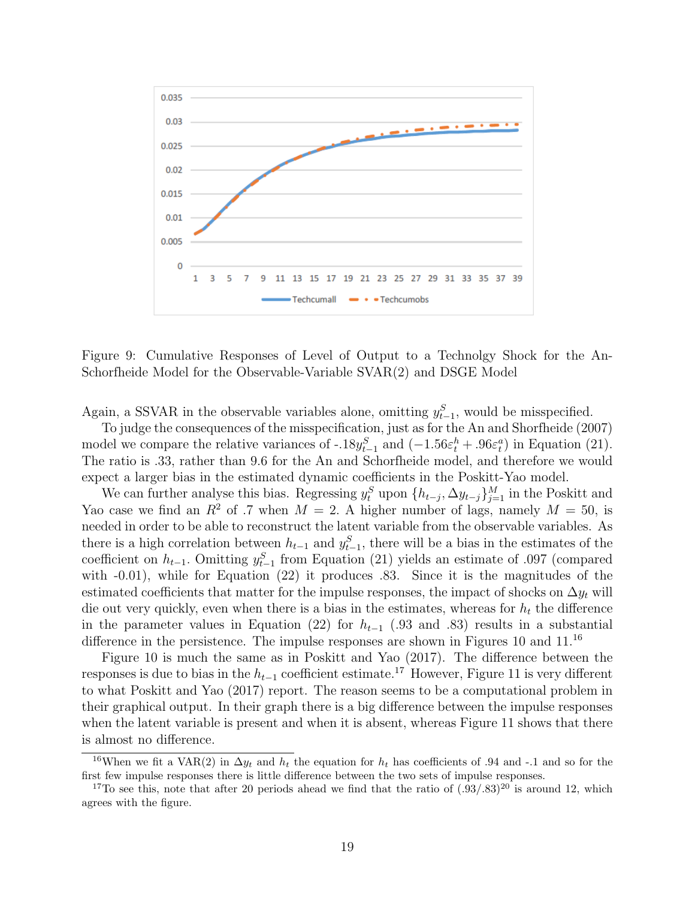

Figure 9: Cumulative Responses of Level of Output to a Technolgy Shock for the An-Schorfheide Model for the Observable-Variable SVAR(2) and DSGE Model

Again, a SSVAR in the observable variables alone, omitting  $y_{t-1}^S$ , would be misspecified.

To judge the consequences of the misspecification, just as for the An and Shorfheide (2007) model we compare the relative variances of -.18 $y_{t-1}^S$  and  $(-1.56\varepsilon_t^h + .96\varepsilon_t^a)$  in Equation (21). The ratio is .33, rather than 9.6 for the An and Schorfheide model, and therefore we would expect a larger bias in the estimated dynamic coefficients in the Poskitt-Yao model.

We can further analyse this bias. Regressing  $y_t^S$  upon  $\{h_{t-j}, \Delta y_{t-j}\}_{j=1}^M$  in the Poskitt and Yao case we find an  $R^2$  of .7 when  $M = 2$ . A higher number of lags, namely  $M = 50$ , is needed in order to be able to reconstruct the latent variable from the observable variables. As there is a high correlation between  $h_{t-1}$  and  $y_{t-1}^S$ , there will be a bias in the estimates of the coefficient on  $h_{t-1}$ . Omitting  $y_{t-1}^S$  from Equation (21) yields an estimate of .097 (compared with  $-0.01$ ), while for Equation  $(22)$  it produces  $.83$ . Since it is the magnitudes of the estimated coefficients that matter for the impulse responses, the impact of shocks on  $\Delta y_t$  will die out very quickly, even when there is a bias in the estimates, whereas for  $h_t$  the difference in the parameter values in Equation (22) for  $h_{t-1}$  (.93 and .83) results in a substantial difference in the persistence. The impulse responses are shown in Figures 10 and 11.<sup>16</sup>

Figure 10 is much the same as in Poskitt and Yao (2017). The difference between the responses is due to bias in the  $h_{t-1}$  coefficient estimate.<sup>17</sup> However, Figure 11 is very different to what Poskitt and Yao (2017) report. The reason seems to be a computational problem in their graphical output. In their graph there is a big difference between the impulse responses when the latent variable is present and when it is absent, whereas Figure 11 shows that there is almost no difference.

<sup>&</sup>lt;sup>16</sup>When we fit a VAR(2) in  $\Delta y_t$  and  $h_t$  the equation for  $h_t$  has coefficients of .94 and -.1 and so for the first few impulse responses there is little difference between the two sets of impulse responses.

<sup>&</sup>lt;sup>17</sup>To see this, note that after 20 periods ahead we find that the ratio of  $(.93/.83)^{20}$  is around 12, which agrees with the figure.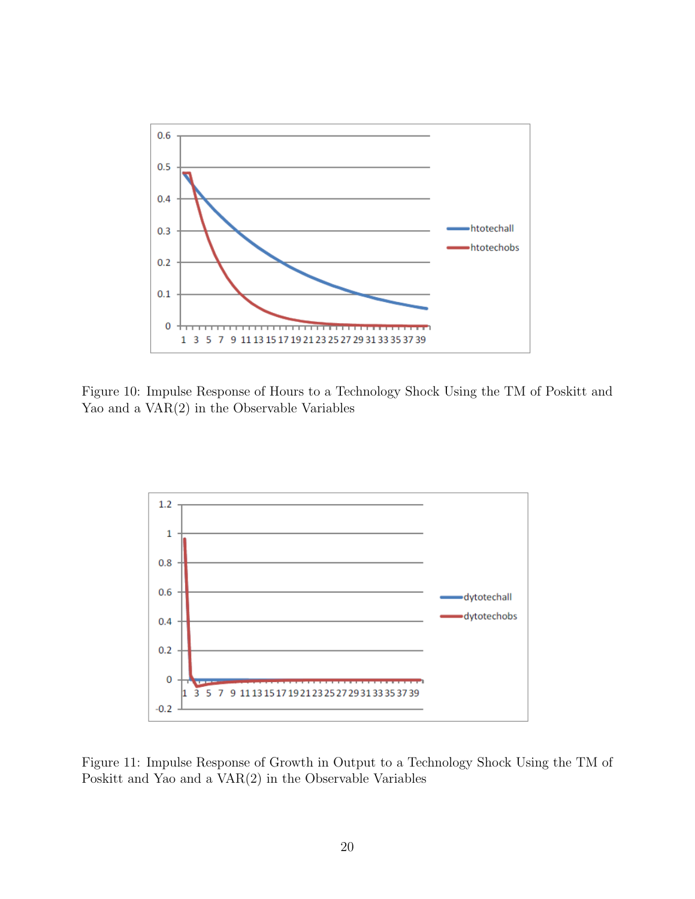

Figure 10: Impulse Response of Hours to a Technology Shock Using the TM of Poskitt and Yao and a VAR(2) in the Observable Variables



Figure 11: Impulse Response of Growth in Output to a Technology Shock Using the TM of Poskitt and Yao and a VAR(2) in the Observable Variables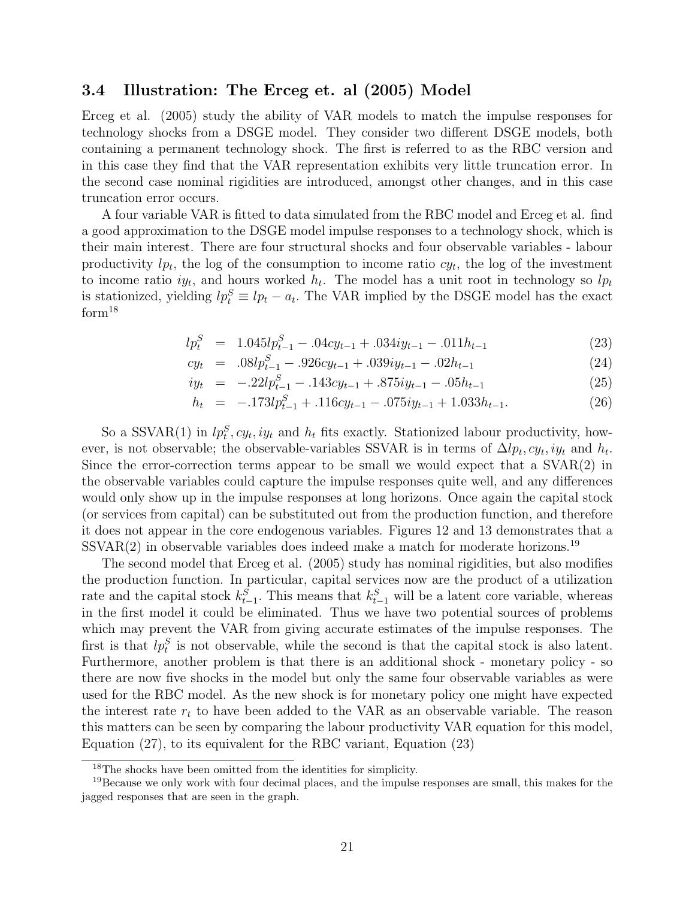### 3.4 Illustration: The Erceg et. al (2005) Model

Erceg et al. (2005) study the ability of VAR models to match the impulse responses for technology shocks from a DSGE model. They consider two different DSGE models, both containing a permanent technology shock. The first is referred to as the RBC version and in this case they find that the VAR representation exhibits very little truncation error. In the second case nominal rigidities are introduced, amongst other changes, and in this case truncation error occurs.

A four variable VAR is fitted to data simulated from the RBC model and Erceg et al. find a good approximation to the DSGE model impulse responses to a technology shock, which is their main interest. There are four structural shocks and four observable variables - labour productivity  $lp_t$ , the log of the consumption to income ratio  $cy_t$ , the log of the investment to income ratio  $iy_t$ , and hours worked  $h_t$ . The model has a unit root in technology so  $lp_t$ is stationized, yielding  $lp_t^S \equiv lp_t - a_t$ . The VAR implied by the DSGE model has the exact form<sup>18</sup>

$$
lp_t^S = 1.045lp_{t-1}^S - .04cy_{t-1} + .034iy_{t-1} - .011h_{t-1}
$$
\n(23)

$$
cy_t = .08lp_{t-1}^S - .926cy_{t-1} + .039iy_{t-1} - .02h_{t-1}
$$
\n(24)

$$
iy_t = -22lp_{t-1}^S - 0.143cy_{t-1} + 0.875iy_{t-1} - 0.05h_{t-1}
$$
\n(25)

$$
h_t = -.173lp_{t-1}^S + .116cy_{t-1} - .075iy_{t-1} + 1.033h_{t-1}.
$$
\n(26)

So a SSVAR(1) in  $lp_t^S, cy_t, iy_t$  and  $h_t$  fits exactly. Stationized labour productivity, however, is not observable; the observable-variables SSVAR is in terms of  $\Delta lp_t, cy_t, iy_t$  and  $h_t$ . Since the error-correction terms appear to be small we would expect that a SVAR(2) in the observable variables could capture the impulse responses quite well, and any differences would only show up in the impulse responses at long horizons. Once again the capital stock (or services from capital) can be substituted out from the production function, and therefore it does not appear in the core endogenous variables. Figures 12 and 13 demonstrates that a  $SSVAR(2)$  in observable variables does indeed make a match for moderate horizons.<sup>19</sup>

The second model that Erceg et al. (2005) study has nominal rigidities, but also modifies the production function. In particular, capital services now are the product of a utilization rate and the capital stock  $k_{t-1}^S$ . This means that  $k_{t-1}^S$  will be a latent core variable, whereas in the first model it could be eliminated. Thus we have two potential sources of problems which may prevent the VAR from giving accurate estimates of the impulse responses. The first is that  $lp_t^S$  is not observable, while the second is that the capital stock is also latent. Furthermore, another problem is that there is an additional shock - monetary policy - so there are now five shocks in the model but only the same four observable variables as were used for the RBC model. As the new shock is for monetary policy one might have expected the interest rate  $r_t$  to have been added to the VAR as an observable variable. The reason this matters can be seen by comparing the labour productivity VAR equation for this model, Equation (27), to its equivalent for the RBC variant, Equation (23)

<sup>18</sup>The shocks have been omitted from the identities for simplicity.

<sup>&</sup>lt;sup>19</sup>Because we only work with four decimal places, and the impulse responses are small, this makes for the jagged responses that are seen in the graph.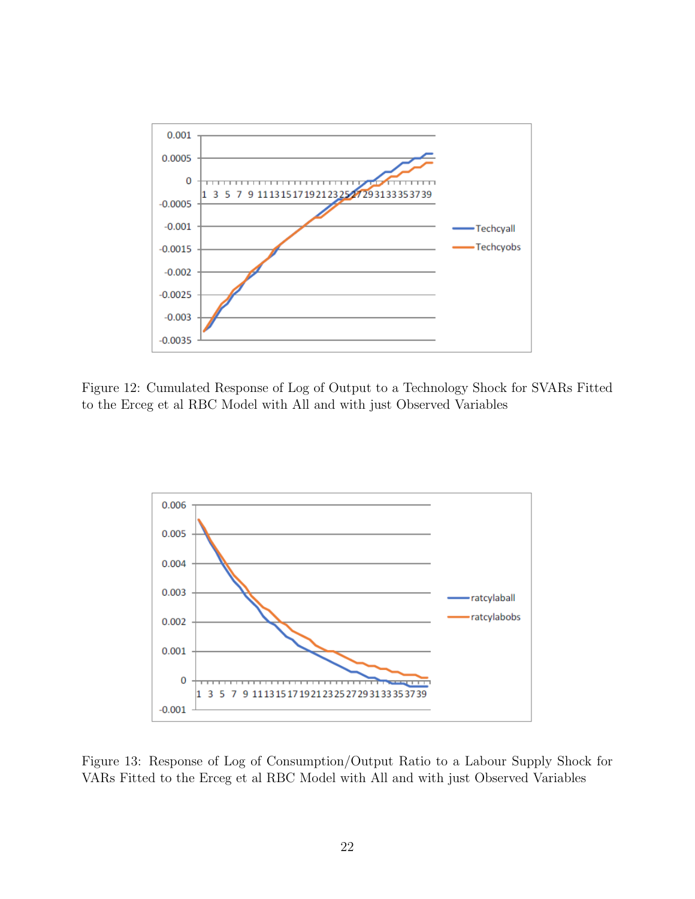

Figure 12: Cumulated Response of Log of Output to a Technology Shock for SVARs Fitted to the Erceg et al RBC Model with All and with just Observed Variables



Figure 13: Response of Log of Consumption/Output Ratio to a Labour Supply Shock for VARs Fitted to the Erceg et al RBC Model with All and with just Observed Variables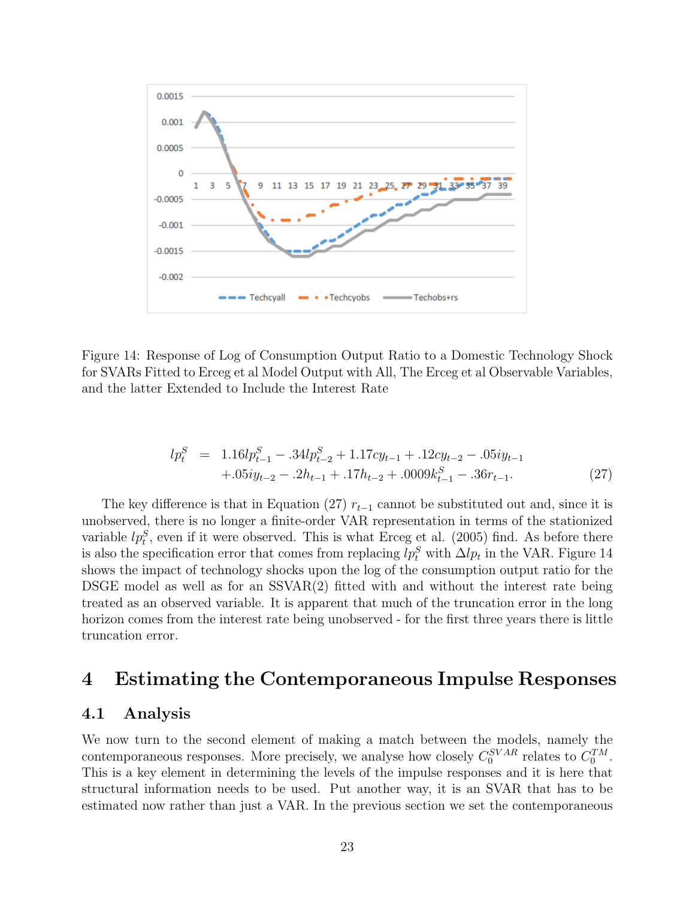

Figure 14: Response of Log of Consumption Output Ratio to a Domestic Technology Shock for SVARs Fitted to Erceg et al Model Output with All, The Erceg et al Observable Variables, and the latter Extended to Include the Interest Rate

$$
lp_t^S = 1.16lp_{t-1}^S - .34lp_{t-2}^S + 1.17cy_{t-1} + .12cy_{t-2} - .05iy_{t-1} + .05iy_{t-2} - .2h_{t-1} + .17h_{t-2} + .0009k_{t-1}^S - .36r_{t-1}.
$$
\n(27)

The key difference is that in Equation (27)  $r_{t-1}$  cannot be substituted out and, since it is unobserved, there is no longer a finite-order VAR representation in terms of the stationized variable  $lp_i^S$ , even if it were observed. This is what Erceg et al. (2005) find. As before there is also the specification error that comes from replacing  $lp_t^S$  with  $\Delta lp_t$  in the VAR. Figure 14 shows the impact of technology shocks upon the log of the consumption output ratio for the DSGE model as well as for an SSVAR(2) fitted with and without the interest rate being treated as an observed variable. It is apparent that much of the truncation error in the long horizon comes from the interest rate being unobserved - for the first three years there is little truncation error.

# 4 Estimating the Contemporaneous Impulse Responses

### 4.1 Analysis

We now turn to the second element of making a match between the models, namely the contemporaneous responses. More precisely, we analyse how closely  $C_0^{SVAR}$  relates to  $C_0^{TM}$ . This is a key element in determining the levels of the impulse responses and it is here that structural information needs to be used. Put another way, it is an SVAR that has to be estimated now rather than just a VAR. In the previous section we set the contemporaneous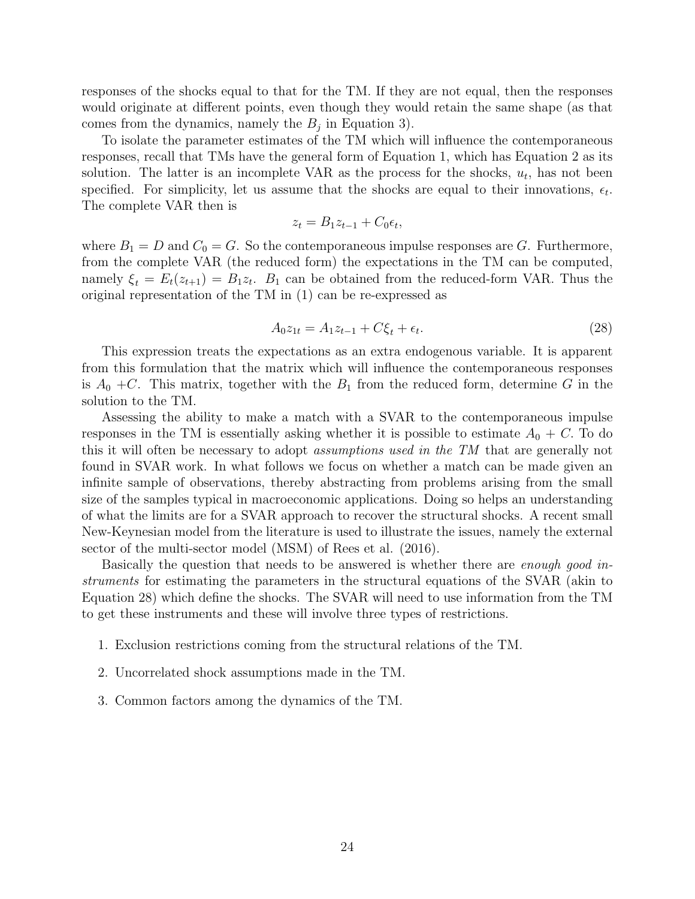responses of the shocks equal to that for the TM. If they are not equal, then the responses would originate at different points, even though they would retain the same shape (as that comes from the dynamics, namely the  $B_j$  in Equation 3).

To isolate the parameter estimates of the TM which will influence the contemporaneous responses, recall that TMs have the general form of Equation 1, which has Equation 2 as its solution. The latter is an incomplete VAR as the process for the shocks,  $u_t$ , has not been specified. For simplicity, let us assume that the shocks are equal to their innovations,  $\epsilon_t$ . The complete VAR then is

$$
z_t = B_1 z_{t-1} + C_0 \epsilon_t,
$$

where  $B_1 = D$  and  $C_0 = G$ . So the contemporaneous impulse responses are G. Furthermore, from the complete VAR (the reduced form) the expectations in the TM can be computed, namely  $\xi_t = E_t(z_{t+1}) = B_1 z_t$ .  $B_1$  can be obtained from the reduced-form VAR. Thus the original representation of the TM in (1) can be re-expressed as

$$
A_0 z_{1t} = A_1 z_{t-1} + C\xi_t + \epsilon_t.
$$
\n(28)

This expression treats the expectations as an extra endogenous variable. It is apparent from this formulation that the matrix which will influence the contemporaneous responses is  $A_0 + C$ . This matrix, together with the  $B_1$  from the reduced form, determine G in the solution to the TM.

Assessing the ability to make a match with a SVAR to the contemporaneous impulse responses in the TM is essentially asking whether it is possible to estimate  $A_0 + C$ . To do this it will often be necessary to adopt assumptions used in the TM that are generally not found in SVAR work. In what follows we focus on whether a match can be made given an infinite sample of observations, thereby abstracting from problems arising from the small size of the samples typical in macroeconomic applications. Doing so helps an understanding of what the limits are for a SVAR approach to recover the structural shocks. A recent small New-Keynesian model from the literature is used to illustrate the issues, namely the external sector of the multi-sector model (MSM) of Rees et al.  $(2016)$ .

Basically the question that needs to be answered is whether there are enough good instruments for estimating the parameters in the structural equations of the SVAR (akin to Equation 28) which define the shocks. The SVAR will need to use information from the TM to get these instruments and these will involve three types of restrictions.

- 1. Exclusion restrictions coming from the structural relations of the TM.
- 2. Uncorrelated shock assumptions made in the TM.
- 3. Common factors among the dynamics of the TM.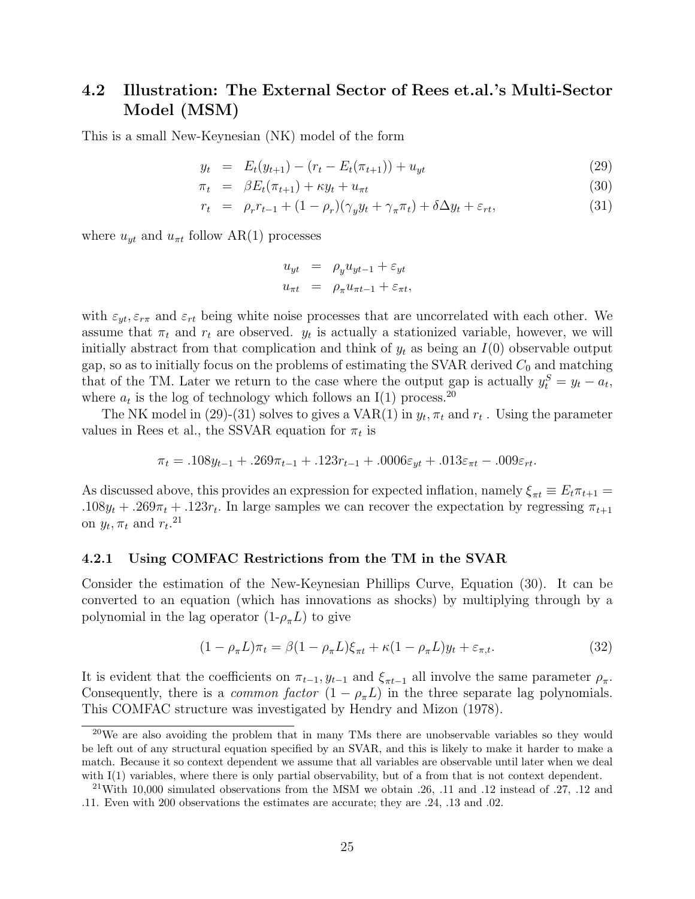# 4.2 Illustration: The External Sector of Rees et.al.'s Multi-Sector Model (MSM)

This is a small New-Keynesian (NK) model of the form

$$
y_t = E_t(y_{t+1}) - (r_t - E_t(\pi_{t+1})) + u_{yt}
$$
\n(29)

$$
\pi_t = \beta E_t(\pi_{t+1}) + \kappa y_t + u_{\pi t} \tag{30}
$$

$$
r_t = \rho_r r_{t-1} + (1 - \rho_r)(\gamma_y y_t + \gamma_\pi \pi_t) + \delta \Delta y_t + \varepsilon_{rt}, \tag{31}
$$

where  $u_{yt}$  and  $u_{\pi t}$  follow AR(1) processes

$$
u_{yt} = \rho_y u_{yt-1} + \varepsilon_{yt}
$$
  

$$
u_{\pi t} = \rho_{\pi} u_{\pi t-1} + \varepsilon_{\pi t},
$$

with  $\varepsilon_{yt}, \varepsilon_{r\pi}$  and  $\varepsilon_{rt}$  being white noise processes that are uncorrelated with each other. We assume that  $\pi_t$  and  $r_t$  are observed.  $y_t$  is actually a stationized variable, however, we will initially abstract from that complication and think of  $y_t$  as being an  $I(0)$  observable output gap, so as to initially focus on the problems of estimating the SVAR derived  $C_0$  and matching that of the TM. Later we return to the case where the output gap is actually  $y_t^S = y_t - a_t$ , where  $a_t$  is the log of technology which follows an I(1) process.<sup>20</sup>

The NK model in (29)-(31) solves to gives a VAR(1) in  $y_t$ ,  $\pi_t$  and  $r_t$ . Using the parameter values in Rees et al., the SSVAR equation for  $\pi_t$  is

$$
\pi_t = .108y_{t-1} + .269\pi_{t-1} + .123r_{t-1} + .0006\varepsilon_{yt} + .013\varepsilon_{\pi t} - .009\varepsilon_{rt}.
$$

As discussed above, this provides an expression for expected inflation, namely  $\xi_{\pi t} \equiv E_t \pi_{t+1} =$ .108 $y_t$  + .269 $\pi_t$  + .123 $r_t$ . In large samples we can recover the expectation by regressing  $\pi_{t+1}$ on  $y_t, \pi_t$  and  $r_t$ <sup>21</sup>

### 4.2.1 Using COMFAC Restrictions from the TM in the SVAR

Consider the estimation of the New-Keynesian Phillips Curve, Equation (30). It can be converted to an equation (which has innovations as shocks) by multiplying through by a polynomial in the lag operator  $(1-\rho_{\pi}L)$  to give

$$
(1 - \rho_{\pi}L)\pi_t = \beta(1 - \rho_{\pi}L)\xi_{\pi t} + \kappa(1 - \rho_{\pi}L)y_t + \varepsilon_{\pi, t}.
$$
\n(32)

It is evident that the coefficients on  $\pi_{t-1}, y_{t-1}$  and  $\xi_{\pi t-1}$  all involve the same parameter  $\rho_{\pi}$ . Consequently, there is a *common factor*  $(1 - \rho_{\pi}L)$  in the three separate lag polynomials. This COMFAC structure was investigated by Hendry and Mizon (1978).

<sup>&</sup>lt;sup>20</sup>We are also avoiding the problem that in many TMs there are unobservable variables so they would be left out of any structural equation specified by an SVAR, and this is likely to make it harder to make a match. Because it so context dependent we assume that all variables are observable until later when we deal with I(1) variables, where there is only partial observability, but of a from that is not context dependent.

<sup>&</sup>lt;sup>21</sup>With 10,000 simulated observations from the MSM we obtain  $.26$ ,  $.11$  and  $.12$  instead of  $.27$ ,  $.12$  and .11. Even with 200 observations the estimates are accurate; they are .24, .13 and .02.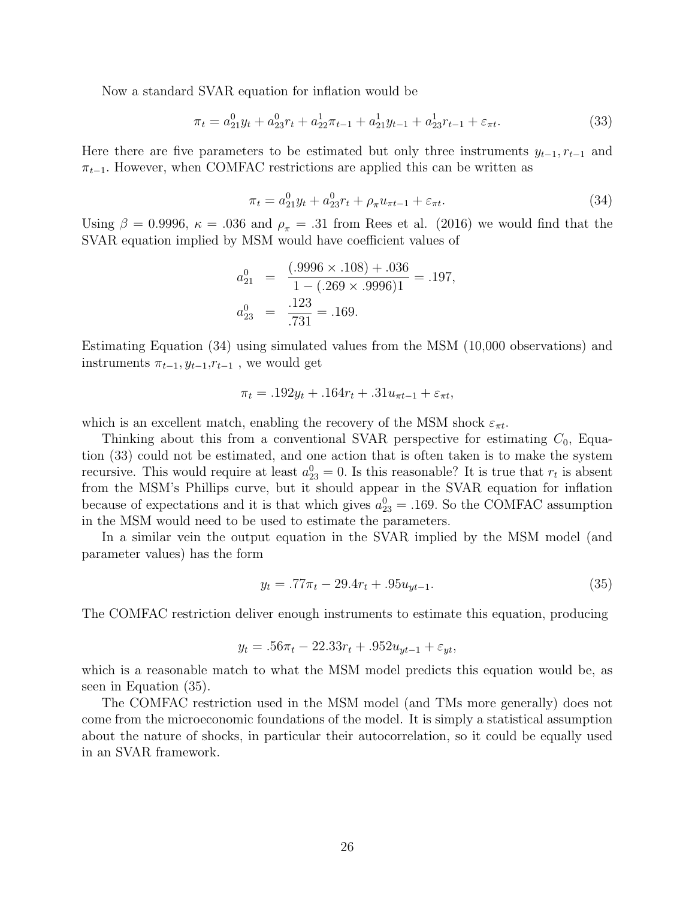Now a standard SVAR equation for inflation would be

$$
\pi_t = a_{21}^0 y_t + a_{23}^0 r_t + a_{22}^1 \pi_{t-1} + a_{21}^1 y_{t-1} + a_{23}^1 r_{t-1} + \varepsilon_{\pi t}.
$$
\n(33)

Here there are five parameters to be estimated but only three instruments  $y_{t-1}, r_{t-1}$  and  $\pi_{t-1}$ . However, when COMFAC restrictions are applied this can be written as

$$
\pi_t = a_{21}^0 y_t + a_{23}^0 r_t + \rho_\pi u_{\pi t - 1} + \varepsilon_{\pi t}.
$$
\n(34)

Using  $\beta = 0.9996$ ,  $\kappa = .036$  and  $\rho_{\pi} = .31$  from Rees et al. (2016) we would find that the SVAR equation implied by MSM would have coefficient values of

$$
a_{21}^{0} = \frac{(.9996 \times .108) + .036}{1 - (.269 \times .9996)1} = .197,
$$
  

$$
a_{23}^{0} = \frac{.123}{.731} = .169.
$$

Estimating Equation (34) using simulated values from the MSM (10,000 observations) and instruments  $\pi_{t-1}, y_{t-1}, r_{t-1}$ , we would get

$$
\pi_t = .192y_t + .164r_t + .31u_{\pi t - 1} + \varepsilon_{\pi t},
$$

which is an excellent match, enabling the recovery of the MSM shock  $\varepsilon_{\pi t}$ .

Thinking about this from a conventional SVAR perspective for estimating  $C_0$ , Equation (33) could not be estimated, and one action that is often taken is to make the system recursive. This would require at least  $a_{23}^0 = 0$ . Is this reasonable? It is true that  $r_t$  is absent from the MSM's Phillips curve, but it should appear in the SVAR equation for inflation because of expectations and it is that which gives  $a_{23}^0 = .169$ . So the COMFAC assumption in the MSM would need to be used to estimate the parameters.

In a similar vein the output equation in the SVAR implied by the MSM model (and parameter values) has the form

$$
y_t = .77\pi_t - 29.4r_t + .95u_{yt-1}.\tag{35}
$$

The COMFAC restriction deliver enough instruments to estimate this equation, producing

$$
y_t = .56\pi_t - 22.33r_t + .952u_{yt-1} + \varepsilon_{yt},
$$

which is a reasonable match to what the MSM model predicts this equation would be, as seen in Equation (35).

The COMFAC restriction used in the MSM model (and TMs more generally) does not come from the microeconomic foundations of the model. It is simply a statistical assumption about the nature of shocks, in particular their autocorrelation, so it could be equally used in an SVAR framework.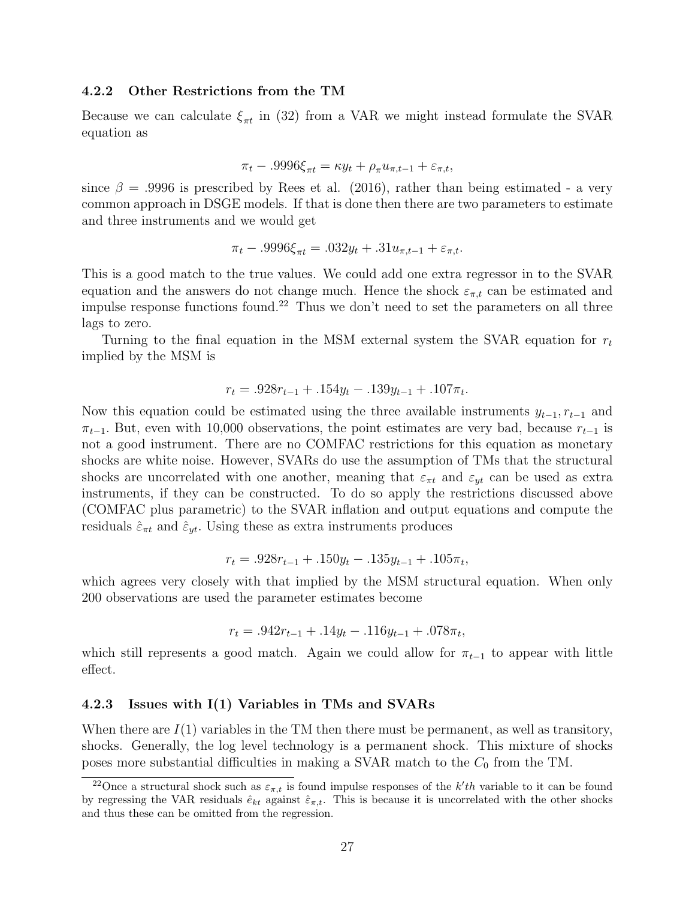#### 4.2.2 Other Restrictions from the TM

Because we can calculate  $\xi_{\pi t}$  in (32) from a VAR we might instead formulate the SVAR equation as

$$
\pi_t - .9996\xi_{\pi t} = \kappa y_t + \rho_\pi u_{\pi, t-1} + \varepsilon_{\pi, t},
$$

since  $\beta = .9996$  is prescribed by Rees et al. (2016), rather than being estimated - a very common approach in DSGE models. If that is done then there are two parameters to estimate and three instruments and we would get

$$
\pi_t - .9996\xi_{\pi t} = .032y_t + .31u_{\pi, t-1} + \varepsilon_{\pi, t}.
$$

This is a good match to the true values. We could add one extra regressor in to the SVAR equation and the answers do not change much. Hence the shock  $\varepsilon_{\pi,t}$  can be estimated and impulse response functions found.<sup>22</sup> Thus we don't need to set the parameters on all three lags to zero.

Turning to the final equation in the MSM external system the SVAR equation for  $r_t$ implied by the MSM is

$$
r_t = .928r_{t-1} + .154y_t - .139y_{t-1} + .107\pi_t.
$$

Now this equation could be estimated using the three available instruments  $y_{t-1}, r_{t-1}$  and  $\pi_{t-1}$ . But, even with 10,000 observations, the point estimates are very bad, because  $r_{t-1}$  is not a good instrument. There are no COMFAC restrictions for this equation as monetary shocks are white noise. However, SVARs do use the assumption of TMs that the structural shocks are uncorrelated with one another, meaning that  $\varepsilon_{\pi t}$  and  $\varepsilon_{yt}$  can be used as extra instruments, if they can be constructed. To do so apply the restrictions discussed above (COMFAC plus parametric) to the SVAR inflation and output equations and compute the residuals  $\hat{\varepsilon}_{\pi t}$  and  $\hat{\varepsilon}_{yt}$ . Using these as extra instruments produces

$$
r_t = .928r_{t-1} + .150y_t - .135y_{t-1} + .105\pi_t,
$$

which agrees very closely with that implied by the MSM structural equation. When only 200 observations are used the parameter estimates become

$$
r_t = .942r_{t-1} + .14y_t - .116y_{t-1} + .078\pi_t,
$$

which still represents a good match. Again we could allow for  $\pi_{t-1}$  to appear with little effect.

#### 4.2.3 Issues with I(1) Variables in TMs and SVARs

When there are  $I(1)$  variables in the TM then there must be permanent, as well as transitory, shocks. Generally, the log level technology is a permanent shock. This mixture of shocks poses more substantial difficulties in making a SVAR match to the  $C_0$  from the TM.

<sup>&</sup>lt;sup>22</sup>Once a structural shock such as  $\varepsilon_{\pi,t}$  is found impulse responses of the k'th variable to it can be found by regressing the VAR residuals  $\hat{e}_{kt}$  against  $\hat{\varepsilon}_{\pi,t}$ . This is because it is uncorrelated with the other shocks and thus these can be omitted from the regression.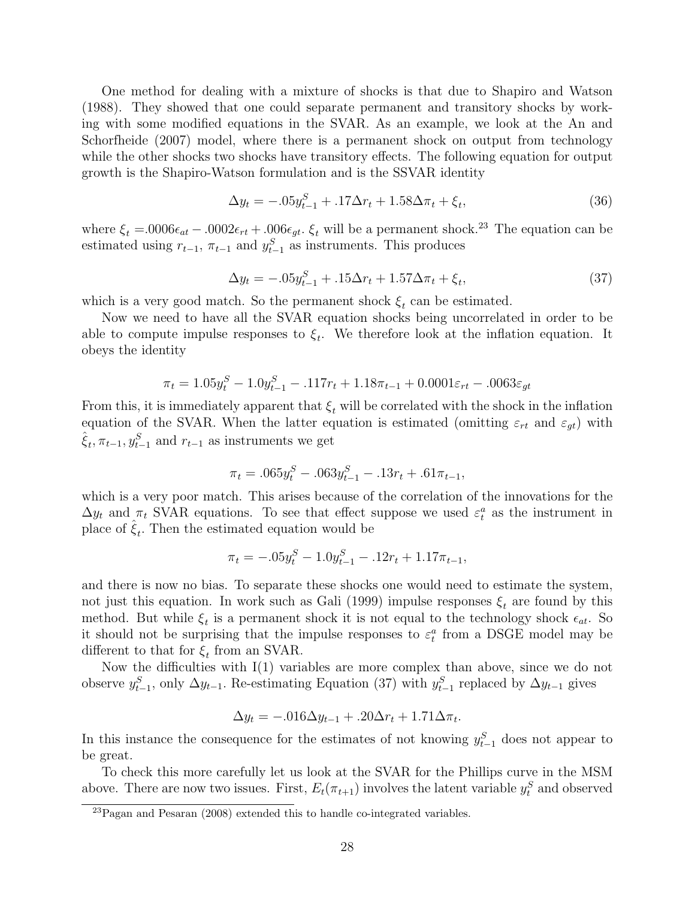One method for dealing with a mixture of shocks is that due to Shapiro and Watson (1988). They showed that one could separate permanent and transitory shocks by working with some modified equations in the SVAR. As an example, we look at the An and Schorfheide (2007) model, where there is a permanent shock on output from technology while the other shocks two shocks have transitory effects. The following equation for output growth is the Shapiro-Watson formulation and is the SSVAR identity

$$
\Delta y_t = -0.05 y_{t-1}^S + 0.17 \Delta r_t + 1.58 \Delta \pi_t + \xi_t, \tag{36}
$$

where  $\xi_t = .0006\epsilon_{at} - .0002\epsilon_{rt} + .006\epsilon_{gt}$ .  $\xi_t$  will be a permanent shock.<sup>23</sup> The equation can be estimated using  $r_{t-1}$ ,  $\pi_{t-1}$  and  $y_{t-1}^S$  as instruments. This produces

$$
\Delta y_t = -.05y_{t-1}^S + .15\Delta r_t + 1.57\Delta \pi_t + \xi_t, \tag{37}
$$

which is a very good match. So the permanent shock  $\xi_t$  can be estimated.

Now we need to have all the SVAR equation shocks being uncorrelated in order to be able to compute impulse responses to  $\xi_t$ . We therefore look at the inflation equation. It obeys the identity

$$
\pi_t = 1.05y_t^S - 1.0y_{t-1}^S - .117r_t + 1.18\pi_{t-1} + 0.0001\varepsilon_{rt} - .0063\varepsilon_{gt}
$$

From this, it is immediately apparent that  $\xi_t$  will be correlated with the shock in the inflation equation of the SVAR. When the latter equation is estimated (omitting  $\varepsilon_{rt}$  and  $\varepsilon_{gt}$ ) with  $\hat{\xi}_t, \pi_{t-1}, y_{t-1}^S$  and  $r_{t-1}$  as instruments we get

$$
\pi_t = .065y_t^S - .063y_{t-1}^S - .13r_t + .61\pi_{t-1},
$$

which is a very poor match. This arises because of the correlation of the innovations for the  $\Delta y_t$  and  $\pi_t$  SVAR equations. To see that effect suppose we used  $\varepsilon_t^a$  as the instrument in place of  $\hat{\xi}_t$ . Then the estimated equation would be

$$
\pi_t = -.05y_t^S - 1.0y_{t-1}^S - .12r_t + 1.17\pi_{t-1},
$$

and there is now no bias. To separate these shocks one would need to estimate the system, not just this equation. In work such as Gali (1999) impulse responses  $\xi_t$  are found by this method. But while  $\xi_t$  is a permanent shock it is not equal to the technology shock  $\epsilon_{at}$ . So it should not be surprising that the impulse responses to  $\varepsilon_t^a$  from a DSGE model may be different to that for  $\xi_t$  from an SVAR.

Now the difficulties with I(1) variables are more complex than above, since we do not observe  $y_{t-1}^S$ , only  $\Delta y_{t-1}$ . Re-estimating Equation (37) with  $y_{t-1}^S$  replaced by  $\Delta y_{t-1}$  gives

$$
\Delta y_t = -.016 \Delta y_{t-1} + .20 \Delta r_t + 1.71 \Delta \pi_t.
$$

In this instance the consequence for the estimates of not knowing  $y_{t-1}^S$  does not appear to be great.

To check this more carefully let us look at the SVAR for the Phillips curve in the MSM above. There are now two issues. First,  $E_t(\pi_{t+1})$  involves the latent variable  $y_t^S$  and observed

 $^{23}$ Pagan and Pesaran (2008) extended this to handle co-integrated variables.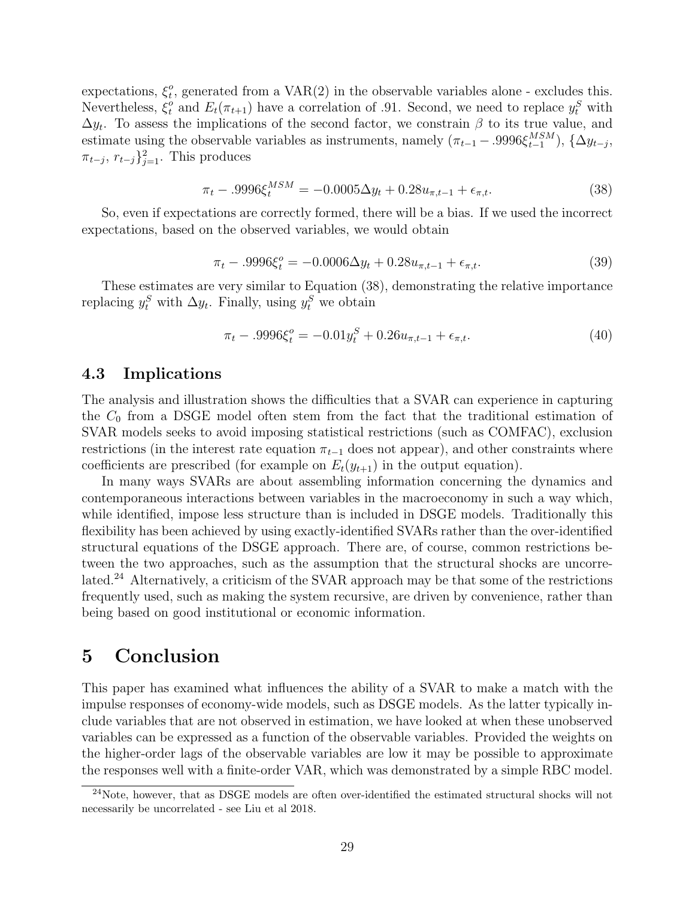expectations,  $\xi_t^o$  $t<sub>t</sub>$ , generated from a VAR(2) in the observable variables alone - excludes this. Nevertheless,  $\xi_t^o$ <sup>o</sup> and  $E_t(\pi_{t+1})$  have a correlation of .91. Second, we need to replace  $y_t^S$  with  $\Delta y_t$ . To assess the implications of the second factor, we constrain  $\beta$  to its true value, and estimate using the observable variables as instruments, namely  $(\pi_{t-1} - .9996\xi_{t-1}^{MSM})$ ,  $\{\Delta y_{t-j},$  $\pi_{t-j}, r_{t-j}$ }<sup>2</sup><sub>j=1</sub>. This produces

$$
\pi_t - .9996 \xi_t^{MSM} = -0.0005 \Delta y_t + 0.28 u_{\pi, t-1} + \epsilon_{\pi, t}.
$$
\n(38)

So, even if expectations are correctly formed, there will be a bias. If we used the incorrect expectations, based on the observed variables, we would obtain

$$
\pi_t - .9996\xi_t^o = -0.0006\Delta y_t + 0.28u_{\pi, t-1} + \epsilon_{\pi, t}.
$$
\n(39)

These estimates are very similar to Equation (38), demonstrating the relative importance replacing  $y_t^S$  with  $\Delta y_t$ . Finally, using  $y_t^S$  we obtain

$$
\pi_t - .9996\xi_t^o = -0.01y_t^S + 0.26u_{\pi, t-1} + \epsilon_{\pi, t}.
$$
\n(40)

### 4.3 Implications

The analysis and illustration shows the difficulties that a SVAR can experience in capturing the  $C_0$  from a DSGE model often stem from the fact that the traditional estimation of SVAR models seeks to avoid imposing statistical restrictions (such as COMFAC), exclusion restrictions (in the interest rate equation  $\pi_{t-1}$  does not appear), and other constraints where coefficients are prescribed (for example on  $E_t(y_{t+1})$  in the output equation).

In many ways SVARs are about assembling information concerning the dynamics and contemporaneous interactions between variables in the macroeconomy in such a way which, while identified, impose less structure than is included in DSGE models. Traditionally this flexibility has been achieved by using exactly-identified SVARs rather than the over-identified structural equations of the DSGE approach. There are, of course, common restrictions between the two approaches, such as the assumption that the structural shocks are uncorrelated.<sup>24</sup> Alternatively, a criticism of the SVAR approach may be that some of the restrictions frequently used, such as making the system recursive, are driven by convenience, rather than being based on good institutional or economic information.

# 5 Conclusion

This paper has examined what influences the ability of a SVAR to make a match with the impulse responses of economy-wide models, such as DSGE models. As the latter typically include variables that are not observed in estimation, we have looked at when these unobserved variables can be expressed as a function of the observable variables. Provided the weights on the higher-order lags of the observable variables are low it may be possible to approximate the responses well with a finite-order VAR, which was demonstrated by a simple RBC model.

<sup>24</sup>Note, however, that as DSGE models are often over-identified the estimated structural shocks will not necessarily be uncorrelated - see Liu et al 2018.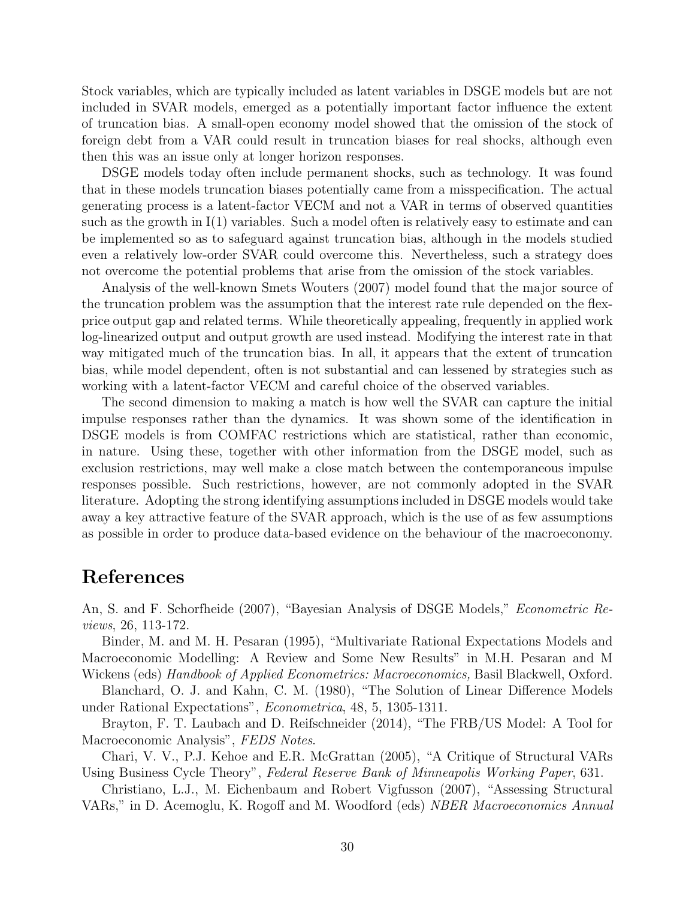Stock variables, which are typically included as latent variables in DSGE models but are not included in SVAR models, emerged as a potentially important factor influence the extent of truncation bias. A small-open economy model showed that the omission of the stock of foreign debt from a VAR could result in truncation biases for real shocks, although even then this was an issue only at longer horizon responses.

DSGE models today often include permanent shocks, such as technology. It was found that in these models truncation biases potentially came from a misspecification. The actual generating process is a latent-factor VECM and not a VAR in terms of observed quantities such as the growth in I(1) variables. Such a model often is relatively easy to estimate and can be implemented so as to safeguard against truncation bias, although in the models studied even a relatively low-order SVAR could overcome this. Nevertheless, such a strategy does not overcome the potential problems that arise from the omission of the stock variables.

Analysis of the well-known Smets Wouters (2007) model found that the major source of the truncation problem was the assumption that the interest rate rule depended on the flexprice output gap and related terms. While theoretically appealing, frequently in applied work log-linearized output and output growth are used instead. Modifying the interest rate in that way mitigated much of the truncation bias. In all, it appears that the extent of truncation bias, while model dependent, often is not substantial and can lessened by strategies such as working with a latent-factor VECM and careful choice of the observed variables.

The second dimension to making a match is how well the SVAR can capture the initial impulse responses rather than the dynamics. It was shown some of the identification in DSGE models is from COMFAC restrictions which are statistical, rather than economic, in nature. Using these, together with other information from the DSGE model, such as exclusion restrictions, may well make a close match between the contemporaneous impulse responses possible. Such restrictions, however, are not commonly adopted in the SVAR literature. Adopting the strong identifying assumptions included in DSGE models would take away a key attractive feature of the SVAR approach, which is the use of as few assumptions as possible in order to produce data-based evidence on the behaviour of the macroeconomy.

# References

An, S. and F. Schorfheide (2007), "Bayesian Analysis of DSGE Models," Econometric Reviews, 26, 113-172.

Binder, M. and M. H. Pesaran (1995), "Multivariate Rational Expectations Models and Macroeconomic Modelling: A Review and Some New Results" in M.H. Pesaran and M Wickens (eds) Handbook of Applied Econometrics: Macroeconomics, Basil Blackwell, Oxford.

Blanchard, O. J. and Kahn, C. M. (1980), "The Solution of Linear Difference Models under Rational Expectations", Econometrica, 48, 5, 1305-1311.

Brayton, F. T. Laubach and D. Reifschneider (2014), "The FRB/US Model: A Tool for Macroeconomic Analysis", FEDS Notes.

Chari, V. V., P.J. Kehoe and E.R. McGrattan (2005), "A Critique of Structural VARs Using Business Cycle Theory", Federal Reserve Bank of Minneapolis Working Paper, 631.

Christiano, L.J., M. Eichenbaum and Robert Vigfusson (2007), "Assessing Structural VARs," in D. Acemoglu, K. Rogoff and M. Woodford (eds) NBER Macroeconomics Annual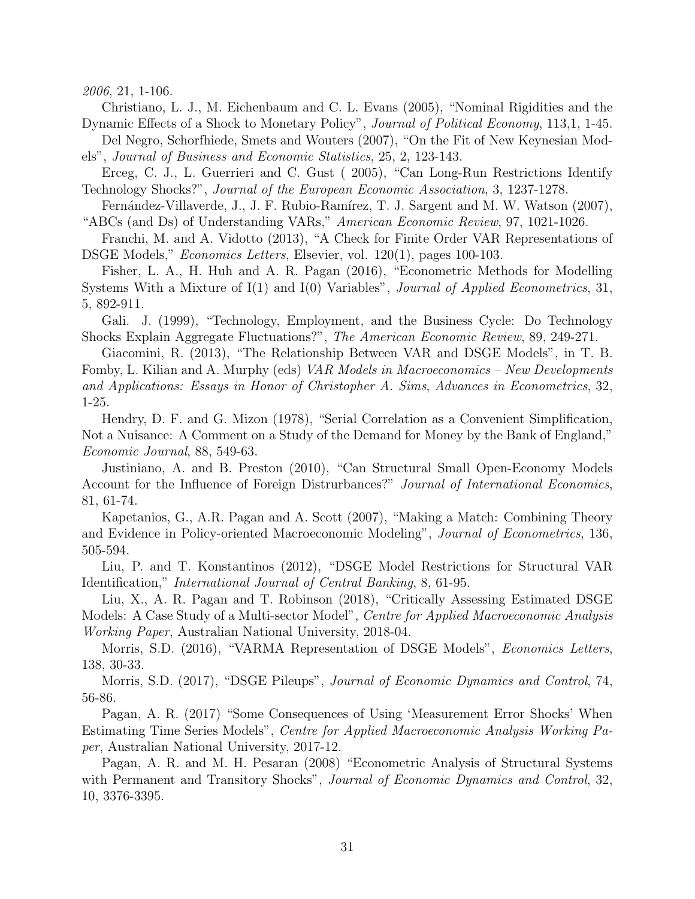2006, 21, 1-106.

Christiano, L. J., M. Eichenbaum and C. L. Evans (2005), "Nominal Rigidities and the Dynamic Effects of a Shock to Monetary Policy", Journal of Political Economy, 113,1, 1-45.

Del Negro, Schorfhiede, Smets and Wouters (2007), "On the Fit of New Keynesian Models", Journal of Business and Economic Statistics, 25, 2, 123-143.

Erceg, C. J., L. Guerrieri and C. Gust ( 2005), "Can Long-Run Restrictions Identify Technology Shocks?", Journal of the European Economic Association, 3, 1237-1278.

Fernández-Villaverde, J., J. F. Rubio-Ramírez, T. J. Sargent and M. W. Watson (2007), "ABCs (and Ds) of Understanding VARs," American Economic Review, 97, 1021-1026.

Franchi, M. and A. Vidotto (2013), "A Check for Finite Order VAR Representations of DSGE Models," Economics Letters, Elsevier, vol. 120(1), pages 100-103.

Fisher, L. A., H. Huh and A. R. Pagan (2016), "Econometric Methods for Modelling Systems With a Mixture of I(1) and I(0) Variables", Journal of Applied Econometrics, 31, 5, 892-911.

Gali. J. (1999), "Technology, Employment, and the Business Cycle: Do Technology Shocks Explain Aggregate Fluctuations?", The American Economic Review, 89, 249-271.

Giacomini, R. (2013), "The Relationship Between VAR and DSGE Models", in T. B. Fomby, L. Kilian and A. Murphy (eds) VAR Models in Macroeconomics – New Developments and Applications: Essays in Honor of Christopher A. Sims, Advances in Econometrics, 32, 1-25.

Hendry, D. F. and G. Mizon (1978), "Serial Correlation as a Convenient Simplification, Not a Nuisance: A Comment on a Study of the Demand for Money by the Bank of England," Economic Journal, 88, 549-63.

Justiniano, A. and B. Preston (2010), "Can Structural Small Open-Economy Models Account for the Influence of Foreign Distrurbances?" Journal of International Economics, 81, 61-74.

Kapetanios, G., A.R. Pagan and A. Scott (2007), "Making a Match: Combining Theory and Evidence in Policy-oriented Macroeconomic Modeling", Journal of Econometrics, 136, 505-594.

Liu, P. and T. Konstantinos (2012), "DSGE Model Restrictions for Structural VAR Identification," International Journal of Central Banking, 8, 61-95.

Liu, X., A. R. Pagan and T. Robinson (2018), "Critically Assessing Estimated DSGE Models: A Case Study of a Multi-sector Model", Centre for Applied Macroeconomic Analysis Working Paper, Australian National University, 2018-04.

Morris, S.D. (2016), "VARMA Representation of DSGE Models", *Economics Letters*, 138, 30-33.

Morris, S.D. (2017), "DSGE Pileups", Journal of Economic Dynamics and Control, 74, 56-86.

Pagan, A. R. (2017) "Some Consequences of Using 'Measurement Error Shocks' When Estimating Time Series Models", Centre for Applied Macroeconomic Analysis Working Paper, Australian National University, 2017-12.

Pagan, A. R. and M. H. Pesaran (2008) "Econometric Analysis of Structural Systems with Permanent and Transitory Shocks", Journal of Economic Dynamics and Control, 32, 10, 3376-3395.